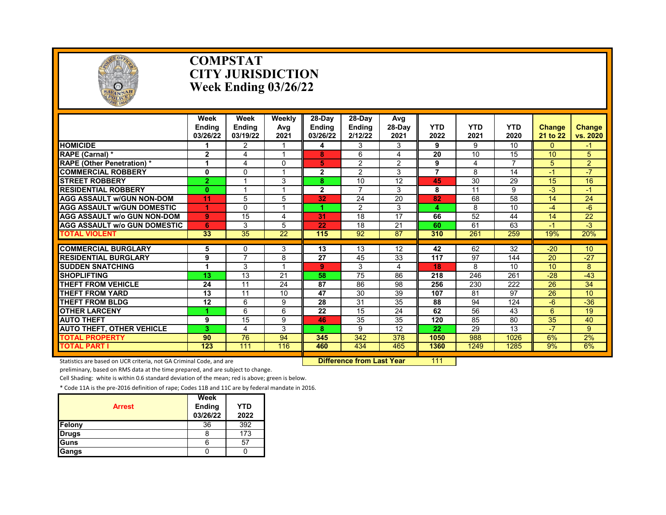

#### **COMPSTAT CITY JURISDICTION Week Ending 03/26/22**

|                                                           | Week<br><b>Endina</b><br>03/26/22 | Week<br><b>Endina</b><br>03/19/22 | Weekly<br>Avg<br>2021 | $28-Dav$<br><b>Endina</b><br>03/26/22 | 28-Day<br><b>Ending</b><br>2/12/22 | Avg<br>28-Day<br>2021 | <b>YTD</b><br>2022 | <b>YTD</b><br>2021 | <b>YTD</b><br>2020 | <b>Change</b><br>21 to 22 | <b>Change</b><br>vs. 2020 |
|-----------------------------------------------------------|-----------------------------------|-----------------------------------|-----------------------|---------------------------------------|------------------------------------|-----------------------|--------------------|--------------------|--------------------|---------------------------|---------------------------|
| <b>HOMICIDE</b>                                           |                                   | 2                                 |                       | 4                                     | 3                                  | 3                     | 9                  | 9                  | 10                 | 0                         | -1                        |
| RAPE (Carnal) *                                           | $\mathbf{2}$                      | 4                                 |                       | 8                                     | 6                                  | 4                     | 20                 | 10                 | 15                 | 10                        | 5                         |
| <b>RAPE (Other Penetration) *</b>                         | 1                                 | 4                                 | 0                     | 5                                     | 2                                  | 2                     | 9                  | 4                  | $\overline{7}$     | 5                         | $\overline{2}$            |
| <b>COMMERCIAL ROBBERY</b>                                 | 0                                 | $\Omega$                          |                       | 2                                     | 2                                  | 3                     | $\overline{7}$     | 8                  | 14                 | $-1$                      | $-7$                      |
| <b>STREET ROBBERY</b>                                     | $\overline{2}$                    |                                   | 3                     | 8                                     | 10                                 | 12                    | 45                 | 30                 | 29                 | 15                        | 16                        |
| <b>RESIDENTIAL ROBBERY</b>                                | $\bf{0}$                          |                                   |                       | $\mathbf{2}$                          | $\overline{7}$                     | 3                     | 8                  | 11                 | 9                  | $-3$                      | $-1$                      |
| <b>AGG ASSAULT W/GUN NON-DOM</b>                          | 11                                | 5                                 | 5                     | 32                                    | 24                                 | 20                    | 82                 | 68                 | 58                 | 14                        | 24                        |
| <b>AGG ASSAULT W/GUN DOMESTIC</b>                         | 1                                 | $\Omega$                          |                       | 4.                                    | 2                                  | 3                     | 4                  | 8                  | 10                 | $-4$                      | $-6$                      |
| <b>AGG ASSAULT w/o GUN NON-DOM</b>                        | 9                                 | 15                                | 4                     | 31                                    | 18                                 | 17                    | 66                 | 52                 | 44                 | 14                        | 22                        |
| <b>AGG ASSAULT W/o GUN DOMESTIC</b>                       | 6                                 | 3                                 | 5                     | 22                                    | 18                                 | 21                    | 60                 | 61                 | 63                 | $-1$                      | $-3$                      |
| <b>TOTAL VIOLENT</b>                                      | 33                                | 35                                | 22                    | 115                                   | 92                                 | 87                    | 310                | 261                | 259                | 19%                       | 20%                       |
| <b>COMMERCIAL BURGLARY</b>                                |                                   |                                   |                       | 13                                    | 13                                 | 12                    | 42                 | 62                 | 32                 | $-20$                     | 10                        |
| <b>RESIDENTIAL BURGLARY</b>                               | 5<br>9                            | $\mathbf{0}$<br>$\overline{7}$    | 3<br>8                | 27                                    | 45                                 | 33                    | 117                | 97                 | 144                | 20                        | $-27$                     |
|                                                           |                                   |                                   |                       |                                       |                                    |                       |                    |                    |                    |                           |                           |
| <b>SUDDEN SNATCHING</b><br><b>SHOPLIFTING</b>             |                                   | 3<br>13                           | 21                    | 9<br>58                               | 3<br>75                            | 4<br>86               | 18<br>218          | 8<br>246           | 10<br>261          | 10<br>$-28$               | 8<br>$-43$                |
| THEFT FROM VEHICLE                                        | 13<br>24                          | 11                                | 24                    | 87                                    | 86                                 | 98                    | 256                | 230                | 222                | 26                        | 34                        |
| THEFT FROM YARD                                           | 13                                | 11                                | 10                    | 47                                    | 30                                 | 39                    | 107                | 81                 | 97                 | 26                        | 10                        |
| <b>THEFT FROM BLDG</b>                                    | 12                                | 6                                 | 9                     | 28                                    | 31                                 | 35                    | 88                 | 94                 | 124                | $-6$                      | $-36$                     |
| <b>OTHER LARCENY</b>                                      | 1                                 | 6                                 | 6                     | 22                                    | 15                                 | 24                    | 62                 | 56                 | 43                 | 6                         | 19                        |
| <b>AUTO THEFT</b>                                         | 9                                 | 15                                | 9                     | 46                                    | 35                                 | 35                    | 120                | 85                 | 80                 | 35                        | 40                        |
|                                                           | 3                                 | $\overline{\mathcal{A}}$          | 3                     | 8                                     | 9                                  | 12                    | 22                 | 29                 | 13                 | $-7$                      | 9                         |
| <b>AUTO THEFT, OTHER VEHICLE</b><br><b>TOTAL PROPERTY</b> | 90                                | 76                                | 94                    | 345                                   | 342                                | 378                   | 1050               | 988                | 1026               | 6%                        | 2%                        |
| <b>TOTAL PART I</b>                                       | 123                               | 111                               | 116                   | 460                                   | 434                                | 465                   | 1360               | 1249               | 1285               | 9%                        | 6%                        |
|                                                           |                                   |                                   |                       |                                       |                                    |                       |                    |                    |                    |                           |                           |

Statistics are based on UCR criteria, not GA Criminal Code, and are **Difference from Last Year** 111

preliminary, based on RMS data at the time prepared, and are subject to change.

Cell Shading: white is within 0.6 standard deviation of the mean; red is above; green is below.

| <b>Arrest</b> | Week<br><b>Ending</b><br>03/26/22 | YTD<br>2022 |
|---------------|-----------------------------------|-------------|
| Felony        | 36                                | 392         |
| <b>Drugs</b>  | 8                                 | 173         |
| Guns          | 6                                 | 57          |
| Gangs         |                                   |             |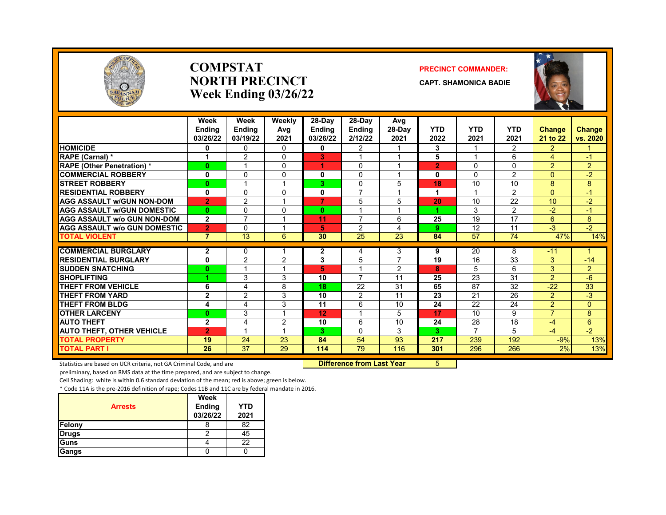

#### **COMPSTAT PRECINCT COMMANDER: NORTH PRECINCT CAPT. SHAMONICA BADIE Week Ending 03/26/22**



|                                     | Week<br><b>Endina</b><br>03/26/22 | Week<br><b>Endina</b><br>03/19/22 | Weekly<br>Avg<br>2021 | 28-Day<br><b>Ending</b><br>03/26/22 | 28-Dav<br><b>Ending</b><br>2/12/22 | Avg<br>28-Day<br>2021 | <b>YTD</b><br>2022 | <b>YTD</b><br>2021   | <b>YTD</b><br>2021 | <b>Change</b><br>21 to 22        | <b>Change</b><br>vs. 2020 |
|-------------------------------------|-----------------------------------|-----------------------------------|-----------------------|-------------------------------------|------------------------------------|-----------------------|--------------------|----------------------|--------------------|----------------------------------|---------------------------|
| <b>HOMICIDE</b>                     | 0                                 | $\Omega$                          | $\Omega$              | 0                                   | $\overline{2}$                     |                       | 3                  |                      | $\mathcal{P}$      | $\overline{2}$                   |                           |
| RAPE (Carnal) *                     | 1                                 | 2                                 | $\Omega$              | 3                                   |                                    |                       | 5                  |                      | 6                  | 4                                | $\cdot$                   |
| <b>RAPE (Other Penetration) *</b>   | $\bf{0}$                          |                                   | $\Omega$              | 4                                   | $\mathbf{0}$                       |                       | $\overline{2}$     | $\mathbf{0}$         | $\Omega$           | $\overline{2}$                   | $\overline{2}$            |
| <b>COMMERCIAL ROBBERY</b>           | 0                                 | $\Omega$                          | $\Omega$              | 0                                   | $\Omega$                           |                       | 0                  | $\Omega$             | $\overline{2}$     | 0                                | $-2$                      |
| <b>STREET ROBBERY</b>               | $\bf{0}$                          |                                   |                       | 3.                                  | $\Omega$                           | 5                     | 18                 | 10                   | 10                 | 8                                | 8                         |
| <b>RESIDENTIAL ROBBERY</b>          | 0                                 | $\Omega$                          | $\Omega$              | 0                                   | 7                                  |                       | 1                  |                      | 2                  | $\Omega$                         | $-1$                      |
| <b>AGG ASSAULT w/GUN NON-DOM</b>    | $\overline{2}$                    | $\overline{2}$                    |                       | 7                                   | 5                                  | 5                     | 20                 | 10                   | $\overline{22}$    | 10                               | $-2$                      |
| <b>AGG ASSAULT w/GUN DOMESTIC</b>   | $\bf{0}$                          | <sup>0</sup>                      | $\Omega$              | $\bf{0}$                            |                                    | $\overline{A}$        |                    | 3                    | 2                  | $-2$                             | $-1$                      |
| <b>AGG ASSAULT w/o GUN NON-DOM</b>  | $\mathbf{2}$                      | $\overline{ }$                    |                       | 11                                  | $\overline{\phantom{a}}$           | 6                     | 25                 | 19                   | 17                 | 6                                | 8                         |
| <b>AGG ASSAULT w/o GUN DOMESTIC</b> | $\overline{2}$                    | $\Omega$                          |                       | 5.                                  | $\overline{2}$                     | 4                     | 9                  | 12                   | 11                 | $-3$                             | $-2$                      |
| <b>TOTAL VIOLENT</b>                | $\overline{7}$                    | 13                                | 6                     | 30                                  | 25                                 | 23                    | 84                 | 57                   | $\overline{74}$    | 47%                              | 14%                       |
| <b>COMMERCIAL BURGLARY</b>          |                                   |                                   |                       |                                     |                                    |                       |                    |                      |                    | $-11$                            | 4                         |
| <b>RESIDENTIAL BURGLARY</b>         | $\mathbf{2}$                      | $\mathbf{0}$                      |                       | 2                                   | 4                                  | 3<br>$\overline{7}$   | 9<br>19            | 20<br>16             | 8<br>33            |                                  |                           |
|                                     | 0                                 | $\overline{2}$                    | 2                     | 3                                   | 5                                  |                       |                    |                      |                    | 3<br>3                           | $-14$                     |
| <b>SUDDEN SNATCHING</b>             | $\bf{0}$                          | 3                                 |                       | 5                                   | $\overline{7}$                     | $\overline{2}$<br>11  | 8                  | 5                    | 6<br>31            |                                  | $\overline{2}$            |
| <b>SHOPLIFTING</b>                  |                                   |                                   | 3                     | 10                                  |                                    |                       | 25                 | 23<br>87             |                    | $\overline{2}$                   | $-6$                      |
| <b>THEFT FROM VEHICLE</b>           | 6                                 | 4                                 | 8<br>3                | 18<br>10                            | 22                                 | 31<br>11              | 65<br>23           |                      | 32<br>26           | $-22$                            | 33                        |
| <b>THEFT FROM YARD</b>              | $\mathbf{2}$                      | 2                                 |                       |                                     | 2                                  |                       |                    | 21                   |                    | $\overline{2}$                   | $-3$                      |
| <b>THEFT FROM BLDG</b>              | 4                                 | 4                                 | 3                     | 11                                  | 6                                  | 10                    | 24                 | 22                   | 24                 | $\overline{2}$<br>$\overline{7}$ | $\Omega$                  |
| <b>OTHER LARCENY</b>                | $\bf{0}$                          | 3                                 |                       | 12                                  |                                    | 5                     | 17                 | 10                   | 9                  |                                  | 8                         |
| <b>AUTO THEFT</b>                   | $\overline{2}$                    | 4<br>$\overline{\phantom{a}}$     | 2                     | 10                                  | 6                                  | 10                    | 24                 | 28<br>$\overline{7}$ | 18                 | $-4$                             | 6                         |
| <b>AUTO THEFT, OTHER VEHICLE</b>    | $\overline{2}$                    |                                   |                       | 3.                                  | $\mathbf{0}$                       | 3                     | 3                  |                      | 5                  | $-4$                             | $-2$                      |
| <b>TOTAL PROPERTY</b>               | 19                                | 24                                | 23                    | 84                                  | 54                                 | 93                    | 217                | 239                  | 192                | $-9%$                            | 13%                       |
| <b>TOTAL PART I</b>                 | 26                                | 37                                | 29                    | 114                                 | 79                                 | 116                   | 301                | 296                  | 266                | 2%                               | 13%                       |

Statistics are based on UCR criteria, not GA Criminal Code, and are **Difference from Last Year** 5

preliminary, based on RMS data at the time prepared, and are subject to change.

Cell Shading: white is within 0.6 standard deviation of the mean; red is above; green is below.

| <b>Arrests</b> | Week<br>Ending<br>03/26/22 | <b>YTD</b><br>2021 |
|----------------|----------------------------|--------------------|
| Felony         | 8                          | 82                 |
| <b>Drugs</b>   |                            | 45                 |
| Guns           |                            | 22                 |
| Gangs          |                            |                    |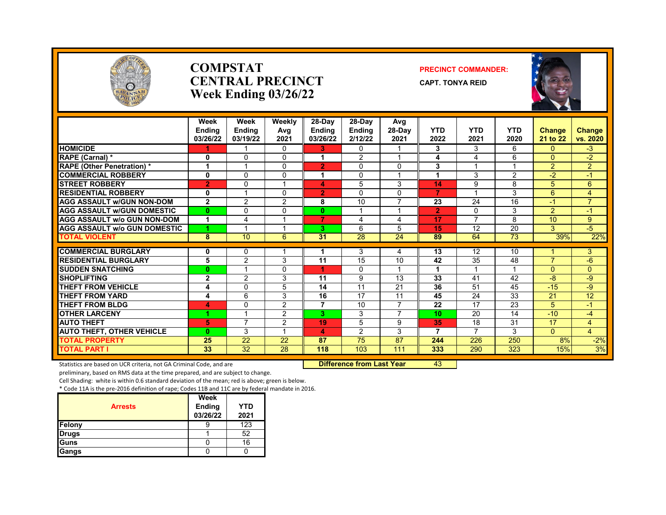

#### **COMPSTAT PRECINCT COMMANDER: CENTRAL PRECINCT** CAPT. TONYA REID **Week Ending 03/26/22**



|                                     | Week<br><b>Ending</b><br>03/26/22 | Week<br><b>Ending</b><br>03/19/22 | Weekly<br>Avg<br>2021 | $28-Dav$<br><b>Endina</b><br>03/26/22 | $28-Dav$<br><b>Ending</b><br>2/12/22 | Avg<br>28-Day<br>2021 | <b>YTD</b><br>2022 | YTD<br>2021 | <b>YTD</b><br>2020 | <b>Change</b><br>21 to 22 | <b>Change</b><br>vs. 2020 |
|-------------------------------------|-----------------------------------|-----------------------------------|-----------------------|---------------------------------------|--------------------------------------|-----------------------|--------------------|-------------|--------------------|---------------------------|---------------------------|
| <b>HOMICIDE</b>                     |                                   |                                   | $\Omega$              | 3.                                    | $\mathbf{0}$                         |                       | 3                  | 3           | 6                  | $\Omega$                  | $-3$                      |
| RAPE (Carnal) *                     | 0                                 | $\Omega$                          | $\Omega$              |                                       | $\overline{2}$                       |                       | 4                  | 4           | 6                  | $\Omega$                  | $-2$                      |
| <b>RAPE (Other Penetration) *</b>   |                                   |                                   | $\Omega$              | $\overline{2}$                        | $\mathbf 0$                          | $\mathbf 0$           | 3                  |             |                    | 2                         | 2                         |
| <b>COMMERCIAL ROBBERY</b>           | $\mathbf{0}$                      | $\Omega$                          | $\Omega$              | 1                                     | $\Omega$                             | $\overline{1}$        | 1                  | 3           | 2                  | $-2$                      | $-1$                      |
| <b>STREET ROBBERY</b>               | $\overline{2}$                    | $\Omega$                          |                       | 4                                     | 5                                    | 3                     | 14                 | 9           | 8                  | 5                         | 6                         |
| <b>RESIDENTIAL ROBBERY</b>          | $\mathbf 0$                       |                                   | $\Omega$              | $\overline{2}$                        | $\Omega$                             | $\mathbf 0$           | $\overline{7}$     |             | 3                  | 6                         | $\overline{4}$            |
| <b>AGG ASSAULT w/GUN NON-DOM</b>    | $\mathbf{2}$                      | 2                                 | 2                     | 8                                     | 10                                   | $\overline{7}$        | 23                 | 24          | 16                 | -1                        | $\overline{7}$            |
| <b>AGG ASSAULT W/GUN DOMESTIC</b>   | $\bf{0}$                          | $\Omega$                          | $\Omega$              | 0                                     |                                      |                       | $\overline{2}$     | $\Omega$    | 3                  | 2                         | $-1$                      |
| <b>AGG ASSAULT w/o GUN NON-DOM</b>  | 4                                 | 4                                 |                       | $\overline{7}$                        | 4                                    | 4                     | 17                 | 7           | 8                  | 10                        | 9                         |
| <b>AGG ASSAULT w/o GUN DOMESTIC</b> | 4.                                |                                   |                       | 3.                                    | 6                                    | 5                     | 15                 | 12          | 20                 | 3                         | $-5$                      |
| <b>TOTAL VIOLENT</b>                | 8                                 | 10                                | 6                     | 31                                    | $\overline{28}$                      | 24                    | 89                 | 64          | 73                 | 39%                       | 22%                       |
|                                     |                                   |                                   |                       |                                       |                                      |                       |                    |             |                    |                           |                           |
| <b>COMMERCIAL BURGLARY</b>          | 0                                 | 0                                 |                       |                                       | 3                                    | 4                     | 13                 | 12          | 10                 |                           | 3                         |
| <b>RESIDENTIAL BURGLARY</b>         | 5                                 | 2                                 | 3                     | 11                                    | 15                                   | 10                    | 42                 | 35          | 48                 | $\overline{7}$            | $-6$                      |
| <b>SUDDEN SNATCHING</b>             | 0                                 |                                   | $\Omega$              |                                       | $\Omega$                             | $\overline{A}$        | 4                  |             |                    | $\mathbf{0}$              | $\Omega$                  |
| <b>SHOPLIFTING</b>                  | $\mathbf{2}$                      | 2                                 | 3                     | 11                                    | 9                                    | 13                    | 33                 | 41          | 42                 | $-8$                      | $-9$                      |
| <b>THEFT FROM VEHICLE</b>           | 4                                 | $\Omega$                          | 5                     | 14                                    | 11                                   | 21                    | 36                 | 51          | 45                 | $-15$                     | $-9$                      |
| <b>THEFT FROM YARD</b>              | 4                                 | 6                                 | 3                     | 16                                    | $\overline{17}$                      | 11                    | 45                 | 24          | 33                 | $\overline{21}$           | $\overline{12}$           |
| <b>THEFT FROM BLDG</b>              | 4                                 | $\mathbf{0}$                      | $\overline{2}$        | $\overline{7}$                        | 10                                   | $\overline{7}$        | 22                 | 17          | 23                 | 5                         | $-1$                      |
| <b>OTHER LARCENY</b>                | 1                                 |                                   | 2                     | 3.                                    | 3                                    | $\overline{7}$        | 10                 | 20          | 14                 | $-10$                     | $-4$                      |
| <b>AUTO THEFT</b>                   | 5                                 | $\overline{7}$                    | 2                     | 19                                    | 5                                    | 9                     | 35                 | 18          | 31                 | 17                        | $\overline{4}$            |
| <b>AUTO THEFT, OTHER VEHICLE</b>    | 0                                 | 3                                 |                       | 4                                     | 2                                    | 3                     | 7                  | 7           | 3                  | $\mathbf{0}$              | $\overline{4}$            |
| <b>TOTAL PROPERTY</b>               | 25                                | 22                                | 22                    | 87                                    | 75                                   | $\overline{87}$       | 244                | 226         | 250                | 8%                        | $-2%$                     |
| <b>TOTAL PART I</b>                 | 33                                | $\overline{32}$                   | 28                    | 118                                   | 103                                  | 111                   | 333                | 290         | 323                | 15%                       | 3%                        |

Statistics are based on UCR criteria, not GA Criminal Code, and are **Difference from Last Year** 43

preliminary, based on RMS data at the time prepared, and are subject to change.

Cell Shading: white is within 0.6 standard deviation of the mean; red is above; green is below.

| <b>Arrests</b> | Week<br><b>Ending</b><br>03/26/22 | <b>YTD</b><br>2021 |
|----------------|-----------------------------------|--------------------|
| Felony         |                                   | 123                |
| <b>Drugs</b>   |                                   | 52                 |
| Guns           |                                   | 16                 |
| Gangs          |                                   |                    |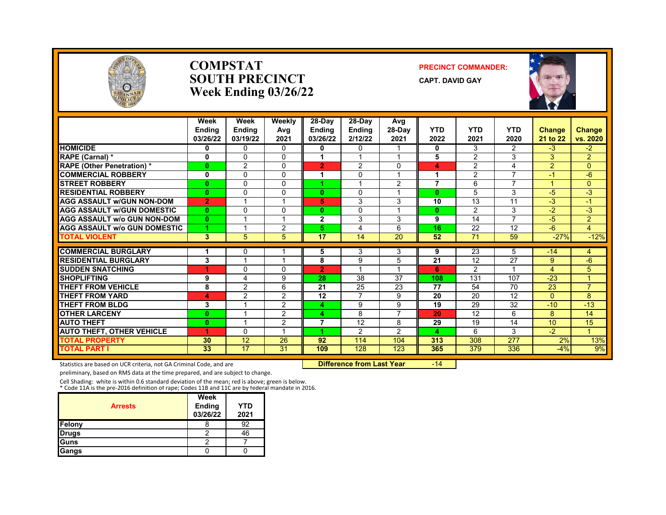

#### **COMPSTAT PRECINCT COMMANDER: SOUTH PRECINCT CAPT. DAVID GAY Week Ending 03/26/22**



|                                     | Week<br><b>Ending</b><br>03/26/22 | Week<br>Ending<br>03/19/22 | Weekly<br>Avg<br>2021 | 28-Day<br><b>Ending</b><br>03/26/22 | 28-Day<br><b>Ending</b><br>2/12/22 | Avg<br>28-Day<br>2021 | <b>YTD</b><br>2022 | <b>YTD</b><br>2021 | <b>YTD</b><br>2020       | <b>Change</b><br>21 to 22 | Change<br>vs. 2020 |
|-------------------------------------|-----------------------------------|----------------------------|-----------------------|-------------------------------------|------------------------------------|-----------------------|--------------------|--------------------|--------------------------|---------------------------|--------------------|
| <b>HOMICIDE</b>                     | 0                                 | $\Omega$                   | 0                     | 0                                   | $\mathbf{0}$                       |                       | 0                  | 3                  | $\overline{2}$           | $-3$                      | $-2$               |
| RAPE (Carnal) *                     | $\bf{0}$                          | $\Omega$                   | 0                     |                                     |                                    |                       | 5                  | $\mathcal{P}$      | 3                        | 3                         | $\overline{2}$     |
| <b>RAPE (Other Penetration) *</b>   | $\mathbf{0}$                      | $\overline{2}$             | $\Omega$              | $\overline{2}$                      | 2                                  | $\Omega$              | 4                  | $\overline{2}$     | 4                        | $\overline{2}$            | $\Omega$           |
| <b>COMMERCIAL ROBBERY</b>           | 0                                 | $\Omega$                   | 0                     | 4                                   | $\mathbf{0}$                       | $\overline{ }$        | 1                  | 2                  | $\overline{\phantom{a}}$ | $-1$                      | $-6$               |
| <b>STREET ROBBERY</b>               | $\bf{0}$                          | $\Omega$                   | $\Omega$              |                                     |                                    | 2                     | $\overline{7}$     | 6                  | 7                        |                           | $\Omega$           |
| <b>RESIDENTIAL ROBBERY</b>          | $\bf{0}$                          | $\mathbf{0}$               | 0                     | $\bf{0}$                            | $\Omega$                           |                       | $\mathbf{0}$       | 5                  | 3                        | $-5$                      | $-3$               |
| <b>AGG ASSAULT w/GUN NON-DOM</b>    | $\overline{2}$                    |                            |                       | 5                                   | 3                                  | 3                     | 10                 | 13                 | 11                       | $\overline{\cdot}$        | $-1$               |
| <b>AGG ASSAULT w/GUN DOMESTIC</b>   | 0                                 | $\Omega$                   | 0                     | 0                                   | $\mathbf{0}$                       | $\overline{ }$        | $\mathbf{0}$       | 2                  | 3                        | $-2$                      | -3                 |
| <b>AGG ASSAULT w/o GUN NON-DOM</b>  | $\bf{0}$                          |                            |                       | $\overline{2}$                      | 3                                  | 3                     | 9                  | 14                 | 7                        | $-5$                      | $\overline{2}$     |
| <b>AGG ASSAULT w/o GUN DOMESTIC</b> | 4                                 |                            | $\overline{2}$        | 5                                   | 4                                  | 6                     | 16                 | 22                 | 12                       | $-6$                      | $\overline{4}$     |
| <b>TOTAL VIOLENT</b>                | 3                                 | 5                          | 5 <sup>5</sup>        | 17                                  | 14                                 | 20                    | 52                 | 71                 | 59                       | $-27%$                    | $-12%$             |
| <b>COMMERCIAL BURGLARY</b>          | 1                                 | 0                          |                       | 5                                   | 3                                  | 3                     | 9                  | $\overline{23}$    | 5                        | $-14$                     | 4                  |
| <b>RESIDENTIAL BURGLARY</b>         | 3                                 |                            |                       | 8                                   | 9                                  | 5                     | $\overline{21}$    | $\overline{12}$    | $\overline{27}$          | 9                         | $-6$               |
| <b>SUDDEN SNATCHING</b>             |                                   | $\Omega$                   | 0                     | $\overline{2}$                      |                                    |                       | 6                  | 2                  |                          | 4                         | 5                  |
| <b>SHOPLIFTING</b>                  | 9                                 | 4                          | 9                     | 28                                  | 38                                 | 37                    | 108                | 131                | 107                      | $-23$                     |                    |
| <b>THEFT FROM VEHICLE</b>           | 8                                 | $\overline{2}$             | 6                     | 21                                  | 25                                 | 23                    | $\overline{77}$    | 54                 | 70                       | 23                        | $\overline{7}$     |
| <b>THEFT FROM YARD</b>              | 4                                 | $\overline{2}$             | $\overline{2}$        | 12                                  | $\overline{7}$                     | 9                     | 20                 | 20                 | 12                       | $\Omega$                  | 8                  |
| <b>THEFT FROM BLDG</b>              | 3                                 | $\overline{\mathbf{A}}$    | 2                     | 4                                   | 9                                  | 9                     | 19                 | 29                 | 32                       | $-10$                     | $-13$              |
| <b>OTHER LARCENY</b>                | $\bf{0}$                          |                            | 2                     | 4                                   | 8                                  | 7                     | 20                 | 12                 | 6                        | 8                         | 14                 |
| <b>AUTO THEFT</b>                   | $\bf{0}$                          |                            | 2                     | 7                                   | $\overline{12}$                    | 8                     | 29                 | 19                 | 14                       | 10                        | 15                 |
| <b>AUTO THEFT, OTHER VEHICLE</b>    | 4                                 | $\Omega$                   |                       |                                     | 2                                  | $\mathcal{P}$         | 4                  | 6                  | 3                        | $-2$                      | $\overline{4}$     |
| <b>TOTAL PROPERTY</b>               | 30                                | 12                         | 26                    | 92                                  | 114                                | 104                   | 313                | 308                | 277                      | 2%                        | 13%                |
| TOTAL PART I                        | 33                                | 17                         | 31                    | 109                                 | 128                                | 123                   | 365                | 379                | 336                      | $-4%$                     | 9%                 |

Statistics are based on UCR criteria, not GA Criminal Code, and are **Difference from Last Year** -14

preliminary, based on RMS data at the time prepared, and are subject to change.

Cell Shading: white is within 0.6 standard deviation of the mean; red is above; green is below. \* Code 11A is the pre-2016 definition of rape; Codes 11B and 11C are by federal mandate in 2016.

| <b>Arrests</b> | Week<br><b>Ending</b><br>03/26/22 | <b>YTD</b><br>2021 |
|----------------|-----------------------------------|--------------------|
| Felony         |                                   | 92                 |
| <b>Drugs</b>   |                                   | 46                 |
| Guns           |                                   |                    |
| Gangs          |                                   |                    |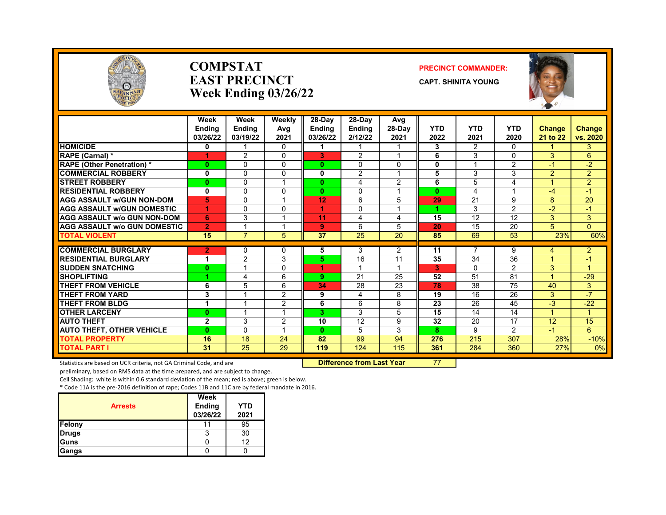

#### **COMPSTAT PRECINCT COMMANDER: EAST PRECINCT CAPT. SHINITA YOUNG Week Ending 03/26/22**



|                                     | Week<br><b>Endina</b><br>03/26/22 | Week<br><b>Ending</b><br>03/19/22 | Weekly<br>Avg<br>2021 | 28-Day<br><b>Endina</b><br>03/26/22 | 28-Day<br><b>Endina</b><br>2/12/22 | Avg<br>28-Day<br>2021   | <b>YTD</b><br>2022 | <b>YTD</b><br>2021      | <b>YTD</b><br>2020      | <b>Change</b><br>21 to 22 | <b>Change</b><br>vs. 2020 |
|-------------------------------------|-----------------------------------|-----------------------------------|-----------------------|-------------------------------------|------------------------------------|-------------------------|--------------------|-------------------------|-------------------------|---------------------------|---------------------------|
| <b>HOMICIDE</b>                     | 0                                 |                                   | 0                     |                                     |                                    |                         | 3                  | 2                       | $\Omega$                |                           | 3                         |
| RAPE (Carnal) *                     |                                   | $\mathfrak{p}$                    | $\Omega$              | 3                                   | $\mathfrak{p}$                     | $\overline{\mathbf{A}}$ | 6                  | 3                       | $\Omega$                | 3                         | 6                         |
| <b>RAPE (Other Penetration)*</b>    | $\bf{0}$                          | $\mathbf{0}$                      | 0                     | 0                                   | $\Omega$                           | $\Omega$                | 0                  |                         | $\overline{2}$          | $-1$                      | $-2$                      |
| <b>COMMERCIAL ROBBERY</b>           | 0                                 | $\Omega$                          | 0                     | 0                                   | 2                                  |                         | 5                  | 3                       | 3                       | $\overline{2}$            | $\overline{2}$            |
| <b>STREET ROBBERY</b>               | $\bf{0}$                          | $\Omega$                          |                       | 0                                   | 4                                  | 2                       | 6                  | 5                       | 4                       | 4                         | $\overline{2}$            |
| <b>RESIDENTIAL ROBBERY</b>          | $\bf{0}$                          | $\Omega$                          | <sup>0</sup>          | 0                                   | $\Omega$                           | 1                       | $\mathbf{0}$       | $\overline{\mathbf{4}}$ | $\overline{\mathbf{A}}$ | $-4$                      | $-1$                      |
| <b>AGG ASSAULT w/GUN NON-DOM</b>    | 5                                 | $\Omega$                          |                       | 12                                  | 6                                  | 5                       | 29                 | 21                      | 9                       | 8                         | 20                        |
| <b>AGG ASSAULT w/GUN DOMESTIC</b>   | 1                                 | $\Omega$                          | $\Omega$              | 4                                   | 0                                  |                         |                    | 3                       | $\overline{2}$          | $-2$                      | $\blacktriangleleft$      |
| <b>AGG ASSAULT w/o GUN NON-DOM</b>  | 6                                 | 3                                 |                       | 11                                  | 4                                  | 4                       | 15                 | 12                      | 12                      | 3                         | 3                         |
| <b>AGG ASSAULT w/o GUN DOMESTIC</b> | $\overline{2}$                    |                                   |                       | 9                                   | 6                                  | 5                       | 20                 | 15                      | 20                      | 5                         | $\Omega$                  |
| <b>TOTAL VIOLENT</b>                | 15                                | $\overline{7}$                    | 5                     | 37                                  | 25                                 | 20                      | 85                 | 69                      | 53                      | 23%                       | 60%                       |
| <b>COMMERCIAL BURGLARY</b>          | $\overline{2}$                    | $\Omega$                          | <sup>n</sup>          | 5                                   | 3                                  | 2                       | 11                 | 7                       | 9                       | 4                         | $\overline{2}$            |
| <b>RESIDENTIAL BURGLARY</b>         | 1                                 | 2                                 | 3                     | 5.                                  | 16                                 | 11                      | 35                 | 34                      | 36                      |                           | -1                        |
| <b>SUDDEN SNATCHING</b>             | $\bf{0}$                          |                                   | 0                     | 4                                   |                                    |                         | 3                  | $\Omega$                | $\overline{2}$          | 3                         |                           |
| <b>SHOPLIFTING</b>                  | 4                                 | $\overline{4}$                    | 6                     | 9.                                  | 21                                 | 25                      | 52                 | 51                      | 81                      | 4                         | $-29$                     |
| <b>THEFT FROM VEHICLE</b>           | 6                                 | 5                                 | 6                     | 34                                  | 28                                 | 23                      | 78                 | 38                      | 75                      | 40                        | 3                         |
| <b>THEFT FROM YARD</b>              | 3                                 |                                   | $\overline{2}$        | 9                                   | 4                                  | 8                       | 19                 | 16                      | 26                      | 3                         | $-7$                      |
| <b>THEFT FROM BLDG</b>              | 1                                 |                                   | $\overline{2}$        | 6                                   | 6                                  | 8                       | 23                 | 26                      | 45                      | $-3$                      | $-22$                     |
| <b>OTHER LARCENY</b>                | $\bf{0}$                          |                                   |                       | 3.                                  | 3                                  | 5                       | 15                 | 14                      | 14                      | 4                         |                           |
| <b>AUTO THEFT</b>                   | $\mathbf{2}$                      | 3                                 | 2                     | 10                                  | $\overline{12}$                    | 9                       | 32                 | 20                      | 17                      | 12                        | 15                        |
| <b>AUTO THEFT, OTHER VEHICLE</b>    | $\bf{0}$                          | $\Omega$                          |                       | $\bf{0}$                            | 5                                  | 3                       | 8                  | 9                       | $\overline{2}$          | $-1$                      | 6                         |
| <b>TOTAL PROPERTY</b>               | 16                                | 18                                | 24                    | 82                                  | 99                                 | 94                      | 276                | 215                     | 307                     | 28%                       | $-10%$                    |
| <b>TOTAL PART I</b>                 | 31                                | 25                                | 29                    | 119                                 | 124                                | 115                     | 361                | 284                     | 360                     | 27%                       | 0%                        |

Statistics are based on UCR criteria, not GA Criminal Code, and are **Difference from Last Year** 77

preliminary, based on RMS data at the time prepared, and are subject to change.

Cell Shading: white is within 0.6 standard deviation of the mean; red is above; green is below.

| <b>Arrests</b> | Week<br><b>Ending</b><br>03/26/22 | YTD<br>2021       |
|----------------|-----------------------------------|-------------------|
| Felony         | 11                                | 95                |
| <b>Drugs</b>   | 3                                 | 30                |
| Guns           |                                   | $12 \overline{ }$ |
| Gangs          |                                   |                   |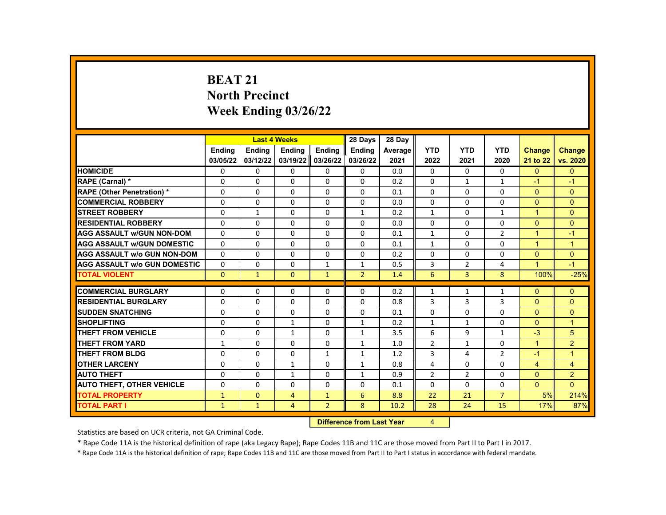# **BEAT 21 North Precinct Week Ending 03/26/22**

|                                     |              | <b>Last 4 Weeks</b> |                |                  | 28 Days                  | 28 Day  |                |                |                |                      |                |
|-------------------------------------|--------------|---------------------|----------------|------------------|--------------------------|---------|----------------|----------------|----------------|----------------------|----------------|
|                                     | Ending       | Ending              | Ending         | Ending           | <b>Endina</b>            | Average | <b>YTD</b>     | <b>YTD</b>     | <b>YTD</b>     | <b>Change</b>        | <b>Change</b>  |
|                                     | 03/05/22     | 03/12/22            | 03/19/22       | 03/26/22         | 03/26/22                 | 2021    | 2022           | 2021           | 2020           | 21 to 22             | vs. 2020       |
| <b>HOMICIDE</b>                     | 0            | $\mathbf{0}$        | $\mathbf{0}$   | 0                | $\mathbf{0}$             | 0.0     | 0              | $\mathbf{0}$   | $\mathbf{0}$   | $\mathbf{0}$         | $\mathbf{0}$   |
| RAPE (Carnal) *                     | $\Omega$     | $\Omega$            | $\Omega$       | $\Omega$         | $\Omega$                 | 0.2     | $\Omega$       | $\mathbf{1}$   | $\mathbf{1}$   | $-1$                 | $-1$           |
| <b>RAPE (Other Penetration) *</b>   | $\Omega$     | $\Omega$            | $\Omega$       | $\Omega$         | $\Omega$                 | 0.1     | $\Omega$       | $\Omega$       | $\Omega$       | $\Omega$             | $\Omega$       |
| <b>COMMERCIAL ROBBERY</b>           | 0            | $\mathbf{0}$        | $\mathbf{0}$   | 0                | $\mathbf{0}$             | 0.0     | 0              | 0              | $\Omega$       | $\Omega$             | $\Omega$       |
| <b>STREET ROBBERY</b>               | $\Omega$     | $\mathbf{1}$        | $\Omega$       | $\Omega$         | $\mathbf{1}$             | 0.2     | $\mathbf{1}$   | $\Omega$       | $\mathbf{1}$   | $\mathbf{1}$         | $\Omega$       |
| <b>RESIDENTIAL ROBBERY</b>          | $\Omega$     | $\Omega$            | $\Omega$       | $\Omega$         | 0                        | 0.0     | $\Omega$       | $\Omega$       | $\Omega$       | $\Omega$             | $\Omega$       |
| <b>AGG ASSAULT w/GUN NON-DOM</b>    | 0            | 0                   | 0              | 0                | 0                        | 0.1     | $\mathbf{1}$   | 0              | 2              | $\blacktriangleleft$ | $-1$           |
| <b>AGG ASSAULT W/GUN DOMESTIC</b>   | $\Omega$     | $\Omega$            | $\Omega$       | $\Omega$         | $\Omega$                 | 0.1     | $\mathbf{1}$   | $\Omega$       | $\Omega$       | $\blacktriangleleft$ | $\overline{1}$ |
| <b>AGG ASSAULT W/o GUN NON-DOM</b>  | $\Omega$     | $\Omega$            | $\Omega$       | $\Omega$         | $\Omega$                 | 0.2     | $\Omega$       | $\Omega$       | $\Omega$       | $\Omega$             | $\Omega$       |
| <b>AGG ASSAULT W/o GUN DOMESTIC</b> | $\Omega$     | 0                   | 0              | $\mathbf{1}$     | $\mathbf{1}$             | 0.5     | 3              | $\overline{2}$ | 4              | $\blacktriangleleft$ | $-1$           |
| <b>TOTAL VIOLENT</b>                | $\mathbf{0}$ | $\mathbf{1}$        | $\mathbf{0}$   | $\mathbf{1}$     | $\overline{2}$           | 1.4     | 6              | 3              | 8              | 100%                 | $-25%$         |
|                                     |              |                     |                |                  |                          |         |                |                |                |                      |                |
| <b>COMMERCIAL BURGLARY</b>          | 0            | $\mathbf{0}$        | 0              | 0                | 0                        | 0.2     | $\mathbf{1}$   | 1              | 1              | $\Omega$             | $\mathbf{0}$   |
| <b>RESIDENTIAL BURGLARY</b>         | $\Omega$     | $\Omega$            | $\Omega$       | $\Omega$         | $\Omega$                 | 0.8     | 3              | 3              | 3              | $\Omega$             | $\Omega$       |
| <b>SUDDEN SNATCHING</b>             | $\Omega$     | $\Omega$            | $\Omega$       | $\Omega$         | $\Omega$                 | 0.1     | $\Omega$       | $\Omega$       | $\Omega$       | $\Omega$             | $\Omega$       |
| <b>SHOPLIFTING</b>                  | 0            | $\mathbf{0}$        | $\mathbf{1}$   | 0                | $\mathbf{1}$             | 0.2     | $\mathbf{1}$   | $\mathbf{1}$   | $\Omega$       | $\mathbf{0}$         | $\overline{1}$ |
| <b>THEFT FROM VEHICLE</b>           | $\Omega$     | $\Omega$            | $\mathbf{1}$   | $\Omega$         | $\mathbf{1}$             | 3.5     | 6              | 9              | $\mathbf{1}$   | $-3$                 | 5              |
| <b>THEFT FROM YARD</b>              | $\mathbf{1}$ | $\Omega$            | $\Omega$       | $\Omega$         | $\mathbf{1}$             | 1.0     | $\overline{2}$ | $\mathbf{1}$   | $\Omega$       | $\blacktriangleleft$ | $\overline{2}$ |
| <b>THEFT FROM BLDG</b>              | 0            | $\mathbf{0}$        | 0              | $\mathbf{1}$     | $\mathbf{1}$             | 1.2     | 3              | 4              | $\overline{2}$ | -1                   | $\mathbf{1}$   |
| <b>OTHER LARCENY</b>                | $\Omega$     | $\Omega$            | $\mathbf{1}$   | $\Omega$         | $\mathbf{1}$             | 0.8     | 4              | $\Omega$       | $\Omega$       | $\overline{4}$       | $\overline{4}$ |
| <b>AUTO THEFT</b>                   | 0            | $\Omega$            | $\mathbf{1}$   | $\Omega$         | $\mathbf{1}$             | 0.9     | $\overline{2}$ | 2              | $\Omega$       | $\Omega$             | $\overline{2}$ |
| <b>AUTO THEFT, OTHER VEHICLE</b>    | 0            | $\mathbf{0}$        | 0              | 0                | 0                        | 0.1     | 0              | 0              | 0              | $\overline{0}$       | $\Omega$       |
| <b>TOTAL PROPERTY</b>               | 1            | $\mathbf{0}$        | $\overline{4}$ | $\mathbf{1}$     | 6                        | 8.8     | 22             | 21             | $\overline{7}$ | 5%                   | 214%           |
| <b>TOTAL PART I</b>                 | $\mathbf{1}$ | $\mathbf{1}$        | 4              | $\overline{2}$   | 8                        | 10.2    | 28             | 24             | 15             | 17%                  | 87%            |
|                                     |              |                     |                | <b>INSECTION</b> | an American Indian March |         | $\overline{a}$ |                |                |                      |                |

**Difference from Last Year** 4

Statistics are based on UCR criteria, not GA Criminal Code.

\* Rape Code 11A is the historical definition of rape (aka Legacy Rape); Rape Codes 11B and 11C are those moved from Part II to Part I in 2017.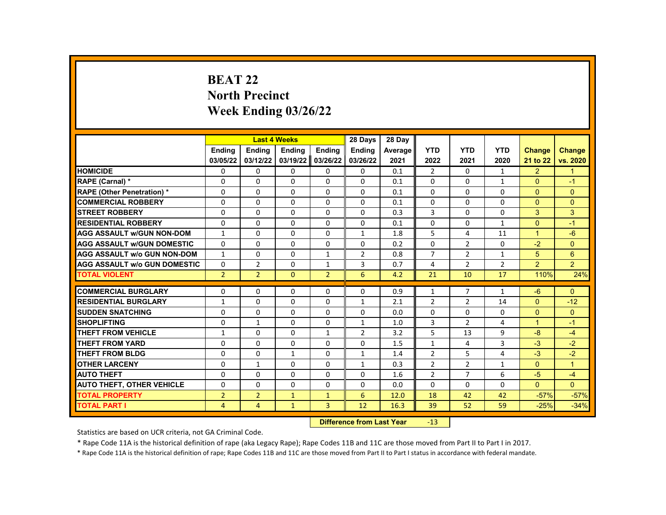# **BEAT 22 North Precinct Week Ending 03/26/22**

|                                     |                | <b>Last 4 Weeks</b>       |               |                | 28 Days        | 28 Day  |                |                |                |                      |                |
|-------------------------------------|----------------|---------------------------|---------------|----------------|----------------|---------|----------------|----------------|----------------|----------------------|----------------|
|                                     | <b>Endina</b>  | <b>Ending</b>             | <b>Ending</b> | <b>Ending</b>  | <b>Endina</b>  | Average | <b>YTD</b>     | <b>YTD</b>     | <b>YTD</b>     | <b>Change</b>        | <b>Change</b>  |
|                                     | 03/05/22       | 03/12/22                  | 03/19/22      | 03/26/22       | 03/26/22       | 2021    | 2022           | 2021           | 2020           | 21 to 22             | vs. 2020       |
| <b>HOMICIDE</b>                     | 0              | 0                         | 0             | 0              | 0              | 0.1     | 2              | 0              | $\mathbf{1}$   | $\overline{2}$       | $\mathbf{1}$   |
| RAPE (Carnal) *                     | 0              | $\Omega$                  | $\Omega$      | $\Omega$       | $\Omega$       | 0.1     | $\Omega$       | $\Omega$       | $\mathbf{1}$   | $\Omega$             | $-1$           |
| RAPE (Other Penetration) *          | 0              | $\Omega$                  | $\Omega$      | $\Omega$       | $\Omega$       | 0.1     | $\Omega$       | $\Omega$       | $\Omega$       | $\Omega$             | $\Omega$       |
| <b>COMMERCIAL ROBBERY</b>           | 0              | 0                         | $\Omega$      | 0              | 0              | 0.1     | 0              | 0              | 0              | $\mathbf{0}$         | $\Omega$       |
| <b>STREET ROBBERY</b>               | $\Omega$       | $\Omega$                  | $\Omega$      | $\Omega$       | $\Omega$       | 0.3     | 3              | $\Omega$       | $\Omega$       | 3                    | 3              |
| <b>RESIDENTIAL ROBBERY</b>          | $\Omega$       | $\Omega$                  | $\Omega$      | $\Omega$       | $\Omega$       | 0.1     | $\Omega$       | $\Omega$       | $\mathbf{1}$   | $\Omega$             | $-1$           |
| <b>AGG ASSAULT w/GUN NON-DOM</b>    | $\mathbf{1}$   | 0                         | 0             | 0              | $\mathbf{1}$   | 1.8     | 5              | 4              | 11             | $\mathbf{1}$         | $-6$           |
| <b>AGG ASSAULT W/GUN DOMESTIC</b>   | $\Omega$       | $\Omega$                  | $\Omega$      | $\Omega$       | $\Omega$       | 0.2     | $\Omega$       | $\overline{2}$ | $\Omega$       | $-2$                 | $\Omega$       |
| <b>AGG ASSAULT w/o GUN NON-DOM</b>  | $\mathbf{1}$   | $\Omega$                  | $\Omega$      | $\mathbf{1}$   | $\overline{2}$ | 0.8     | $\overline{7}$ | $\overline{2}$ | $\mathbf{1}$   | 5                    | 6              |
| <b>AGG ASSAULT W/o GUN DOMESTIC</b> | $\Omega$       | $\overline{2}$            | $\Omega$      | $\mathbf{1}$   | 3              | 0.7     | 4              | $\overline{2}$ | $\overline{2}$ | $\overline{2}$       | $\overline{2}$ |
| <b>TOTAL VIOLENT</b>                | $\overline{2}$ | $\overline{2}$            | $\mathbf{0}$  | $\overline{2}$ | 6              | 4.2     | 21             | 10             | 17             | 110%                 | 24%            |
|                                     |                |                           |               |                |                |         |                |                |                |                      |                |
| <b>COMMERCIAL BURGLARY</b>          | 0              | $\mathbf{0}$              | 0             | 0              | 0              | 0.9     | $\mathbf{1}$   | 7              | $\mathbf{1}$   | $-6$                 | $\mathbf{0}$   |
| <b>RESIDENTIAL BURGLARY</b>         | $\mathbf{1}$   | 0                         | 0             | 0              | $\mathbf{1}$   | 2.1     | $\overline{2}$ | $\overline{2}$ | 14             | $\overline{0}$       | $-12$          |
| <b>SUDDEN SNATCHING</b>             | $\Omega$       | $\Omega$                  | $\Omega$      | $\Omega$       | $\Omega$       | 0.0     | $\Omega$       | $\Omega$       | $\Omega$       | $\Omega$             | $\Omega$       |
| <b>SHOPLIFTING</b>                  | 0              | $\mathbf{1}$              | $\Omega$      | $\Omega$       | $\mathbf{1}$   | 1.0     | 3              | $\overline{2}$ | 4              | $\blacktriangleleft$ | $-1$           |
| <b>THEFT FROM VEHICLE</b>           | $\mathbf{1}$   | $\Omega$                  | $\Omega$      | $\mathbf{1}$   | $\overline{2}$ | 3.2     | 5              | 13             | 9              | $-8$                 | $-4$           |
| <b>THEFT FROM YARD</b>              | 0              | $\Omega$                  | $\Omega$      | $\Omega$       | $\Omega$       | 1.5     | $\mathbf{1}$   | 4              | 3              | $-3$                 | $-2$           |
| <b>THEFT FROM BLDG</b>              | 0              | $\Omega$                  | $\mathbf{1}$  | 0              | $\mathbf{1}$   | 1.4     | $\overline{2}$ | 5              | 4              | $-3$                 | $-2$           |
| <b>OTHER LARCENY</b>                | 0              | $\mathbf{1}$              | $\Omega$      | $\Omega$       | $\mathbf{1}$   | 0.3     | $\overline{2}$ | $\overline{2}$ | $\mathbf{1}$   | $\Omega$             | $\mathbf{1}$   |
| <b>AUTO THEFT</b>                   | 0              | $\Omega$                  | $\Omega$      | $\Omega$       | $\Omega$       | 1.6     | $\overline{2}$ | $\overline{7}$ | 6              | $-5$                 | $-4$           |
| <b>AUTO THEFT, OTHER VEHICLE</b>    | 0              | $\Omega$                  | $\Omega$      | $\Omega$       | 0              | 0.0     | $\Omega$       | $\Omega$       | $\Omega$       | $\Omega$             | $\Omega$       |
| <b>TOTAL PROPERTY</b>               | $\overline{2}$ | $\overline{2}$            | $\mathbf{1}$  | $\mathbf{1}$   | 6              | 12.0    | 18             | 42             | 42             | $-57%$               | $-57%$         |
| <b>TOTAL PART I</b>                 | 4              | $\overline{4}$            | $\mathbf{1}$  | 3              | 12             | 16.3    | 39             | 52             | 59             | $-25%$               | $-34%$         |
|                                     |                | Difference from Loot Voor |               | 12             |                |         |                |                |                |                      |                |

**Difference from Last Year** -13

Statistics are based on UCR criteria, not GA Criminal Code.

\* Rape Code 11A is the historical definition of rape (aka Legacy Rape); Rape Codes 11B and 11C are those moved from Part II to Part I in 2017.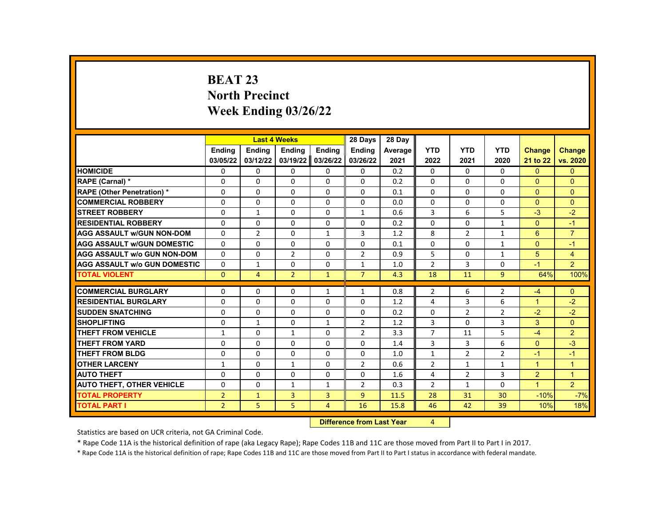# **BEAT 23 North Precinct Week Ending 03/26/22**

|                                     |                | <b>Last 4 Weeks</b> |                |               | 28 Days        | 28 Dav                           |                |                |                |                |                |
|-------------------------------------|----------------|---------------------|----------------|---------------|----------------|----------------------------------|----------------|----------------|----------------|----------------|----------------|
|                                     | <b>Endina</b>  | <b>Endina</b>       | Ending         | <b>Endina</b> | <b>Endina</b>  | Average                          | <b>YTD</b>     | <b>YTD</b>     | <b>YTD</b>     | <b>Change</b>  | <b>Change</b>  |
|                                     | 03/05/22       | 03/12/22            | 03/19/22       | 03/26/22      | 03/26/22       | 2021                             | 2022           | 2021           | 2020           | 21 to 22       | vs. 2020       |
| <b>HOMICIDE</b>                     | 0              | 0                   | $\Omega$       | 0             | 0              | 0.2                              | $\mathbf{0}$   | $\Omega$       | 0              | $\mathbf{0}$   | $\mathbf{0}$   |
| RAPE (Carnal) *                     | $\Omega$       | $\Omega$            | $\Omega$       | $\Omega$      | $\Omega$       | 0.2                              | $\Omega$       | $\Omega$       | $\Omega$       | $\Omega$       | $\Omega$       |
| <b>RAPE (Other Penetration) *</b>   | 0              | 0                   | $\Omega$       | 0             | 0              | 0.1                              | $\Omega$       | $\Omega$       | 0              | $\overline{0}$ | $\mathbf{0}$   |
| <b>COMMERCIAL ROBBERY</b>           | 0              | $\Omega$            | $\Omega$       | $\Omega$      | $\Omega$       | 0.0                              | $\Omega$       | $\Omega$       | $\Omega$       | $\Omega$       | $\Omega$       |
| <b>STREET ROBBERY</b>               | $\Omega$       | $\mathbf{1}$        | $\Omega$       | $\Omega$      | $\mathbf{1}$   | 0.6                              | 3              | 6              | 5              | $-3$           | $-2$           |
| <b>RESIDENTIAL ROBBERY</b>          | 0              | $\Omega$            | 0              | 0             | 0              | 0.2                              | $\Omega$       | $\Omega$       | $\mathbf{1}$   | $\Omega$       | $-1$           |
| <b>AGG ASSAULT w/GUN NON-DOM</b>    | $\Omega$       | $\overline{2}$      | $\Omega$       | $\mathbf{1}$  | 3              | 1.2                              | 8              | $\overline{2}$ | $\mathbf{1}$   | 6              | $\overline{7}$ |
| <b>AGG ASSAULT W/GUN DOMESTIC</b>   | $\Omega$       | $\Omega$            | $\Omega$       | $\Omega$      | $\Omega$       | 0.1                              | $\Omega$       | $\Omega$       | $\mathbf{1}$   | $\Omega$       | $-1$           |
| <b>AGG ASSAULT w/o GUN NON-DOM</b>  | 0              | $\Omega$            | $\overline{2}$ | 0             | $\overline{2}$ | 0.9                              | 5              | $\Omega$       | $\mathbf{1}$   | 5              | $\overline{4}$ |
| <b>AGG ASSAULT w/o GUN DOMESTIC</b> | 0              | $\mathbf{1}$        | 0              | 0             | $\mathbf{1}$   | 1.0                              | $\overline{2}$ | 3              | 0              | $-1$           | $\overline{2}$ |
| <b>TOTAL VIOLENT</b>                | $\Omega$       | $\overline{4}$      | $\overline{2}$ | $\mathbf{1}$  | $\overline{7}$ | 4.3                              | 18             | 11             | $\overline{9}$ | 64%            | 100%           |
| <b>COMMERCIAL BURGLARY</b>          | 0              | $\Omega$            | $\Omega$       | $\mathbf{1}$  | $\mathbf{1}$   | 0.8                              | $\overline{2}$ | 6              | $\overline{2}$ | $-4$           | $\Omega$       |
| <b>RESIDENTIAL BURGLARY</b>         | 0              | $\mathbf{0}$        | 0              | 0             | $\mathbf{0}$   | 1.2                              | 4              | 3              | 6              | $\mathbf{1}$   | $-2$           |
| <b>SUDDEN SNATCHING</b>             | $\Omega$       | 0                   | $\Omega$       | 0             | $\Omega$       | 0.2                              | $\Omega$       | $\overline{2}$ | $\overline{2}$ | $-2$           | $-2$           |
| <b>SHOPLIFTING</b>                  | $\Omega$       | $\mathbf{1}$        | $\Omega$       | $\mathbf{1}$  | $\overline{2}$ | 1.2                              | 3              | $\Omega$       | 3              | 3              | $\Omega$       |
| <b>THEFT FROM VEHICLE</b>           | $\mathbf{1}$   | $\Omega$            | $\mathbf{1}$   | $\Omega$      | $\overline{2}$ | 3.3                              | $\overline{7}$ | 11             | 5              | $-4$           | $\overline{2}$ |
| <b>THEFT FROM YARD</b>              | 0              | 0                   | $\Omega$       | 0             | $\mathbf 0$    | 1.4                              | 3              | 3              | 6              | $\overline{0}$ | $-3$           |
| <b>THEFT FROM BLDG</b>              | 0              | $\Omega$            | $\Omega$       | $\Omega$      | $\Omega$       | 1.0                              | $\mathbf{1}$   | $\overline{2}$ | $\overline{2}$ | $-1$           | $-1$           |
| <b>OTHER LARCENY</b>                | $\mathbf{1}$   | $\Omega$            | $\mathbf{1}$   | $\Omega$      | $\overline{2}$ | 0.6                              | $\overline{2}$ | $\mathbf{1}$   | $\mathbf{1}$   | $\overline{1}$ | $\overline{1}$ |
| <b>AUTO THEFT</b>                   | 0              | $\Omega$            | $\Omega$       | $\Omega$      | $\mathbf 0$    | 1.6                              | 4              | $\overline{2}$ | 3              | $\overline{2}$ | $\mathbf{1}$   |
| <b>AUTO THEFT, OTHER VEHICLE</b>    | 0              | $\Omega$            | $\mathbf{1}$   | $\mathbf{1}$  | $\overline{2}$ | 0.3                              | $\overline{2}$ | $\mathbf{1}$   | $\Omega$       | $\mathbf{1}$   | 2              |
| <b>TOTAL PROPERTY</b>               | $\overline{2}$ | $\mathbf{1}$        | 3              | 3             | 9              | 11.5                             | 28             | 31             | 30             | $-10%$         | $-7%$          |
| <b>TOTAL PART I</b>                 | $\overline{2}$ | 5                   | 5              | 4             | 16             | 15.8                             | 46             | 42             | 39             | 10%            | 18%            |
|                                     |                |                     |                |               |                | <b>Difference from Last Year</b> | $\overline{4}$ |                |                |                |                |

Statistics are based on UCR criteria, not GA Criminal Code.

\* Rape Code 11A is the historical definition of rape (aka Legacy Rape); Rape Codes 11B and 11C are those moved from Part II to Part I in 2017.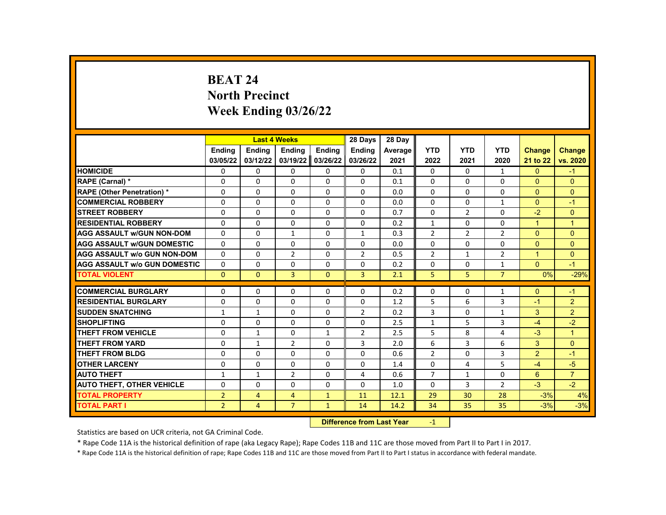# **BEAT 24 North Precinct Week Ending 03/26/22**

|                                     |                | <b>Last 4 Weeks</b> |                |              | 28 Days             | 28 Day  |                |                |                |                |                |
|-------------------------------------|----------------|---------------------|----------------|--------------|---------------------|---------|----------------|----------------|----------------|----------------|----------------|
|                                     | <b>Endina</b>  | Ending              | Ending         | Ending       | Ending              | Average | <b>YTD</b>     | <b>YTD</b>     | <b>YTD</b>     | <b>Change</b>  | <b>Change</b>  |
|                                     | 03/05/22       | 03/12/22            | 03/19/22       | 03/26/22     | 03/26/22            | 2021    | 2022           | 2021           | 2020           | 21 to 22       | vs. 2020       |
| <b>HOMICIDE</b>                     | 0              | $\mathbf{0}$        | 0              | 0            | $\mathbf{0}$        | 0.1     | $\mathbf{0}$   | 0              | $\mathbf{1}$   | $\mathbf{0}$   | $-1$           |
| RAPE (Carnal) *                     | 0              | $\Omega$            | $\Omega$       | $\Omega$     | $\Omega$            | 0.1     | $\Omega$       | $\Omega$       | $\Omega$       | $\Omega$       | $\mathbf{0}$   |
| RAPE (Other Penetration) *          | 0              | $\Omega$            | $\Omega$       | $\Omega$     | $\Omega$            | 0.0     | $\Omega$       | $\Omega$       | $\Omega$       | $\Omega$       | $\Omega$       |
| <b>COMMERCIAL ROBBERY</b>           | 0              | $\mathbf{0}$        | $\Omega$       | 0            | $\mathbf{0}$        | 0.0     | $\Omega$       | $\Omega$       | $\mathbf{1}$   | $\mathbf{0}$   | $-1$           |
| <b>STREET ROBBERY</b>               | $\Omega$       | $\Omega$            | $\Omega$       | $\Omega$     | $\Omega$            | 0.7     | $\Omega$       | $\overline{2}$ | $\Omega$       | $-2$           | $\Omega$       |
| <b>RESIDENTIAL ROBBERY</b>          | $\Omega$       | $\Omega$            | $\Omega$       | $\Omega$     | $\Omega$            | 0.2     | $\mathbf{1}$   | $\Omega$       | $\Omega$       | $\mathbf{1}$   | $\mathbf{1}$   |
| <b>AGG ASSAULT w/GUN NON-DOM</b>    | $\Omega$       | 0                   | $\mathbf{1}$   | 0            | $\mathbf{1}$        | 0.3     | $\overline{2}$ | $\overline{2}$ | $\overline{2}$ | $\Omega$       | $\mathbf{0}$   |
| <b>AGG ASSAULT W/GUN DOMESTIC</b>   | $\Omega$       | $\Omega$            | $\Omega$       | $\Omega$     | 0                   | 0.0     | $\Omega$       | $\Omega$       | 0              | $\Omega$       | $\Omega$       |
| <b>AGG ASSAULT w/o GUN NON-DOM</b>  | $\Omega$       | $\Omega$            | $\overline{2}$ | $\Omega$     | $\overline{2}$      | 0.5     | $\overline{2}$ | $\mathbf{1}$   | $\overline{2}$ | $\overline{1}$ | $\Omega$       |
| <b>AGG ASSAULT W/o GUN DOMESTIC</b> | $\Omega$       | 0                   | $\Omega$       | 0            | 0                   | 0.2     | 0              | 0              | $\mathbf{1}$   | $\Omega$       | $-1$           |
| <b>TOTAL VIOLENT</b>                | $\mathbf{0}$   | $\mathbf{0}$        | 3              | $\mathbf{0}$ | 3                   | 2.1     | 5              | 5              | $\overline{7}$ | 0%             | $-29%$         |
|                                     |                |                     |                |              |                     |         |                |                |                |                |                |
| <b>COMMERCIAL BURGLARY</b>          | 0              | $\mathbf{0}$        | 0              | 0            | 0                   | 0.2     | 0              | 0              | 1              | $\mathbf{0}$   | $-1$           |
| <b>RESIDENTIAL BURGLARY</b>         | 0              | $\Omega$            | $\Omega$       | $\Omega$     | $\Omega$            | 1.2     | 5              | 6              | 3              | $-1$           | $\overline{2}$ |
| <b>SUDDEN SNATCHING</b>             | $\mathbf{1}$   | $\mathbf{1}$        | $\Omega$       | $\Omega$     | $\overline{2}$      | 0.2     | 3              | $\Omega$       | $\mathbf{1}$   | 3              | $\overline{2}$ |
| <b>SHOPLIFTING</b>                  | 0              | $\mathbf{0}$        | 0              | 0            | 0                   | 2.5     | $\mathbf{1}$   | 5              | 3              | $-4$           | $-2$           |
| <b>THEFT FROM VEHICLE</b>           | $\Omega$       | $\mathbf{1}$        | $\Omega$       | $\mathbf{1}$ | $\overline{2}$      | 2.5     | 5              | 8              | 4              | $-3$           | $\mathbf{1}$   |
| <b>THEFT FROM YARD</b>              | $\Omega$       | $\mathbf{1}$        | $\overline{2}$ | $\Omega$     | 3                   | 2.0     | 6              | 3              | 6              | 3              | $\Omega$       |
| <b>THEFT FROM BLDG</b>              | 0              | $\Omega$            | $\Omega$       | $\Omega$     | 0                   | 0.6     | $\overline{2}$ | $\Omega$       | 3              | $\overline{2}$ | $-1$           |
| <b>OTHER LARCENY</b>                | $\Omega$       | $\Omega$            | $\Omega$       | $\Omega$     | $\Omega$            | 1.4     | $\Omega$       | 4              | 5              | $-4$           | $-5$           |
| <b>AUTO THEFT</b>                   | $\mathbf{1}$   | $\mathbf{1}$        | $\overline{2}$ | $\Omega$     | 4                   | 0.6     | $\overline{7}$ | $\mathbf{1}$   | 0              | 6              | $\overline{7}$ |
| <b>AUTO THEFT, OTHER VEHICLE</b>    | 0              | 0                   | 0              | 0            | 0                   | 1.0     | $\mathbf{0}$   | 3              | $\overline{2}$ | $-3$           | $-2$           |
| <b>TOTAL PROPERTY</b>               | $\overline{2}$ | 4                   | $\overline{4}$ | $\mathbf{1}$ | 11                  | 12.1    | 29             | 30             | 28             | $-3%$          | 4%             |
| <b>TOTAL PART I</b>                 | $\overline{2}$ | $\overline{4}$      | $\overline{7}$ | $\mathbf{1}$ | 14                  | 14.2    | 34             | 35             | 35             | $-3%$          | $-3%$          |
|                                     |                |                     |                |              | an dan an Isaad Man |         |                |                |                |                |                |

**Difference from Last Year** -1

Statistics are based on UCR criteria, not GA Criminal Code.

\* Rape Code 11A is the historical definition of rape (aka Legacy Rape); Rape Codes 11B and 11C are those moved from Part II to Part I in 2017.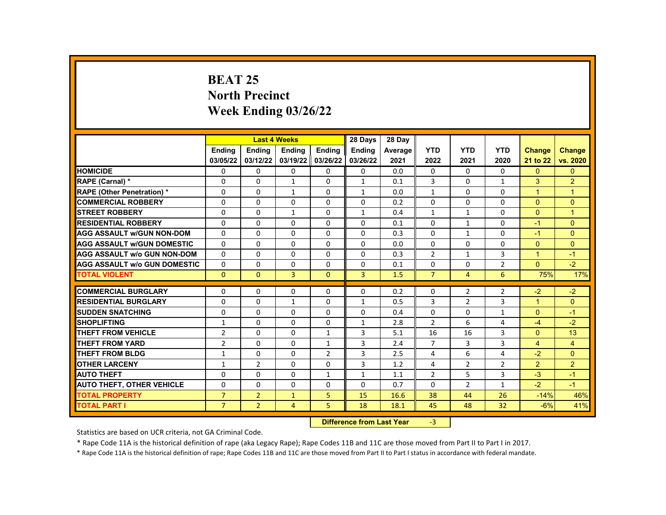# **BEAT 25 North Precinct Week Ending 03/26/22**

|                                     |                       | <b>Last 4 Weeks</b>              |                |                | 28 Days        | 28 Day  |                |                |                |                      |                |
|-------------------------------------|-----------------------|----------------------------------|----------------|----------------|----------------|---------|----------------|----------------|----------------|----------------------|----------------|
|                                     | <b>Endina</b>         | Ending                           | Ending         | <b>Ending</b>  | <b>Ending</b>  | Average | <b>YTD</b>     | <b>YTD</b>     | <b>YTD</b>     | <b>Change</b>        | <b>Change</b>  |
|                                     | 03/05/22              | 03/12/22                         | 03/19/22       | 03/26/22       | 03/26/22       | 2021    | 2022           | 2021           | 2020           | 21 to 22             | vs. 2020       |
| <b>HOMICIDE</b>                     | 0                     | 0                                | 0              | 0              | 0              | 0.0     | $\mathbf{0}$   | $\Omega$       | $\Omega$       | $\mathbf{0}$         | $\mathbf{0}$   |
| <b>RAPE (Carnal) *</b>              | 0                     | $\Omega$                         | $\mathbf{1}$   | $\Omega$       | $\mathbf{1}$   | 0.1     | 3              | $\Omega$       | $\mathbf{1}$   | 3                    | 2              |
| <b>RAPE (Other Penetration) *</b>   | 0                     | $\Omega$                         | $\mathbf{1}$   | $\Omega$       | $\mathbf{1}$   | 0.0     | $\mathbf{1}$   | $\Omega$       | $\Omega$       | $\overline{1}$       | $\mathbf{1}$   |
| <b>COMMERCIAL ROBBERY</b>           | 0                     | 0                                | 0              | $\mathbf{0}$   | 0              | 0.2     | $\Omega$       | $\mathbf{0}$   | $\mathbf{0}$   | $\Omega$             | $\Omega$       |
| <b>STREET ROBBERY</b>               | 0                     | $\Omega$                         | $\mathbf{1}$   | $\Omega$       | $\mathbf{1}$   | 0.4     | $\mathbf{1}$   | $\mathbf{1}$   | $\Omega$       | $\Omega$             | $\overline{1}$ |
| <b>RESIDENTIAL ROBBERY</b>          | 0                     | $\Omega$                         | 0              | $\mathbf{0}$   | 0              | 0.1     | $\Omega$       | $\mathbf{1}$   | $\mathbf{0}$   | $-1$                 | $\mathbf{0}$   |
| <b>AGG ASSAULT w/GUN NON-DOM</b>    | $\Omega$              | 0                                | $\Omega$       | $\Omega$       | 0              | 0.3     | $\Omega$       | 1              | $\Omega$       | $-1$                 | $\Omega$       |
| <b>AGG ASSAULT W/GUN DOMESTIC</b>   | 0                     | $\Omega$                         | $\Omega$       | $\Omega$       | 0              | 0.0     | $\Omega$       | $\Omega$       | $\Omega$       | $\Omega$             | $\Omega$       |
| <b>AGG ASSAULT w/o GUN NON-DOM</b>  | 0                     | 0                                | 0              | $\mathbf{0}$   | 0              | 0.3     | $\overline{2}$ | $\mathbf{1}$   | 3              | $\blacktriangleleft$ | $-1$           |
| <b>AGG ASSAULT W/o GUN DOMESTIC</b> | $\Omega$              | $\Omega$                         | $\Omega$       | $\Omega$       | 0              | 0.1     | $\Omega$       | $\Omega$       | $\overline{2}$ | $\Omega$             | $-2$           |
| <b>TOTAL VIOLENT</b>                | $\Omega$              | $\Omega$                         | $\overline{3}$ | $\Omega$       | $\overline{3}$ | 1.5     | $\overline{7}$ | $\overline{4}$ | 6              | 75%                  | 17%            |
| <b>COMMERCIAL BURGLARY</b>          | 0                     | $\Omega$                         | $\Omega$       | $\mathbf{0}$   | 0              | 0.2     | $\Omega$       | 2              | 2              | $-2$                 | $-2$           |
| <b>RESIDENTIAL BURGLARY</b>         | 0                     | 0                                | $\mathbf{1}$   | 0              | 1              | 0.5     | 3              | $\overline{2}$ | 3              | $\blacktriangleleft$ | $\mathbf{0}$   |
| <b>SUDDEN SNATCHING</b>             | 0                     | $\Omega$                         | $\Omega$       | $\Omega$       | 0              | 0.4     | $\Omega$       | $\Omega$       | $\mathbf{1}$   | $\Omega$             | $-1$           |
| <b>SHOPLIFTING</b>                  | $\mathbf{1}$          | $\Omega$                         | $\Omega$       | $\Omega$       | $\mathbf{1}$   | 2.8     | $\mathcal{L}$  | 6              | 4              | $-4$                 | $-2$           |
| <b>THEFT FROM VEHICLE</b>           | $\mathbf{2}^{\prime}$ | 0                                | 0              | 1              | 3              | 5.1     | 16             | 16             | 3              | $\Omega$             | 13             |
| <b>THEFT FROM YARD</b>              | $\overline{2}$        | $\Omega$                         | $\Omega$       | $\mathbf{1}$   | 3              | 2.4     | $\overline{7}$ | 3              | 3              | $\overline{4}$       | $\overline{4}$ |
| <b>THEFT FROM BLDG</b>              | $\mathbf{1}$          | $\Omega$                         | $\Omega$       | $\overline{2}$ | 3              | 2.5     | 4              | 6              | 4              | $-2$                 | $\mathbf{0}$   |
| <b>OTHER LARCENY</b>                | $\mathbf{1}$          | $\overline{2}$                   | $\Omega$       | $\Omega$       | 3              | 1.2     | 4              | $\overline{2}$ | $\overline{2}$ | $\overline{2}$       | $\overline{2}$ |
| <b>AUTO THEFT</b>                   | 0                     | $\Omega$                         | $\Omega$       | $\mathbf{1}$   | $\mathbf{1}$   | 1.1     | $\overline{2}$ | 5              | 3              | $-3$                 | $-1$           |
| <b>AUTO THEFT, OTHER VEHICLE</b>    | $\Omega$              | 0                                | 0              | $\mathbf{0}$   | 0              | 0.7     | $\Omega$       | $\overline{2}$ | $\mathbf{1}$   | $-2$                 | $-1$           |
| <b>TOTAL PROPERTY</b>               | $\overline{7}$        | $\overline{2}$                   | $\mathbf{1}$   | 5              | 15             | 16.6    | 38             | 44             | 26             | $-14%$               | 46%            |
| <b>TOTAL PART I</b>                 | $\overline{7}$        | $\overline{2}$                   | $\overline{4}$ | 5              | 18             | 18.1    | 45             | 48             | 32             | $-6%$                | 41%            |
|                                     |                       | <b>Difference from Last Year</b> |                | $-3$           |                |         |                |                |                |                      |                |

Statistics are based on UCR criteria, not GA Criminal Code.

\* Rape Code 11A is the historical definition of rape (aka Legacy Rape); Rape Codes 11B and 11C are those moved from Part II to Part I in 2017.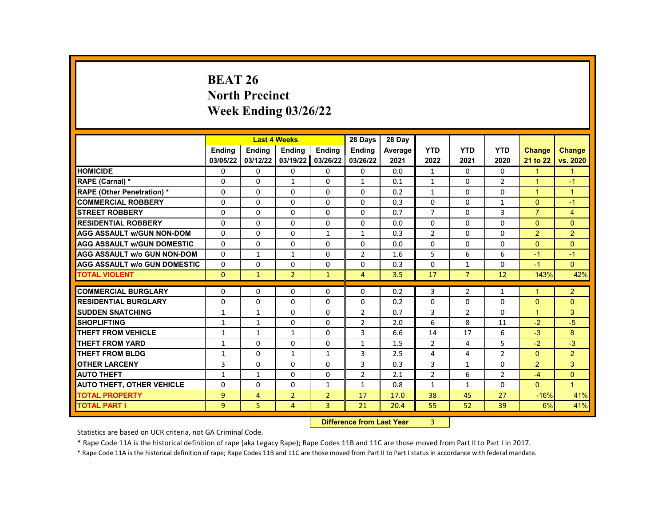# **BEAT 26 North Precinct Week Ending 03/26/22**

|                                     |               |               | <b>Last 4 Weeks</b> |                                    | 28 Days        | 28 Day  |                |                |                |                |                      |
|-------------------------------------|---------------|---------------|---------------------|------------------------------------|----------------|---------|----------------|----------------|----------------|----------------|----------------------|
|                                     | <b>Endina</b> | <b>Ending</b> | <b>Ending</b>       | Ending                             | <b>Ending</b>  | Average | <b>YTD</b>     | <b>YTD</b>     | <b>YTD</b>     | <b>Change</b>  | <b>Change</b>        |
|                                     | 03/05/22      | 03/12/22      | 03/19/22            | 03/26/22                           | 03/26/22       | 2021    | 2022           | 2021           | 2020           | 21 to 22       | vs. 2020             |
| <b>HOMICIDE</b>                     | 0             | 0             | 0                   | 0                                  | 0              | 0.0     | $\mathbf{1}$   | 0              | 0              | $\mathbf{1}$   | $\mathbf{1}$         |
| RAPE (Carnal) *                     | 0             | $\Omega$      | $\mathbf{1}$        | $\Omega$                           | $\mathbf{1}$   | 0.1     | $\mathbf{1}$   | $\Omega$       | $\overline{2}$ | $\mathbf{1}$   | $-1$                 |
| RAPE (Other Penetration) *          | 0             | $\Omega$      | $\Omega$            | $\Omega$                           | $\Omega$       | 0.2     | $\mathbf{1}$   | $\Omega$       | $\Omega$       | $\overline{1}$ | $\overline{1}$       |
| <b>COMMERCIAL ROBBERY</b>           | 0             | $\Omega$      | $\Omega$            | $\Omega$                           | 0              | 0.3     | $\Omega$       | $\Omega$       | $\mathbf{1}$   | $\mathbf{0}$   | $-1$                 |
| <b>STREET ROBBERY</b>               | 0             | $\Omega$      | $\Omega$            | $\Omega$                           | $\Omega$       | 0.7     | $\overline{7}$ | $\Omega$       | 3              | $\overline{7}$ | $\overline{4}$       |
| <b>RESIDENTIAL ROBBERY</b>          | $\Omega$      | $\Omega$      | $\Omega$            | $\Omega$                           | $\Omega$       | 0.0     | $\Omega$       | $\Omega$       | $\Omega$       | $\Omega$       | $\Omega$             |
| <b>AGG ASSAULT w/GUN NON-DOM</b>    | $\Omega$      | $\Omega$      | $\Omega$            | $\mathbf{1}$                       | $\mathbf{1}$   | 0.3     | $\overline{2}$ | $\Omega$       | $\Omega$       | $\overline{2}$ | $\overline{2}$       |
| <b>AGG ASSAULT W/GUN DOMESTIC</b>   | $\Omega$      | $\Omega$      | $\Omega$            | $\Omega$                           | 0              | 0.0     | $\Omega$       | $\Omega$       | 0              | $\Omega$       | $\Omega$             |
| <b>AGG ASSAULT w/o GUN NON-DOM</b>  | $\Omega$      | $\mathbf{1}$  | $\mathbf{1}$        | $\Omega$                           | $\overline{2}$ | 1.6     | 5              | 6              | 6              | $-1$           | $-1$                 |
| <b>AGG ASSAULT W/o GUN DOMESTIC</b> | $\Omega$      | 0             | $\Omega$            | 0                                  | 0              | 0.3     | $\Omega$       | $\mathbf{1}$   | 0              | $-1$           | $\overline{0}$       |
| <b>TOTAL VIOLENT</b>                | $\mathbf{0}$  | $\mathbf{1}$  | $\overline{2}$      | $\mathbf{1}$                       | $\overline{4}$ | 3.5     | 17             | $\overline{7}$ | 12             | 143%           | 42%                  |
|                                     |               |               |                     |                                    |                |         |                |                |                |                |                      |
| <b>COMMERCIAL BURGLARY</b>          | 0             | $\Omega$      | 0                   | 0                                  | 0              | 0.2     | 3              | $\overline{2}$ | $\mathbf{1}$   | $\mathbf 1$    | $\overline{2}$       |
| <b>RESIDENTIAL BURGLARY</b>         | $\Omega$      | $\Omega$      | $\Omega$            | $\Omega$                           | $\Omega$       | 0.2     | $\Omega$       | $\Omega$       | $\Omega$       | $\Omega$       | $\mathbf{0}$         |
| <b>SUDDEN SNATCHING</b>             | $\mathbf{1}$  | $\mathbf{1}$  | $\Omega$            | $\Omega$                           | $\overline{2}$ | 0.7     | $\overline{3}$ | $\overline{2}$ | $\Omega$       | $\mathbf{1}$   | 3                    |
| <b>SHOPLIFTING</b>                  | $\mathbf{1}$  | $\mathbf{1}$  | 0                   | 0                                  | $\overline{2}$ | 2.0     | 6              | 8              | 11             | $-2$           | $-5$                 |
| <b>THEFT FROM VEHICLE</b>           | $\mathbf{1}$  | $\mathbf{1}$  | $\mathbf{1}$        | $\Omega$                           | 3              | 6.6     | 14             | 17             | 6              | $-3$           | 8                    |
| <b>THEFT FROM YARD</b>              | $\mathbf{1}$  | $\Omega$      | $\Omega$            | $\Omega$                           | $\mathbf{1}$   | 1.5     | $\overline{2}$ | 4              | 5              | $-2$           | $-3$                 |
| <b>THEFT FROM BLDG</b>              | $\mathbf{1}$  | $\mathbf{0}$  | $\mathbf{1}$        | $\mathbf{1}$                       | 3              | 2.5     | 4              | 4              | $\overline{2}$ | $\mathbf{0}$   | $\overline{2}$       |
| <b>OTHER LARCENY</b>                | 3             | $\Omega$      | $\Omega$            | $\Omega$                           | 3              | 0.3     | 3              | $\mathbf{1}$   | 0              | $\overline{2}$ | 3                    |
| <b>AUTO THEFT</b>                   | $\mathbf{1}$  | $\mathbf{1}$  | $\Omega$            | $\Omega$                           | $\overline{2}$ | 2.1     | $\overline{2}$ | 6              | $\overline{2}$ | $-4$           | $\Omega$             |
| <b>AUTO THEFT, OTHER VEHICLE</b>    | 0             | 0             | 0                   | $\mathbf{1}$                       | $\mathbf{1}$   | 0.8     | $\mathbf{1}$   | $\mathbf{1}$   | 0              | $\mathbf{0}$   | $\blacktriangleleft$ |
| <b>TOTAL PROPERTY</b>               | 9             | 4             | $\overline{2}$      | $\overline{2}$                     | 17             | 17.0    | 38             | 45             | 27             | $-16%$         | 41%                  |
| <b>TOTAL PART I</b>                 | 9             | 5             | $\overline{4}$      | $\overline{3}$                     | 21             | 20.4    | 55             | 52             | 39             | 6%             | 41%                  |
|                                     |               |               |                     | <b>Difference from Least Vance</b> | $\sim$         |         |                |                |                |                |                      |

**Difference from Last Year** 3

Statistics are based on UCR criteria, not GA Criminal Code.

\* Rape Code 11A is the historical definition of rape (aka Legacy Rape); Rape Codes 11B and 11C are those moved from Part II to Part I in 2017.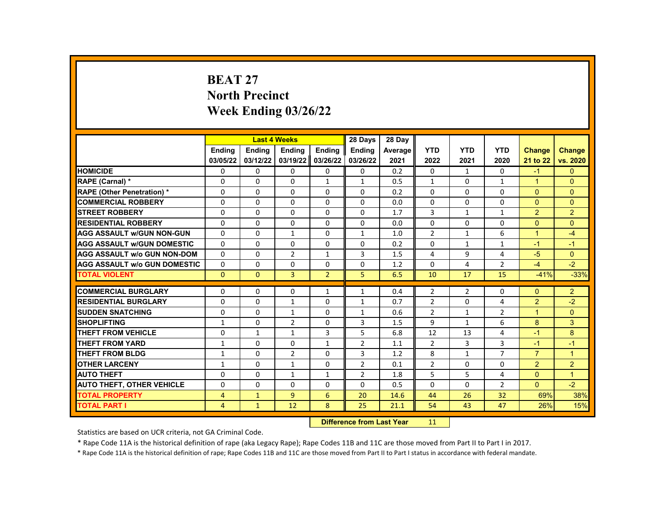# **BEAT 27 North Precinct Week Ending 03/26/22**

|                                     |                | <b>Last 4 Weeks</b> |                      |                | 28 Days        | 28 Day  |                |                |                |                      |                |
|-------------------------------------|----------------|---------------------|----------------------|----------------|----------------|---------|----------------|----------------|----------------|----------------------|----------------|
|                                     | <b>Endina</b>  | Ending              | Ending               | Ending         | <b>Endina</b>  | Average | <b>YTD</b>     | <b>YTD</b>     | <b>YTD</b>     | <b>Change</b>        | <b>Change</b>  |
|                                     | 03/05/22       | 03/12/22            | 03/19/22             | 03/26/22       | 03/26/22       | 2021    | 2022           | 2021           | 2020           | 21 to 22             | vs. 2020       |
| <b>HOMICIDE</b>                     | 0              | $\mathbf{0}$        | $\mathbf{0}$         | 0              | $\mathbf{0}$   | 0.2     | 0              | $\mathbf{1}$   | 0              | $-1$                 | $\mathbf{0}$   |
| RAPE (Carnal) *                     | $\Omega$       | $\Omega$            | $\Omega$             | $\mathbf{1}$   | $\mathbf{1}$   | 0.5     | $\mathbf{1}$   | $\Omega$       | $\mathbf{1}$   | $\blacktriangleleft$ | $\Omega$       |
| <b>RAPE (Other Penetration) *</b>   | $\Omega$       | $\Omega$            | $\Omega$             | $\Omega$       | $\Omega$       | 0.2     | $\Omega$       | $\Omega$       | $\Omega$       | $\Omega$             | $\Omega$       |
| <b>COMMERCIAL ROBBERY</b>           | 0              | $\mathbf{0}$        | $\mathbf{0}$         | 0              | 0              | 0.0     | 0              | 0              | $\Omega$       | $\Omega$             | $\Omega$       |
| <b>STREET ROBBERY</b>               | $\Omega$       | $\Omega$            | $\Omega$             | $\Omega$       | $\Omega$       | 1.7     | 3              | $\mathbf{1}$   | $\mathbf{1}$   | 2                    | 2              |
| <b>RESIDENTIAL ROBBERY</b>          | $\Omega$       | $\Omega$            | $\Omega$             | $\Omega$       | $\Omega$       | 0.0     | $\Omega$       | $\Omega$       | $\Omega$       | $\Omega$             | $\Omega$       |
| <b>AGG ASSAULT W/GUN NON-GUN</b>    | 0              | 0                   | $\mathbf{1}$         | 0              | $\mathbf{1}$   | 1.0     | $\overline{2}$ | $\mathbf{1}$   | 6              | $\blacktriangleleft$ | $-4$           |
| <b>AGG ASSAULT W/GUN DOMESTIC</b>   | $\Omega$       | $\Omega$            | $\Omega$             | $\Omega$       | 0              | 0.2     | $\Omega$       | $\mathbf{1}$   | $\mathbf{1}$   | $-1$                 | $-1$           |
| <b>AGG ASSAULT W/o GUN NON-DOM</b>  | $\Omega$       | $\Omega$            | $\overline{2}$       | $\mathbf{1}$   | 3              | 1.5     | 4              | 9              | 4              | $-5$                 | $\Omega$       |
| <b>AGG ASSAULT W/o GUN DOMESTIC</b> | $\Omega$       | 0                   | 0                    | 0              | 0              | 1.2     | $\Omega$       | 4              | 2              | $-4$                 | $-2$           |
| <b>TOTAL VIOLENT</b>                | $\mathbf{0}$   | $\mathbf{0}$        | 3                    | $\overline{2}$ | 5              | 6.5     | 10             | 17             | 15             | $-41%$               | $-33%$         |
|                                     |                |                     |                      |                |                |         |                |                |                |                      |                |
| <b>COMMERCIAL BURGLARY</b>          | 0              | 0                   | 0                    | 1              | $\mathbf{1}$   | 0.4     | $\overline{2}$ | $\overline{2}$ | $\Omega$       | $\mathbf{0}$         | $\overline{2}$ |
| <b>RESIDENTIAL BURGLARY</b>         | $\Omega$       | $\Omega$            | $\mathbf{1}$         | $\Omega$       | $\mathbf{1}$   | 0.7     | $\overline{2}$ | $\Omega$       | 4              | 2                    | $-2$           |
| <b>SUDDEN SNATCHING</b>             | $\Omega$       | $\Omega$            | $\mathbf{1}$         | $\Omega$       | $\mathbf{1}$   | 0.6     | $\overline{2}$ | $\mathbf{1}$   | 2              | $\mathbf{1}$         | $\Omega$       |
| <b>SHOPLIFTING</b>                  | $\mathbf{1}$   | 0                   | $\overline{2}$       | 0              | 3              | 1.5     | 9              | $\mathbf{1}$   | 6              | 8                    | 3              |
| <b>THEFT FROM VEHICLE</b>           | $\Omega$       | $\mathbf{1}$        | $\mathbf{1}$         | 3              | 5              | 6.8     | 12             | 13             | 4              | $-1$                 | 8              |
| <b>THEFT FROM YARD</b>              | $\mathbf{1}$   | $\Omega$            | $\Omega$             | $\mathbf{1}$   | $\overline{2}$ | 1.1     | $\overline{2}$ | 3              | $\mathbf{3}$   | $-1$                 | $-1$           |
| THEFT FROM BLDG                     | 1              | 0                   | $\overline{2}$       | 0              | 3              | 1.2     | 8              | $\mathbf{1}$   | $\overline{7}$ | $\overline{7}$       | $\overline{1}$ |
| <b>OTHER LARCENY</b>                | $\mathbf{1}$   | $\Omega$            | $\mathbf{1}$         | $\Omega$       | $\overline{2}$ | 0.1     | $\overline{2}$ | $\Omega$       | $\Omega$       | 2                    | $\overline{2}$ |
| <b>AUTO THEFT</b>                   | 0              | $\Omega$            | $\mathbf{1}$         | $\mathbf{1}$   | $\overline{2}$ | 1.8     | 5              | 5              | 4              | $\Omega$             | $\mathbf{1}$   |
| <b>AUTO THEFT, OTHER VEHICLE</b>    | 0              | $\Omega$            | 0                    | 0              | 0              | 0.5     | 0              | 0              | 2              | $\mathbf{0}$         | $-2$           |
| <b>TOTAL PROPERTY</b>               | $\overline{4}$ | $\mathbf{1}$        | 9                    | 6              | 20             | 14.6    | 44             | 26             | 32             | 69%                  | 38%            |
| <b>TOTAL PART I</b>                 | 4              | $\mathbf{1}$        | 12                   | 8              | 25             | 21.1    | 54             | 43             | 47             | 26%                  | 15%            |
|                                     |                | <b>INSECTION</b>    | an dan an India Mana |                | $\overline{A}$ |         |                |                |                |                      |                |

**Difference from Last Year** 11

Statistics are based on UCR criteria, not GA Criminal Code.

\* Rape Code 11A is the historical definition of rape (aka Legacy Rape); Rape Codes 11B and 11C are those moved from Part II to Part I in 2017.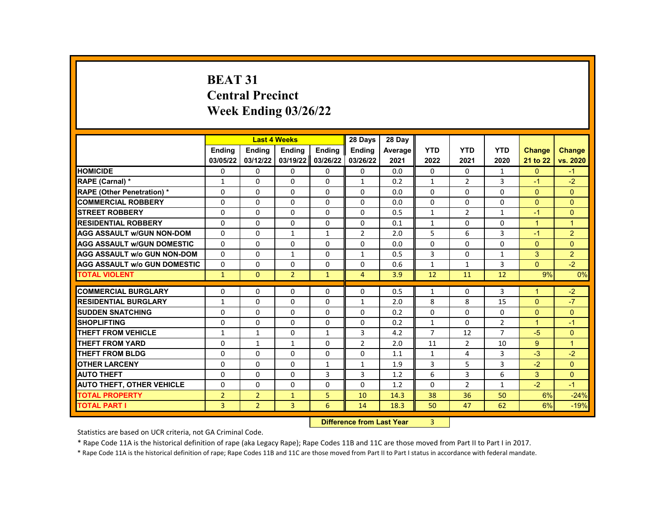# **BEAT 31 Central Precinct Week Ending 03/26/22**

|                                     |                | <b>Last 4 Weeks</b> |                |               | 28 Days        | 28 Day                            |                |                |                |                      |                |
|-------------------------------------|----------------|---------------------|----------------|---------------|----------------|-----------------------------------|----------------|----------------|----------------|----------------------|----------------|
|                                     | <b>Endina</b>  | <b>Endina</b>       | <b>Endina</b>  | <b>Endina</b> | <b>Endina</b>  | Average                           | <b>YTD</b>     | <b>YTD</b>     | <b>YTD</b>     | <b>Change</b>        | <b>Change</b>  |
|                                     | 03/05/22       | 03/12/22            | 03/19/22       | 03/26/22      | 03/26/22       | 2021                              | 2022           | 2021           | 2020           | 21 to 22             | vs. 2020       |
| <b>HOMICIDE</b>                     | 0              | 0                   | 0              | 0             | 0              | 0.0                               | 0              | 0              | $\mathbf{1}$   | $\mathbf{0}$         | $-1$           |
| RAPE (Carnal) *                     | $\mathbf{1}$   | $\Omega$            | $\Omega$       | $\Omega$      | $\mathbf{1}$   | 0.2                               | $\mathbf{1}$   | $\overline{2}$ | $\overline{3}$ | $-1$                 | $-2$           |
| RAPE (Other Penetration) *          | $\Omega$       | $\Omega$            | $\Omega$       | $\Omega$      | $\Omega$       | 0.0                               | $\Omega$       | $\Omega$       | $\Omega$       | $\Omega$             | $\Omega$       |
| <b>COMMERCIAL ROBBERY</b>           | $\Omega$       | $\Omega$            | $\Omega$       | $\Omega$      | $\Omega$       | 0.0                               | $\Omega$       | $\Omega$       | $\Omega$       | $\Omega$             | $\Omega$       |
| <b>STREET ROBBERY</b>               | 0              | 0                   | $\Omega$       | $\Omega$      | $\Omega$       | 0.5                               | $\mathbf{1}$   | $\overline{2}$ | $\mathbf{1}$   | $-1$                 | $\mathbf{0}$   |
| <b>RESIDENTIAL ROBBERY</b>          | $\Omega$       | $\Omega$            | $\Omega$       | $\Omega$      | $\Omega$       | 0.1                               | $\mathbf{1}$   | $\Omega$       | $\Omega$       | $\overline{1}$       | $\overline{1}$ |
| <b>AGG ASSAULT w/GUN NON-DOM</b>    | 0              | 0                   | 1              | 1             | $\overline{2}$ | 2.0                               | 5              | 6              | 3              | $-1$                 | $\overline{2}$ |
| <b>AGG ASSAULT W/GUN DOMESTIC</b>   | $\Omega$       | $\Omega$            | $\Omega$       | $\Omega$      | $\Omega$       | 0.0                               | $\Omega$       | $\Omega$       | $\Omega$       | $\Omega$             | $\Omega$       |
| <b>AGG ASSAULT w/o GUN NON-DOM</b>  | $\Omega$       | $\Omega$            | $\mathbf{1}$   | $\Omega$      | $\mathbf{1}$   | 0.5                               | $\overline{3}$ | $\Omega$       | $\mathbf{1}$   | 3                    | $\overline{2}$ |
| <b>AGG ASSAULT w/o GUN DOMESTIC</b> | 0              | 0                   | 0              | $\Omega$      | 0              | 0.6                               | $\mathbf{1}$   | $\mathbf{1}$   | 3              | $\Omega$             | $-2$           |
| <b>TOTAL VIOLENT</b>                | $\mathbf{1}$   | $\mathbf{0}$        | $\overline{2}$ | $\mathbf{1}$  | $\overline{4}$ | 3.9                               | 12             | 11             | 12             | 9%                   | 0%             |
|                                     |                |                     |                |               |                |                                   |                |                |                |                      |                |
| <b>COMMERCIAL BURGLARY</b>          | 0              | 0                   | 0              | $\Omega$      | 0              | 0.5                               | $\mathbf{1}$   | 0              | 3              | 1                    | $-2$           |
| <b>RESIDENTIAL BURGLARY</b>         | $\mathbf{1}$   | $\Omega$            | $\Omega$       | $\Omega$      | $\mathbf{1}$   | 2.0                               | 8              | 8              | 15             | $\Omega$             | $-7$           |
| <b>SUDDEN SNATCHING</b>             | $\Omega$       | 0                   | $\Omega$       | $\Omega$      | $\Omega$       | 0.2                               | $\Omega$       | $\Omega$       | $\Omega$       | $\Omega$             | $\Omega$       |
| <b>SHOPLIFTING</b>                  | $\Omega$       | $\Omega$            | 0              | $\Omega$      | $\Omega$       | 0.2                               | $\mathbf{1}$   | 0              | $\overline{2}$ | $\blacktriangleleft$ | $-1$           |
| <b>THEFT FROM VEHICLE</b>           | $\mathbf{1}$   | $\mathbf{1}$        | $\Omega$       | $\mathbf{1}$  | 3              | 4.2                               | $\overline{7}$ | 12             | $\overline{7}$ | $-5$                 | $\overline{0}$ |
| <b>THEFT FROM YARD</b>              | $\Omega$       | $\mathbf{1}$        | $\mathbf{1}$   | $\Omega$      | $\overline{2}$ | 2.0                               | 11             | $\overline{2}$ | 10             | 9                    | $\mathbf{1}$   |
| <b>THEFT FROM BLDG</b>              | $\Omega$       | $\Omega$            | 0              | $\Omega$      | 0              | 1.1                               | $\mathbf{1}$   | 4              | 3              | $-3$                 | $-2$           |
| <b>OTHER LARCENY</b>                | 0              | 0                   | $\Omega$       | $\mathbf{1}$  | $\mathbf{1}$   | 1.9                               | 3              | 5              | 3              | $-2$                 | $\overline{0}$ |
| <b>AUTO THEFT</b>                   | $\Omega$       | $\Omega$            | $\Omega$       | 3             | 3              | 1.2                               | 6              | 3              | 6              | 3                    | $\Omega$       |
| <b>AUTO THEFT, OTHER VEHICLE</b>    | $\Omega$       | $\Omega$            | $\Omega$       | $\Omega$      | $\Omega$       | 1.2                               | $\Omega$       | $\overline{2}$ | $\mathbf{1}$   | $-2$                 | $-1$           |
| <b>TOTAL PROPERTY</b>               | $\overline{2}$ | $\overline{2}$      | $\mathbf{1}$   | 5             | 10             | 14.3                              | 38             | 36             | 50             | 6%                   | $-24%$         |
| <b>TOTAL PART I</b>                 | 3              | $\overline{2}$      | 3              | 6             | 14             | 18.3                              | 50             | 47             | 62             | 6%                   | $-19%$         |
|                                     |                |                     |                |               |                | <b>Difference from Look Vance</b> | $\sim$         |                |                |                      |                |

**Difference from Last Year** 3 |

Statistics are based on UCR criteria, not GA Criminal Code.

\* Rape Code 11A is the historical definition of rape (aka Legacy Rape); Rape Codes 11B and 11C are those moved from Part II to Part I in 2017.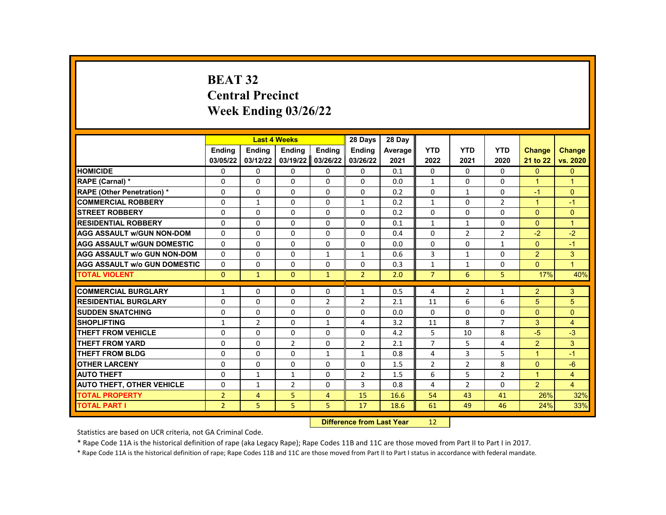# **BEAT 32 Central Precinct Week Ending 03/26/22**

|                                     |                | <b>Last 4 Weeks</b> |                |                | 28 Days                   | 28 Day  |                |                |                |                |                |
|-------------------------------------|----------------|---------------------|----------------|----------------|---------------------------|---------|----------------|----------------|----------------|----------------|----------------|
|                                     | <b>Endina</b>  | <b>Ending</b>       | <b>Ending</b>  | <b>Ending</b>  | <b>Endina</b>             | Average | <b>YTD</b>     | <b>YTD</b>     | <b>YTD</b>     | <b>Change</b>  | <b>Change</b>  |
|                                     | 03/05/22       | 03/12/22            | 03/19/22       | 03/26/22       | 03/26/22                  | 2021    | 2022           | 2021           | 2020           | 21 to 22       | vs. 2020       |
| <b>HOMICIDE</b>                     | 0              | 0                   | 0              | 0              | 0                         | 0.1     | 0              | 0              | 0              | $\mathbf{0}$   | $\mathbf{0}$   |
| RAPE (Carnal) *                     | 0              | $\Omega$            | $\Omega$       | $\Omega$       | $\Omega$                  | 0.0     | $\mathbf{1}$   | $\Omega$       | $\Omega$       | $\mathbf{1}$   | $\overline{1}$ |
| RAPE (Other Penetration) *          | 0              | $\Omega$            | $\Omega$       | $\Omega$       | $\Omega$                  | 0.2     | $\Omega$       | $\mathbf{1}$   | $\Omega$       | $-1$           | $\Omega$       |
| <b>COMMERCIAL ROBBERY</b>           | 0              | $\mathbf{1}$        | 0              | 0              | $\mathbf{1}$              | 0.2     | $\mathbf{1}$   | 0              | $\overline{2}$ | $\mathbf{1}$   | $-1$           |
| <b>STREET ROBBERY</b>               | $\Omega$       | $\Omega$            | $\Omega$       | $\Omega$       | $\Omega$                  | 0.2     | $\Omega$       | $\Omega$       | $\Omega$       | $\mathbf{0}$   | $\mathbf{0}$   |
| <b>RESIDENTIAL ROBBERY</b>          | 0              | $\Omega$            | $\Omega$       | $\Omega$       | $\Omega$                  | 0.1     | $\mathbf{1}$   | $\mathbf{1}$   | $\Omega$       | $\Omega$       | $\mathbf{1}$   |
| <b>AGG ASSAULT w/GUN NON-DOM</b>    | 0              | 0                   | 0              | 0              | 0                         | 0.4     | 0              | $\overline{2}$ | $\overline{2}$ | $-2$           | $-2$           |
| <b>AGG ASSAULT W/GUN DOMESTIC</b>   | $\Omega$       | $\Omega$            | $\Omega$       | $\Omega$       | $\Omega$                  | 0.0     | $\Omega$       | $\Omega$       | $\mathbf{1}$   | $\mathbf{0}$   | $-1$           |
| <b>AGG ASSAULT w/o GUN NON-DOM</b>  | $\Omega$       | $\Omega$            | $\Omega$       | $\mathbf{1}$   | $\mathbf{1}$              | 0.6     | 3              | $\mathbf{1}$   | $\Omega$       | $\overline{2}$ | 3              |
| <b>AGG ASSAULT W/o GUN DOMESTIC</b> | $\Omega$       | $\Omega$            | $\Omega$       | $\Omega$       | $\Omega$                  | 0.3     | $\mathbf{1}$   | $\mathbf{1}$   | $\Omega$       | $\mathbf{0}$   | $\mathbf{1}$   |
| <b>TOTAL VIOLENT</b>                | $\mathbf{0}$   | $\mathbf{1}$        | $\mathbf{0}$   | $\mathbf{1}$   | $\overline{2}$            | 2.0     | $\overline{7}$ | 6              | 5              | 17%            | 40%            |
|                                     |                |                     |                |                |                           |         |                |                |                |                |                |
| <b>COMMERCIAL BURGLARY</b>          | $\mathbf{1}$   | $\mathbf{0}$        | 0              | 0              | $\mathbf{1}$              | 0.5     | 4              | 2              | $\mathbf{1}$   | $\overline{2}$ | 3              |
| <b>RESIDENTIAL BURGLARY</b>         | $\mathbf 0$    | 0                   | 0              | $\overline{2}$ | $\overline{2}$            | 2.1     | 11             | 6              | 6              | 5              | 5              |
| <b>SUDDEN SNATCHING</b>             | 0              | $\Omega$            | $\Omega$       | $\Omega$       | 0                         | 0.0     | $\Omega$       | $\Omega$       | $\Omega$       | $\Omega$       | $\Omega$       |
| <b>SHOPLIFTING</b>                  | $\mathbf{1}$   | $\overline{2}$      | $\Omega$       | $\mathbf{1}$   | 4                         | 3.2     | 11             | 8              | $\overline{7}$ | 3              | $\overline{4}$ |
| <b>THEFT FROM VEHICLE</b>           | 0              | $\Omega$            | $\Omega$       | $\Omega$       | $\Omega$                  | 4.2     | 5              | 10             | 8              | $-5$           | $-3$           |
| <b>THEFT FROM YARD</b>              | 0              | $\Omega$            | $\overline{2}$ | $\Omega$       | $\overline{2}$            | 2.1     | $\overline{7}$ | 5              | 4              | 2              | 3              |
| <b>THEFT FROM BLDG</b>              | 0              | $\Omega$            | $\Omega$       | $\mathbf{1}$   | $\mathbf{1}$              | 0.8     | 4              | 3              | 5              | $\mathbf{1}$   | $-1$           |
| <b>OTHER LARCENY</b>                | $\Omega$       | $\Omega$            | $\Omega$       | $\Omega$       | $\Omega$                  | 1.5     | $\overline{2}$ | $\overline{2}$ | 8              | $\mathbf{0}$   | $-6$           |
| <b>AUTO THEFT</b>                   | 0              | $\mathbf{1}$        | $\mathbf{1}$   | $\Omega$       | $\overline{2}$            | 1.5     | 6              | 5              | $\overline{2}$ | $\mathbf{1}$   | 4              |
| <b>AUTO THEFT, OTHER VEHICLE</b>    | 0              | $\mathbf{1}$        | $\overline{2}$ | $\Omega$       | 3                         | 0.8     | 4              | $\overline{2}$ | 0              | $\overline{2}$ | $\overline{4}$ |
| <b>TOTAL PROPERTY</b>               | $\overline{2}$ | $\overline{4}$      | 5              | $\overline{4}$ | 15                        | 16.6    | 54             | 43             | 41             | 26%            | 32%            |
| <b>TOTAL PART I</b>                 | $\overline{2}$ | 5                   | 5              | 5              | 17                        | 18.6    | 61             | 49             | 46             | 24%            | 33%            |
|                                     |                |                     |                |                | Difference from Loot Voor |         | 12             |                |                |                |                |

**Difference from Last Year** 12

Statistics are based on UCR criteria, not GA Criminal Code.

\* Rape Code 11A is the historical definition of rape (aka Legacy Rape); Rape Codes 11B and 11C are those moved from Part II to Part I in 2017.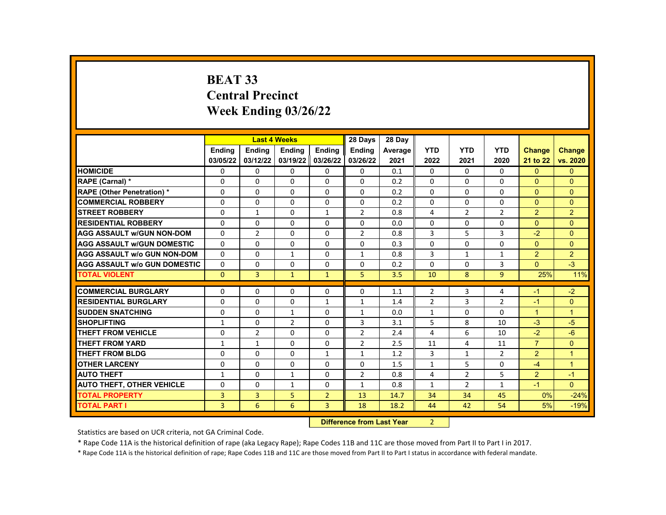# **BEAT 33 Central Precinct Week Ending 03/26/22**

|                                     |               | <b>Last 4 Weeks</b> |                |                           | 28 Days        | 28 Day  |                |                |                |                |               |
|-------------------------------------|---------------|---------------------|----------------|---------------------------|----------------|---------|----------------|----------------|----------------|----------------|---------------|
|                                     | <b>Endina</b> | <b>Ending</b>       | Ending         | Ending                    | Ending         | Average | <b>YTD</b>     | <b>YTD</b>     | <b>YTD</b>     | <b>Change</b>  | <b>Change</b> |
|                                     | 03/05/22      | 03/12/22            | 03/19/22       | 03/26/22                  | 03/26/22       | 2021    | 2022           | 2021           | 2020           | 21 to 22       | vs. 2020      |
| <b>HOMICIDE</b>                     | 0             | 0                   | $\mathbf{0}$   | 0                         | 0              | 0.1     | 0              | 0              | 0              | $\mathbf{0}$   | $\mathbf{0}$  |
| RAPE (Carnal) *                     | 0             | $\Omega$            | $\Omega$       | $\Omega$                  | $\Omega$       | 0.2     | $\Omega$       | 0              | $\Omega$       | $\Omega$       | $\Omega$      |
| <b>RAPE (Other Penetration) *</b>   | $\mathbf 0$   | $\Omega$            | $\Omega$       | $\Omega$                  | $\Omega$       | 0.2     | $\Omega$       | $\Omega$       | $\Omega$       | $\Omega$       | $\Omega$      |
| <b>COMMERCIAL ROBBERY</b>           | $\Omega$      | $\mathbf{0}$        | $\Omega$       | 0                         | $\mathbf{0}$   | 0.2     | $\Omega$       | 0              | $\Omega$       | $\Omega$       | $\Omega$      |
| <b>STREET ROBBERY</b>               | 0             | $\mathbf{1}$        | 0              | $\mathbf{1}$              | $\overline{2}$ | 0.8     | $\overline{4}$ | $\overline{2}$ | $\overline{2}$ | 2              | 2             |
| <b>RESIDENTIAL ROBBERY</b>          | $\Omega$      | $\Omega$            | $\Omega$       | $\Omega$                  | $\Omega$       | 0.0     | $\Omega$       | $\Omega$       | $\Omega$       | $\Omega$       | $\Omega$      |
| <b>AGG ASSAULT w/GUN NON-DOM</b>    | $\Omega$      | $\overline{2}$      | 0              | $\Omega$                  | $\overline{2}$ | 0.8     | 3              | 5              | 3              | $-2$           | $\Omega$      |
| <b>AGG ASSAULT w/GUN DOMESTIC</b>   | $\Omega$      | 0                   | 0              | 0                         | 0              | 0.3     | $\Omega$       | $\Omega$       | $\Omega$       | $\Omega$       | $\Omega$      |
| <b>AGG ASSAULT w/o GUN NON-DOM</b>  | $\Omega$      | $\Omega$            | $\mathbf{1}$   | $\Omega$                  | $\mathbf{1}$   | 0.8     | 3              | $\mathbf{1}$   | 1              | $\overline{2}$ | 2             |
| <b>AGG ASSAULT W/o GUN DOMESTIC</b> | $\Omega$      | 0                   | 0              | 0                         | $\mathbf{0}$   | 0.2     | $\Omega$       | 0              | 3              | $\Omega$       | $-3$          |
| <b>TOTAL VIOLENT</b>                | $\mathbf{0}$  | 3                   | $\mathbf{1}$   | $\mathbf{1}$              | 5              | 3.5     | 10             | 8              | 9              | 25%            | 11%           |
|                                     |               |                     |                |                           |                |         |                |                |                |                |               |
| <b>COMMERCIAL BURGLARY</b>          | 0             | $\Omega$            | 0              | 0                         | 0              | 1.1     | $\overline{2}$ | 3              | 4              | $-1$           | $-2$          |
| <b>RESIDENTIAL BURGLARY</b>         | 0             | 0                   | $\Omega$       | $\mathbf{1}$              | $\mathbf{1}$   | 1.4     | $\overline{2}$ | 3              | $\overline{2}$ | $-1$           | $\mathbf{0}$  |
| <b>SUDDEN SNATCHING</b>             | 0             | $\Omega$            | $\mathbf{1}$   | 0                         | $\mathbf{1}$   | 0.0     | $\mathbf{1}$   | $\Omega$       | $\Omega$       | $\mathbf{1}$   | $\mathbf{1}$  |
| <b>SHOPLIFTING</b>                  | $\mathbf{1}$  | $\Omega$            | $\overline{2}$ | 0                         | 3              | 3.1     | 5              | 8              | 10             | $-3$           | $-5$          |
| <b>THEFT FROM VEHICLE</b>           | $\mathbf 0$   | $\overline{2}$      | $\Omega$       | $\Omega$                  | $\overline{2}$ | 2.4     | $\overline{4}$ | 6              | 10             | $-2$           | $-6$          |
| <b>THEFT FROM YARD</b>              | $\mathbf{1}$  | $\mathbf{1}$        | $\Omega$       | $\Omega$                  | $\overline{2}$ | 2.5     | 11             | 4              | 11             | $\overline{7}$ | $\Omega$      |
| <b>THEFT FROM BLDG</b>              | 0             | $\Omega$            | 0              | $\mathbf{1}$              | 1              | 1.2     | 3              | $\mathbf{1}$   | $\overline{2}$ | $\overline{2}$ | $\mathbf{1}$  |
| <b>OTHER LARCENY</b>                | 0             | $\mathbf 0$         | $\Omega$       | $\Omega$                  | $\Omega$       | 1.5     | $\mathbf{1}$   | 5              | $\Omega$       | $-4$           | $\mathbf{1}$  |
| <b>AUTO THEFT</b>                   | $\mathbf{1}$  | $\Omega$            | $\mathbf{1}$   | $\Omega$                  | $\overline{2}$ | 0.8     | $\overline{4}$ | $\overline{2}$ | 5              | $\overline{2}$ | $-1$          |
| <b>AUTO THEFT, OTHER VEHICLE</b>    | 0             | 0                   | $\mathbf{1}$   | 0                         | $\mathbf{1}$   | 0.8     | $\mathbf{1}$   | $\overline{2}$ | $\mathbf{1}$   | $-1$           | $\Omega$      |
| <b>TOTAL PROPERTY</b>               | 3             | 3                   | 5              | $\overline{2}$            | 13             | 14.7    | 34             | 34             | 45             | 0%             | $-24%$        |
| <b>TOTAL PART I</b>                 | 3             | 6                   | 6              | $\overline{3}$            | 18             | 18.2    | 44             | 42             | 54             | 5%             | $-19%$        |
|                                     |               |                     |                | Difference from Load Vaca | $\sim$         |         |                |                |                |                |               |

**Difference from Last Year** 2

Statistics are based on UCR criteria, not GA Criminal Code.

\* Rape Code 11A is the historical definition of rape (aka Legacy Rape); Rape Codes 11B and 11C are those moved from Part II to Part I in 2017.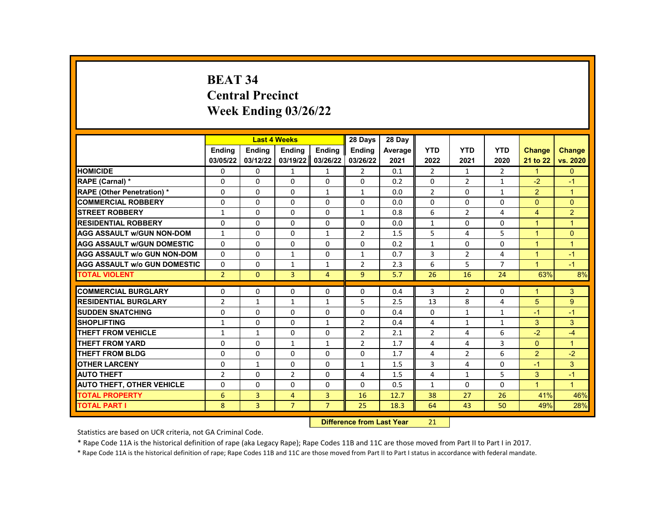# **BEAT 34 Central Precinct Week Ending 03/26/22**

|                                     |                |               | <b>Last 4 Weeks</b> |                | 28 Days                   | 28 Day  |                |                |                |                      |                      |
|-------------------------------------|----------------|---------------|---------------------|----------------|---------------------------|---------|----------------|----------------|----------------|----------------------|----------------------|
|                                     | <b>Endina</b>  | <b>Ending</b> | Ending              | Ending         | Ending                    | Average | <b>YTD</b>     | <b>YTD</b>     | <b>YTD</b>     | <b>Change</b>        | <b>Change</b>        |
|                                     | 03/05/22       | 03/12/22      | 03/19/22            | 03/26/22       | 03/26/22                  | 2021    | 2022           | 2021           | 2020           | 21 to 22             | vs. 2020             |
| <b>HOMICIDE</b>                     | 0              | 0             | $\mathbf{1}$        | 1              | 2                         | 0.1     | 2              | $\mathbf{1}$   | 2              | $\mathbf{1}$         | $\mathbf{0}$         |
| RAPE (Carnal) *                     | $\Omega$       | $\Omega$      | $\Omega$            | $\Omega$       | $\Omega$                  | 0.2     | $\Omega$       | $\overline{2}$ | $\mathbf{1}$   | $-2$                 | $-1$                 |
| <b>RAPE (Other Penetration) *</b>   | $\Omega$       | $\Omega$      | $\Omega$            | $\mathbf{1}$   | $\mathbf{1}$              | 0.0     | $\overline{2}$ | $\Omega$       | $\mathbf{1}$   | $\overline{2}$       | $\mathbf{1}$         |
| <b>COMMERCIAL ROBBERY</b>           | 0              | 0             | 0                   | 0              | 0                         | 0.0     | $\mathbf{0}$   | 0              | $\Omega$       | $\Omega$             | $\Omega$             |
| <b>STREET ROBBERY</b>               | $\mathbf{1}$   | $\Omega$      | $\Omega$            | $\Omega$       | $\mathbf{1}$              | 0.8     | 6              | $\overline{2}$ | 4              | $\overline{4}$       | $\overline{2}$       |
| <b>RESIDENTIAL ROBBERY</b>          | $\Omega$       | $\Omega$      | $\Omega$            | $\Omega$       | $\Omega$                  | 0.0     | $\mathbf{1}$   | $\Omega$       | $\Omega$       | $\overline{1}$       | $\mathbf{1}$         |
| AGG ASSAULT w/GUN NON-DOM           | $\mathbf{1}$   | 0             | 0                   | $\mathbf{1}$   | $\overline{2}$            | 1.5     | 5              | 4              | 5              | $\blacktriangleleft$ | $\mathbf{0}$         |
| <b>AGG ASSAULT W/GUN DOMESTIC</b>   | $\Omega$       | $\Omega$      | $\Omega$            | $\Omega$       | $\Omega$                  | 0.2     | $\mathbf{1}$   | $\Omega$       | $\Omega$       | $\blacktriangleleft$ | $\mathbf{1}$         |
| AGG ASSAULT w/o GUN NON-DOM         | $\Omega$       | $\Omega$      | $\mathbf{1}$        | $\Omega$       | $\mathbf{1}$              | 0.7     | 3              | $\overline{2}$ | 4              | $\overline{1}$       | $-1$                 |
| <b>AGG ASSAULT w/o GUN DOMESTIC</b> | $\Omega$       | $\Omega$      | 1                   | $\mathbf{1}$   | $\overline{2}$            | 2.3     | 6              | 5              | $\overline{7}$ | $\blacktriangleleft$ | $-1$                 |
| <b>TOTAL VIOLENT</b>                | $\overline{2}$ | $\mathbf{0}$  | 3                   | $\overline{4}$ | 9                         | 5.7     | 26             | 16             | 24             | 63%                  | 8%                   |
| <b>COMMERCIAL BURGLARY</b>          |                |               |                     |                |                           |         | 3              |                |                | 1                    | 3                    |
|                                     | 0              | 0             | 0                   | $\Omega$       | 0                         | 0.4     |                | 2              | $\Omega$       |                      |                      |
| <b>RESIDENTIAL BURGLARY</b>         | $\overline{2}$ | $\mathbf{1}$  | 1                   | $\mathbf{1}$   | 5                         | 2.5     | 13             | 8              | 4              | 5                    | 9                    |
| <b>SUDDEN SNATCHING</b>             | $\Omega$       | $\Omega$      | $\Omega$            | $\Omega$       | $\Omega$                  | 0.4     | $\Omega$       | $\mathbf{1}$   | $\mathbf{1}$   | $-1$                 | $-1$                 |
| <b>SHOPLIFTING</b>                  | $\mathbf{1}$   | $\Omega$      | 0                   | $\mathbf{1}$   | $\overline{2}$            | 0.4     | 4              | $\mathbf{1}$   | $\mathbf{1}$   | 3                    | 3                    |
| <b>THEFT FROM VEHICLE</b>           | $\mathbf{1}$   | $\mathbf{1}$  | $\Omega$            | $\Omega$       | $\overline{2}$            | 2.1     | $\overline{2}$ | 4              | 6              | $-2$                 | $-4$                 |
| <b>THEFT FROM YARD</b>              | $\Omega$       | $\Omega$      | $\mathbf{1}$        | $\mathbf{1}$   | $\overline{2}$            | 1.7     | 4              | 4              | 3              | $\Omega$             | $\mathbf{1}$         |
| <b>THEFT FROM BLDG</b>              | $\Omega$       | $\Omega$      | 0                   | $\Omega$       | $\Omega$                  | 1.7     | 4              | 2              | 6              | $\overline{2}$       | $-2$                 |
| <b>OTHER LARCENY</b>                | $\Omega$       | $\mathbf{1}$  | $\Omega$            | $\Omega$       | $\mathbf{1}$              | 1.5     | 3              | 4              | $\Omega$       | $-1$                 | 3                    |
| <b>AUTO THEFT</b>                   | $\overline{2}$ | 0             | $\overline{2}$      | $\Omega$       | 4                         | 1.5     | 4              | $\mathbf{1}$   | 5              | 3                    | $-1$                 |
| <b>AUTO THEFT, OTHER VEHICLE</b>    | $\Omega$       | $\Omega$      | $\Omega$            | $\Omega$       | $\Omega$                  | 0.5     | $\mathbf{1}$   | $\Omega$       | $\Omega$       | $\blacktriangleleft$ | $\blacktriangleleft$ |
| <b>TOTAL PROPERTY</b>               | 6              | 3             | $\overline{4}$      | 3              | 16                        | 12.7    | 38             | 27             | 26             | 41%                  | 46%                  |
| <b>TOTAL PART I</b>                 | 8              | 3             | $\overline{7}$      | $\overline{7}$ | 25                        | 18.3    | 64             | 43             | 50             | 49%                  | 28%                  |
|                                     |                |               |                     |                | Difference from Loot Voor |         | 24             |                |                |                      |                      |

**Difference from Last Year** 21

Statistics are based on UCR criteria, not GA Criminal Code.

\* Rape Code 11A is the historical definition of rape (aka Legacy Rape); Rape Codes 11B and 11C are those moved from Part II to Part I in 2017.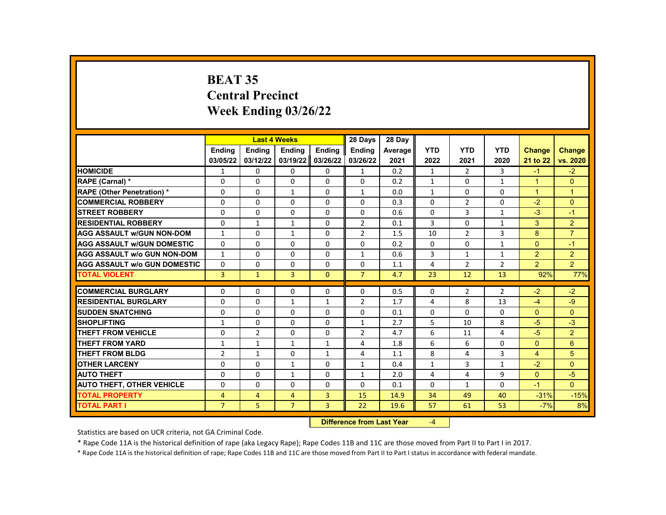# **BEAT 35 Central Precinct Week Ending 03/26/22**

|                                     |                |                | <b>Last 4 Weeks</b> |                   | 28 Days        | 28 Dav  |              |                |              |                      |                |
|-------------------------------------|----------------|----------------|---------------------|-------------------|----------------|---------|--------------|----------------|--------------|----------------------|----------------|
|                                     | Ending         | Ending         | Ending              | Ending            | <b>Endina</b>  | Average | <b>YTD</b>   | <b>YTD</b>     | <b>YTD</b>   | <b>Change</b>        | <b>Change</b>  |
|                                     | 03/05/22       | 03/12/22       | 03/19/22            | 03/26/22          | 03/26/22       | 2021    | 2022         | 2021           | 2020         | 21 to 22             | vs. 2020       |
| <b>HOMICIDE</b>                     | $\mathbf{1}$   | 0              | $\mathbf{0}$        | 0                 | $\mathbf{1}$   | 0.2     | 1            | $\overline{2}$ | 3            | $-1$                 | $-2$           |
| RAPE (Carnal) *                     | $\Omega$       | $\Omega$       | $\Omega$            | $\Omega$          | $\Omega$       | 0.2     | $\mathbf{1}$ | $\Omega$       | $\mathbf{1}$ | $\blacktriangleleft$ | $\Omega$       |
| <b>RAPE (Other Penetration) *</b>   | $\Omega$       | $\Omega$       | $\mathbf{1}$        | $\Omega$          | $\mathbf{1}$   | 0.0     | $\mathbf{1}$ | $\Omega$       | $\Omega$     | $\overline{1}$       | $\mathbf{1}$   |
| <b>COMMERCIAL ROBBERY</b>           | $\Omega$       | $\Omega$       | $\Omega$            | $\Omega$          | 0              | 0.3     | $\Omega$     | $\overline{2}$ | $\Omega$     | $-2$                 | $\Omega$       |
| <b>STREET ROBBERY</b>               | 0              | $\Omega$       | $\Omega$            | $\Omega$          | $\mathbf{0}$   | 0.6     | $\Omega$     | 3              | $\mathbf{1}$ | $-3$                 | $-1$           |
| <b>RESIDENTIAL ROBBERY</b>          | $\Omega$       | $\mathbf{1}$   | $\mathbf{1}$        | $\Omega$          | $\overline{2}$ | 0.1     | 3            | $\Omega$       | $\mathbf{1}$ | 3                    | $\overline{2}$ |
| <b>AGG ASSAULT w/GUN NON-DOM</b>    | $\mathbf{1}$   | $\Omega$       | $\mathbf{1}$        | 0                 | $\overline{2}$ | 1.5     | 10           | $\overline{2}$ | 3            | 8                    | $\overline{7}$ |
| <b>AGG ASSAULT w/GUN DOMESTIC</b>   | $\Omega$       | $\Omega$       | $\Omega$            | $\Omega$          | $\Omega$       | 0.2     | $\Omega$     | $\Omega$       | $\mathbf{1}$ | $\Omega$             | $-1$           |
| <b>AGG ASSAULT w/o GUN NON-DOM</b>  | $\mathbf{1}$   | $\Omega$       | $\Omega$            | $\Omega$          | $\mathbf{1}$   | 0.6     | 3            | $\mathbf{1}$   | $\mathbf{1}$ | 2                    | $\overline{2}$ |
| <b>AGG ASSAULT W/o GUN DOMESTIC</b> | $\Omega$       | $\Omega$       | $\Omega$            | 0                 | 0              | 1.1     | 4            | $\overline{2}$ | 2            | $\overline{2}$       | $\overline{2}$ |
| <b>TOTAL VIOLENT</b>                | 3              | $\mathbf{1}$   | 3                   | $\Omega$          | $\overline{7}$ | 4.7     | 23           | 12             | 13           | 92%                  | 77%            |
|                                     |                |                |                     |                   |                |         |              |                |              |                      |                |
| <b>COMMERCIAL BURGLARY</b>          | 0              | 0              | 0                   | 0                 | 0              | 0.5     | 0            | 2              | 2            | $-2$                 | $-2$           |
| <b>RESIDENTIAL BURGLARY</b>         | $\Omega$       | $\mathbf{0}$   | $\mathbf{1}$        | $\mathbf{1}$      | $\overline{2}$ | 1.7     | 4            | 8              | 13           | $-4$                 | -9             |
| <b>SUDDEN SNATCHING</b>             | $\Omega$       | $\Omega$       | $\Omega$            | $\Omega$          | $\Omega$       | 0.1     | $\Omega$     | $\Omega$       | $\Omega$     | $\Omega$             | $\Omega$       |
| <b>SHOPLIFTING</b>                  | $\mathbf{1}$   | $\mathbf{0}$   | 0                   | 0                 | $\mathbf{1}$   | 2.7     | 5            | 10             | 8            | $-5$                 | $-3$           |
| <b>THEFT FROM VEHICLE</b>           | $\Omega$       | $\overline{2}$ | $\Omega$            | $\Omega$          | $\overline{2}$ | 4.7     | 6            | 11             | 4            | $-5$                 | $\overline{2}$ |
| <b>THEFT FROM YARD</b>              | $\mathbf{1}$   | $\mathbf{1}$   | $\mathbf{1}$        | $\mathbf{1}$      | 4              | 1.8     | 6            | 6              | $\Omega$     | $\Omega$             | 6              |
| <b>THEFT FROM BLDG</b>              | $\overline{2}$ | $\mathbf{1}$   | $\Omega$            | $\mathbf{1}$      | 4              | 1.1     | 8            | 4              | 3            | $\overline{4}$       | 5              |
| <b>OTHER LARCENY</b>                | $\Omega$       | $\Omega$       | $\mathbf{1}$        | $\Omega$          | $\mathbf{1}$   | 0.4     | $\mathbf{1}$ | 3              | $\mathbf{1}$ | $-2$                 | $\Omega$       |
| <b>AUTO THEFT</b>                   | $\Omega$       | $\Omega$       | $\mathbf{1}$        | $\Omega$          | $\mathbf{1}$   | 2.0     | 4            | 4              | 9            | $\Omega$             | $-5$           |
| <b>AUTO THEFT, OTHER VEHICLE</b>    | 0              | $\Omega$       | $\Omega$            | $\Omega$          | 0              | 0.1     | $\Omega$     | $\mathbf{1}$   | $\Omega$     | $-1$                 | $\Omega$       |
| <b>TOTAL PROPERTY</b>               | $\overline{4}$ | 4              | $\overline{4}$      | 3                 | 15             | 14.9    | 34           | 49             | 40           | $-31%$               | $-15%$         |
| <b>TOTAL PART I</b>                 | $\overline{7}$ | 5              | $\overline{7}$      | 3                 | 22             | 19.6    | 57           | 61             | 53           | $-7%$                | 8%             |
|                                     |                |                |                     | <b>STATISTICS</b> |                |         |              |                |              |                      |                |

**Difference from Last Year** -4

Statistics are based on UCR criteria, not GA Criminal Code.

\* Rape Code 11A is the historical definition of rape (aka Legacy Rape); Rape Codes 11B and 11C are those moved from Part II to Part I in 2017.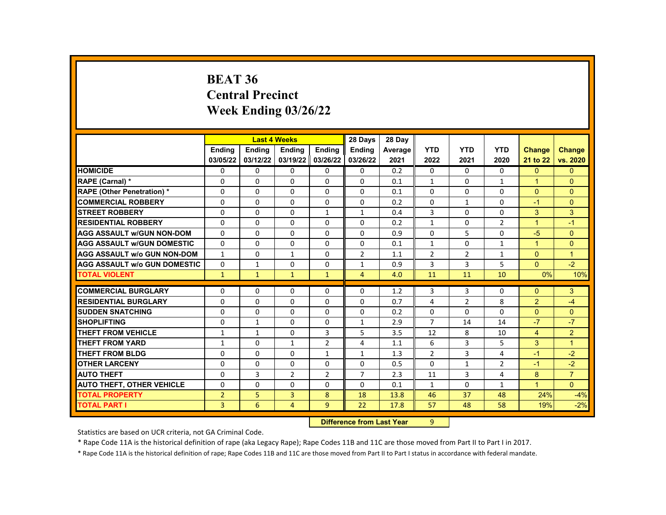#### **BEAT 36 Central Precinct Week Ending 03/26/22**

|                                     |                | <b>Last 4 Weeks</b> |                |                | 28 Days        | 28 Day  |                |                |                |                      |                |
|-------------------------------------|----------------|---------------------|----------------|----------------|----------------|---------|----------------|----------------|----------------|----------------------|----------------|
|                                     | <b>Endina</b>  | <b>Endina</b>       | <b>Endina</b>  | <b>Endina</b>  | <b>Ending</b>  | Average | <b>YTD</b>     | <b>YTD</b>     | <b>YTD</b>     | Change               | <b>Change</b>  |
|                                     | 03/05/22       | 03/12/22            | 03/19/22       | 03/26/22       | 03/26/22       | 2021    | 2022           | 2021           | 2020           | 21 to 22             | vs. 2020       |
| <b>HOMICIDE</b>                     | 0              | 0                   | 0              | 0              | 0              | 0.2     | 0              | 0              | 0              | $\Omega$             | $\Omega$       |
| RAPE (Carnal) *                     | 0              | 0                   | $\Omega$       | $\Omega$       | $\Omega$       | 0.1     | $\mathbf{1}$   | $\Omega$       | $\mathbf{1}$   | $\blacktriangleleft$ | $\Omega$       |
| <b>RAPE (Other Penetration) *</b>   | $\Omega$       | $\Omega$            | $\Omega$       | $\Omega$       | $\Omega$       | 0.1     | $\Omega$       | $\Omega$       | $\Omega$       | $\Omega$             | $\Omega$       |
| <b>COMMERCIAL ROBBERY</b>           | 0              | $\mathbf{0}$        | $\Omega$       | 0              | 0              | 0.2     | $\Omega$       | $\mathbf{1}$   | $\Omega$       | $-1$                 | $\Omega$       |
| <b>STREET ROBBERY</b>               | 0              | $\mathbf{0}$        | $\Omega$       | $\mathbf{1}$   | $\mathbf{1}$   | 0.4     | 3              | 0              | $\Omega$       | 3                    | 3              |
| <b>RESIDENTIAL ROBBERY</b>          | $\Omega$       | $\mathbf{0}$        | 0              | 0              | 0              | 0.2     | $\mathbf{1}$   | $\Omega$       | 2              | $\mathbf{1}$         | $-1$           |
| <b>AGG ASSAULT w/GUN NON-DOM</b>    | $\Omega$       | $\Omega$            | $\Omega$       | 0              | $\Omega$       | 0.9     | $\Omega$       | 5              | $\Omega$       | $-5$                 | $\Omega$       |
| <b>AGG ASSAULT w/GUN DOMESTIC</b>   | $\Omega$       | $\mathbf{0}$        | 0              | 0              | 0              | 0.1     | $\mathbf{1}$   | $\Omega$       | $\mathbf{1}$   | $\blacktriangleleft$ | $\Omega$       |
| <b>AGG ASSAULT w/o GUN NON-DOM</b>  | $\mathbf{1}$   | $\Omega$            | $\mathbf{1}$   | $\Omega$       | 2              | 1.1     | 2              | 2              | 1              | $\Omega$             | $\mathbf{1}$   |
| <b>AGG ASSAULT W/o GUN DOMESTIC</b> | $\Omega$       | $\mathbf{1}$        | $\Omega$       | $\Omega$       | $\mathbf{1}$   | 0.9     | 3              | 3              | 5              | $\Omega$             | $-2$           |
| <b>TOTAL VIOLENT</b>                | $\mathbf{1}$   | $\mathbf{1}$        | $\mathbf{1}$   | $\mathbf{1}$   | $\overline{4}$ | 4.0     | 11             | 11             | 10             | 0%                   | 10%            |
|                                     |                |                     |                |                |                |         |                |                |                |                      |                |
| <b>COMMERCIAL BURGLARY</b>          | 0              | 0                   | 0              | 0              | $\Omega$       | 1.2     | 3              | 3              | $\Omega$       | $\Omega$             | 3              |
| <b>RESIDENTIAL BURGLARY</b>         | 0              | $\mathbf{0}$        | 0              | 0              | 0              | 0.7     | 4              | $\overline{2}$ | 8              | 2                    | $-4$           |
| <b>SUDDEN SNATCHING</b>             | $\Omega$       | $\mathbf{0}$        | 0              | 0              | 0              | 0.2     | $\Omega$       | 0              | $\Omega$       | $\Omega$             | $\mathbf{0}$   |
| <b>SHOPLIFTING</b>                  | $\Omega$       | $\mathbf{1}$        | $\Omega$       | 0              | $\mathbf{1}$   | 2.9     | $\overline{7}$ | 14             | 14             | $-7$                 | $-7$           |
| <b>THEFT FROM VEHICLE</b>           | 1              | $\mathbf{1}$        | 0              | 3              | 5              | 3.5     | 12             | 8              | 10             | $\overline{4}$       | $\overline{2}$ |
| <b>THEFT FROM YARD</b>              | $\mathbf{1}$   | $\mathbf{0}$        | $\mathbf{1}$   | $\overline{2}$ | 4              | 1.1     | 6              | 3              | 5              | 3                    | $\mathbf{1}$   |
| <b>THEFT FROM BLDG</b>              | $\Omega$       | $\Omega$            | $\Omega$       | $\mathbf{1}$   | $\mathbf{1}$   | 1.3     | $\overline{2}$ | 3              | 4              | $-1$                 | $-2$           |
| <b>OTHER LARCENY</b>                | 0              | $\mathbf{0}$        | 0              | 0              | 0              | 0.5     | $\Omega$       | 1              | $\overline{2}$ | $-1$                 | $-2$           |
| <b>AUTO THEFT</b>                   | $\Omega$       | 3                   | $\overline{2}$ | $\overline{2}$ | $\overline{7}$ | 2.3     | 11             | 3              | 4              | 8                    | $\overline{7}$ |
| <b>AUTO THEFT, OTHER VEHICLE</b>    | $\Omega$       | $\Omega$            | $\Omega$       | $\Omega$       | $\Omega$       | 0.1     | $\mathbf{1}$   | $\Omega$       | $\mathbf{1}$   | $\mathbf{1}$         | $\Omega$       |
| <b>TOTAL PROPERTY</b>               | $\overline{2}$ | 5                   | 3              | 8              | 18             | 13.8    | 46             | 37             | 48             | 24%                  | $-4%$          |
| <b>TOTAL PART I</b>                 | 3              | 6                   | $\overline{4}$ | 9              | 22             | 17.8    | 57             | 48             | 58             | 19%                  | $-2%$          |
|                                     |                |                     |                |                |                |         |                |                |                |                      |                |

**Difference from Last Year** 9

Statistics are based on UCR criteria, not GA Criminal Code.

\* Rape Code 11A is the historical definition of rape (aka Legacy Rape); Rape Codes 11B and 11C are those moved from Part II to Part I in 2017.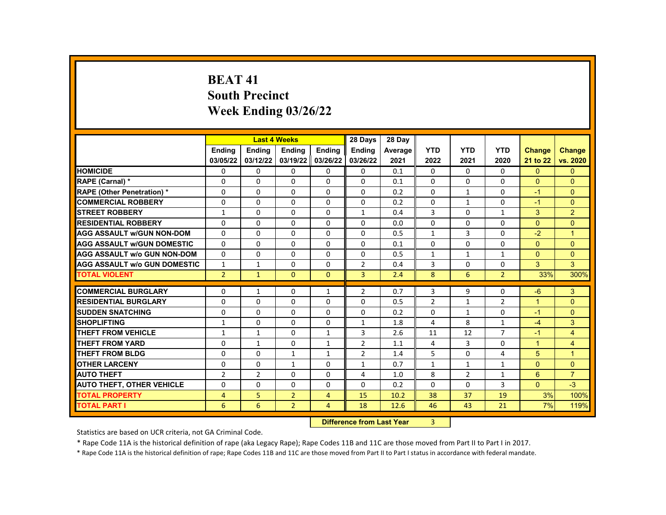# **BEAT 41 South Precinct Week Ending 03/26/22**

|                                     |                           | <b>Last 4 Weeks</b> |                |                | 28 Days               | 28 Dav  |                |                |                |                |                      |
|-------------------------------------|---------------------------|---------------------|----------------|----------------|-----------------------|---------|----------------|----------------|----------------|----------------|----------------------|
|                                     | <b>Endina</b>             | Ending              | Ending         | Ending         | <b>Ending</b>         | Average | <b>YTD</b>     | <b>YTD</b>     | <b>YTD</b>     | <b>Change</b>  | <b>Change</b>        |
|                                     | 03/05/22                  | 03/12/22            | 03/19/22       | 03/26/22       | 03/26/22              | 2021    | 2022           | 2021           | 2020           | 21 to 22       | vs. 2020             |
| <b>HOMICIDE</b>                     | 0                         | 0                   | 0              | 0              | 0                     | 0.1     | $\Omega$       | $\Omega$       | $\Omega$       | $\Omega$       | $\mathbf{0}$         |
| RAPE (Carnal) *                     | 0                         | 0                   | $\Omega$       | $\Omega$       | 0                     | 0.1     | $\Omega$       | $\Omega$       | $\Omega$       | $\Omega$       | $\mathbf{0}$         |
| <b>RAPE (Other Penetration) *</b>   | 0                         | $\Omega$            | $\Omega$       | $\Omega$       | 0                     | 0.2     | $\Omega$       | $\mathbf{1}$   | $\Omega$       | $-1$           | $\Omega$             |
| <b>COMMERCIAL ROBBERY</b>           | 0                         | 0                   | 0              | $\mathbf{0}$   | 0                     | 0.2     | $\Omega$       | $\mathbf{1}$   | $\mathbf{0}$   | $-1$           | $\mathbf{0}$         |
| <b>STREET ROBBERY</b>               | $\mathbf{1}$              | $\Omega$            | $\Omega$       | $\Omega$       | $\mathbf{1}$          | 0.4     | 3              | $\Omega$       | $\mathbf{1}$   | 3              | $\overline{2}$       |
| <b>RESIDENTIAL ROBBERY</b>          | 0                         | $\Omega$            | $\Omega$       | $\Omega$       | 0                     | 0.0     | $\Omega$       | $\Omega$       | $\Omega$       | $\Omega$       | $\Omega$             |
| <b>AGG ASSAULT W/GUN NON-DOM</b>    | $\Omega$                  | $\Omega$            | $\Omega$       | $\mathbf{0}$   | 0                     | 0.5     | $\mathbf{1}$   | 3              | $\Omega$       | $-2$           | $\overline{1}$       |
| <b>AGG ASSAULT W/GUN DOMESTIC</b>   | 0                         | $\Omega$            | $\Omega$       | $\Omega$       | 0                     | 0.1     | $\Omega$       | $\Omega$       | $\Omega$       | $\Omega$       | $\Omega$             |
| <b>AGG ASSAULT w/o GUN NON-DOM</b>  | $\Omega$                  | $\Omega$            | $\Omega$       | $\Omega$       | 0                     | 0.5     | $\mathbf{1}$   | $\mathbf{1}$   | $\mathbf{1}$   | $\Omega$       | $\Omega$             |
| <b>AGG ASSAULT W/o GUN DOMESTIC</b> | $\mathbf{1}$              | $\mathbf{1}$        | 0              | $\mathbf{0}$   | $\mathbf{2}^{\prime}$ | 0.4     | 3              | $\mathbf{0}$   | $\mathbf{0}$   | 3              | 3                    |
| <b>TOTAL VIOLENT</b>                | $\overline{2}$            | $\mathbf{1}$        | $\Omega$       | $\Omega$       | $\overline{3}$        | 2.4     | 8              | 6              | $\overline{2}$ | 33%            | 300%                 |
|                                     |                           |                     |                |                |                       |         |                |                |                |                |                      |
| <b>COMMERCIAL BURGLARY</b>          | 0                         | 1                   | 0              | $\mathbf{1}$   | $\overline{2}$        | 0.7     | 3              | 9              | $\Omega$       | $-6$           | 3                    |
| <b>RESIDENTIAL BURGLARY</b>         | 0                         | 0                   | $\Omega$       | $\mathbf{0}$   | 0                     | 0.5     | $\overline{2}$ | $\mathbf{1}$   | $\overline{2}$ | $\overline{1}$ | $\mathbf{0}$         |
| <b>SUDDEN SNATCHING</b>             | 0                         | $\Omega$            | $\Omega$       | $\Omega$       | 0                     | 0.2     | $\Omega$       | $\mathbf{1}$   | $\Omega$       | $-1$           | $\Omega$             |
| <b>SHOPLIFTING</b>                  | $\mathbf{1}$              | 0                   | $\Omega$       | $\Omega$       | $\mathbf{1}$          | 1.8     | 4              | 8              | $\mathbf{1}$   | $-4$           | 3                    |
| <b>THEFT FROM VEHICLE</b>           | $\mathbf{1}$              | $\mathbf{1}$        | $\Omega$       | $\mathbf{1}$   | 3                     | 2.6     | 11             | 12             | $\overline{7}$ | $-1$           | $\overline{4}$       |
| <b>THEFT FROM YARD</b>              | 0                         | $\mathbf{1}$        | $\Omega$       | $\mathbf{1}$   | $\overline{2}$        | 1.1     | 4              | $\overline{3}$ | $\Omega$       | $\mathbf{1}$   | $\overline{4}$       |
| <b>THEFT FROM BLDG</b>              | 0                         | $\Omega$            | $\mathbf{1}$   | $\mathbf{1}$   | $\overline{2}$        | 1.4     | 5              | $\Omega$       | 4              | 5              | $\blacktriangleleft$ |
| <b>OTHER LARCENY</b>                | 0                         | 0                   | $\mathbf{1}$   | $\Omega$       | 1                     | 0.7     | $\mathbf{1}$   | 1              | $\mathbf{1}$   | $\Omega$       | $\Omega$             |
| <b>AUTO THEFT</b>                   | $\overline{2}$            | $\overline{2}$      | 0              | 0              | 4                     | 1.0     | 8              | $\overline{2}$ | $\mathbf{1}$   | 6              | $\overline{7}$       |
| <b>AUTO THEFT, OTHER VEHICLE</b>    | 0                         | 0                   | $\Omega$       | $\Omega$       | 0                     | 0.2     | $\Omega$       | $\Omega$       | 3              | $\Omega$       | $-3$                 |
| <b>TOTAL PROPERTY</b>               | $\overline{4}$            | 5                   | $\overline{2}$ | 4              | 15                    | 10.2    | 38             | 37             | 19             | 3%             | 100%                 |
| <b>TOTAL PART I</b>                 | 6                         | 6                   | 2 <sup>1</sup> | $\overline{4}$ | 18                    | 12.6    | 46             | 43             | 21             | 7%             | 119%                 |
|                                     | Difference from Lost Voor |                     |                |                |                       |         |                |                |                |                |                      |

**Difference from Last Year** 

Statistics are based on UCR criteria, not GA Criminal Code.

\* Rape Code 11A is the historical definition of rape (aka Legacy Rape); Rape Codes 11B and 11C are those moved from Part II to Part I in 2017.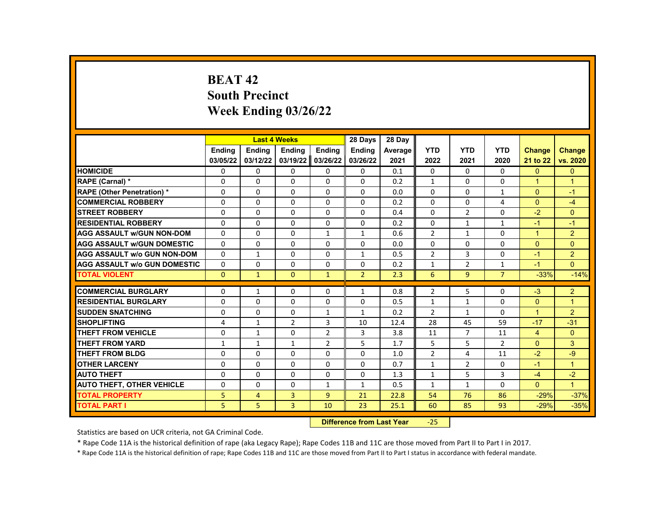# **BEAT 42 South Precinct Week Ending 03/26/22**

|                                     |               | <b>Last 4 Weeks</b> |                        |                | 28 Days        | 28 Day  |                |                |                |                      |                |
|-------------------------------------|---------------|---------------------|------------------------|----------------|----------------|---------|----------------|----------------|----------------|----------------------|----------------|
|                                     | <b>Endina</b> | Ending              | Ending                 | Ending         | Ending         | Average | <b>YTD</b>     | <b>YTD</b>     | <b>YTD</b>     | <b>Change</b>        | <b>Change</b>  |
|                                     | 03/05/22      | 03/12/22            | 03/19/22               | 03/26/22       | 03/26/22       | 2021    | 2022           | 2021           | 2020           | 21 to 22             | vs. 2020       |
| <b>HOMICIDE</b>                     | 0             | $\mathbf{0}$        | 0                      | 0              | $\mathbf{0}$   | 0.1     | $\mathbf{0}$   | 0              | 0              | $\mathbf{0}$         | $\mathbf{0}$   |
| RAPE (Carnal) *                     | 0             | $\Omega$            | $\Omega$               | $\Omega$       | $\Omega$       | 0.2     | $\mathbf{1}$   | $\Omega$       | $\Omega$       | $\mathbf{1}$         | $\overline{1}$ |
| RAPE (Other Penetration) *          | 0             | $\Omega$            | $\Omega$               | $\Omega$       | $\Omega$       | 0.0     | $\Omega$       | $\Omega$       | $\mathbf{1}$   | $\Omega$             | $-1$           |
| <b>COMMERCIAL ROBBERY</b>           | 0             | $\mathbf{0}$        | $\Omega$               | 0              | $\mathbf{0}$   | 0.2     | $\Omega$       | $\Omega$       | 4              | $\Omega$             | $-4$           |
| <b>STREET ROBBERY</b>               | $\Omega$      | $\Omega$            | $\Omega$               | $\Omega$       | $\Omega$       | 0.4     | $\Omega$       | 2              | $\Omega$       | $-2$                 | $\Omega$       |
| <b>RESIDENTIAL ROBBERY</b>          | $\Omega$      | $\Omega$            | $\Omega$               | $\Omega$       | $\Omega$       | 0.2     | $\Omega$       | $\mathbf{1}$   | $\mathbf{1}$   | $-1$                 | $-1$           |
| <b>AGG ASSAULT w/GUN NON-DOM</b>    | 0             | 0                   | 0                      | $\mathbf{1}$   | $\mathbf{1}$   | 0.6     | $\overline{2}$ | $\mathbf{1}$   | 0              | $\mathbf{1}$         | $\overline{2}$ |
| <b>AGG ASSAULT W/GUN DOMESTIC</b>   | $\Omega$      | $\Omega$            | $\Omega$               | $\Omega$       | 0              | 0.0     | $\Omega$       | $\Omega$       | 0              | $\Omega$             | $\Omega$       |
| <b>AGG ASSAULT w/o GUN NON-DOM</b>  | $\Omega$      | $\mathbf{1}$        | $\Omega$               | $\Omega$       | $\mathbf{1}$   | 0.5     | $\overline{2}$ | 3              | $\Omega$       | $-1$                 | $\overline{2}$ |
| <b>AGG ASSAULT W/o GUN DOMESTIC</b> | $\Omega$      | 0                   | $\Omega$               | 0              | 0              | 0.2     | $\mathbf{1}$   | $\overline{2}$ | $\mathbf{1}$   | $-1$                 | $\Omega$       |
| <b>TOTAL VIOLENT</b>                | $\mathbf{0}$  | $\mathbf{1}$        | $\mathbf{0}$           | $\mathbf{1}$   | $\overline{2}$ | 2.3     | 6              | 9              | $\overline{7}$ | $-33%$               | $-14%$         |
|                                     |               |                     |                        |                |                |         |                |                |                |                      |                |
| <b>COMMERCIAL BURGLARY</b>          | 0             | 1                   | 0                      | 0              | 1              | 0.8     | $\overline{2}$ | 5              | 0              | $-3$                 | $\overline{2}$ |
| <b>RESIDENTIAL BURGLARY</b>         | 0             | $\Omega$            | $\Omega$               | $\Omega$       | $\Omega$       | 0.5     | $\mathbf{1}$   | $\mathbf{1}$   | 0              | $\overline{0}$       | $\mathbf{1}$   |
| <b>SUDDEN SNATCHING</b>             | $\Omega$      | $\Omega$            | $\Omega$               | $\mathbf{1}$   | $\mathbf{1}$   | 0.2     | $\overline{2}$ | $\mathbf{1}$   | $\Omega$       | $\blacktriangleleft$ | $\overline{2}$ |
| <b>SHOPLIFTING</b>                  | 4             | $\mathbf{1}$        | 2                      | 3              | 10             | 12.4    | 28             | 45             | 59             | $-17$                | $-31$          |
| <b>THEFT FROM VEHICLE</b>           | $\Omega$      | $\mathbf{1}$        | $\Omega$               | $\overline{2}$ | 3              | 3.8     | 11             | $\overline{7}$ | 11             | 4                    | $\mathbf{0}$   |
| <b>THEFT FROM YARD</b>              | $\mathbf{1}$  | $\mathbf{1}$        | $\mathbf{1}$           | $\overline{2}$ | 5              | 1.7     | 5              | 5              | $\overline{2}$ | $\Omega$             | 3              |
| <b>THEFT FROM BLDG</b>              | 0             | $\Omega$            | $\Omega$               | $\Omega$       | 0              | 1.0     | $\overline{2}$ | 4              | 11             | $-2$                 | $-9$           |
| <b>OTHER LARCENY</b>                | 0             | $\Omega$            | $\Omega$               | $\Omega$       | $\Omega$       | 0.7     | $\mathbf{1}$   | $\overline{2}$ | $\Omega$       | $-1$                 | $\mathbf{1}$   |
| <b>AUTO THEFT</b>                   | 0             | $\Omega$            | $\Omega$               | $\Omega$       | 0              | 1.3     | $\mathbf{1}$   | 5              | 3              | $-4$                 | $-2$           |
| <b>AUTO THEFT, OTHER VEHICLE</b>    | 0             | 0                   | 0                      | $\mathbf{1}$   | $\mathbf{1}$   | 0.5     | $\mathbf{1}$   | $\mathbf{1}$   | 0              | $\mathbf{0}$         | $\overline{1}$ |
| <b>TOTAL PROPERTY</b>               | 5             | 4                   | 3                      | 9              | 21             | 22.8    | 54             | 76             | 86             | $-29%$               | $-37%$         |
| <b>TOTAL PART I</b>                 | 5             | 5                   | 3                      | 10             | 23             | 25.1    | 60             | 85             | 93             | $-29%$               | $-35%$         |
|                                     |               | <b>INSECUL</b>      | a a dheann 1 anns Main |                | $\sim$ $\sim$  |         |                |                |                |                      |                |

**Difference from Last Year** -25

Statistics are based on UCR criteria, not GA Criminal Code.

\* Rape Code 11A is the historical definition of rape (aka Legacy Rape); Rape Codes 11B and 11C are those moved from Part II to Part I in 2017.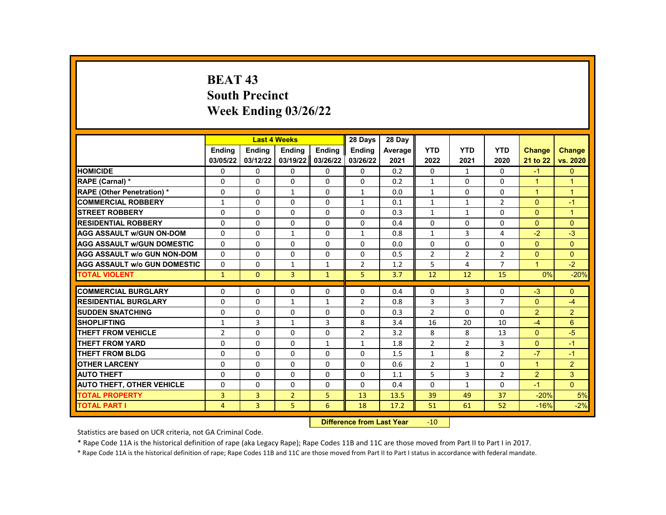# **BEAT 43 South Precinct Week Ending 03/26/22**

|                                     |                | <b>Last 4 Weeks</b> |                |              | 28 Days        | 28 Dav  |                |                |                |                      |                |
|-------------------------------------|----------------|---------------------|----------------|--------------|----------------|---------|----------------|----------------|----------------|----------------------|----------------|
|                                     | Ending         | Ending              | Ending         | Ending       | Ending         | Average | <b>YTD</b>     | <b>YTD</b>     | <b>YTD</b>     | <b>Change</b>        | <b>Change</b>  |
|                                     | 03/05/22       | 03/12/22            | 03/19/22       | 03/26/22     | 03/26/22       | 2021    | 2022           | 2021           | 2020           | 21 to 22             | vs. 2020       |
| <b>HOMICIDE</b>                     | 0              | $\mathbf{0}$        | $\mathbf{0}$   | 0            | 0              | 0.2     | 0              | $\mathbf{1}$   | 0              | $-1$                 | $\Omega$       |
| RAPE (Carnal) *                     | $\Omega$       | $\Omega$            | $\Omega$       | $\Omega$     | $\Omega$       | 0.2     | $\mathbf{1}$   | $\Omega$       | $\Omega$       | $\blacktriangleleft$ | $\overline{1}$ |
| <b>RAPE (Other Penetration) *</b>   | $\Omega$       | $\Omega$            | $\mathbf{1}$   | $\Omega$     | $\mathbf{1}$   | 0.0     | $\mathbf{1}$   | $\Omega$       | $\Omega$       | $\overline{1}$       | $\overline{1}$ |
| <b>COMMERCIAL ROBBERY</b>           | $\mathbf{1}$   | $\Omega$            | $\Omega$       | $\Omega$     | $\mathbf{1}$   | 0.1     | $\mathbf{1}$   | $\mathbf{1}$   | 2              | $\Omega$             | $-1$           |
| <b>STREET ROBBERY</b>               | 0              | $\Omega$            | $\Omega$       | $\Omega$     | $\mathbf{0}$   | 0.3     | $\mathbf{1}$   | $\mathbf{1}$   | $\Omega$       | $\Omega$             | $\overline{1}$ |
| <b>RESIDENTIAL ROBBERY</b>          | $\Omega$       | $\Omega$            | $\Omega$       | $\Omega$     | $\Omega$       | 0.4     | $\Omega$       | $\Omega$       | $\Omega$       | $\Omega$             | $\Omega$       |
| <b>AGG ASSAULT w/GUN ON-DOM</b>     | $\Omega$       | 0                   | $\mathbf{1}$   | 0            | $\mathbf{1}$   | 0.8     | $\mathbf{1}$   | 3              | 4              | $-2$                 | $-3$           |
| <b>AGG ASSAULT w/GUN DOMESTIC</b>   | $\Omega$       | $\Omega$            | $\Omega$       | $\Omega$     | $\Omega$       | 0.0     | $\Omega$       | $\Omega$       | $\Omega$       | $\Omega$             | $\Omega$       |
| <b>AGG ASSAULT w/o GUN NON-DOM</b>  | $\Omega$       | $\Omega$            | $\Omega$       | $\Omega$     | $\Omega$       | 0.5     | $\overline{2}$ | $\overline{2}$ | $\overline{2}$ | $\Omega$             | $\Omega$       |
| <b>AGG ASSAULT W/o GUN DOMESTIC</b> | $\Omega$       | $\mathbf{0}$        | $\mathbf{1}$   | $\mathbf{1}$ | $\overline{2}$ | 1.2     | 5              | 4              | $\overline{7}$ | $\mathbf{1}$         | $-2$           |
| <b>TOTAL VIOLENT</b>                | $\mathbf{1}$   | $\mathbf{0}$        | 3              | $\mathbf{1}$ | 5              | 3.7     | 12             | 12             | 15             | 0%                   | $-20%$         |
|                                     |                |                     |                |              |                |         |                |                |                |                      |                |
| <b>COMMERCIAL BURGLARY</b>          | 0              | 0                   | 0              | 0            | 0              | 0.4     | 0              | 3              | $\Omega$       | $-3$                 | $\Omega$       |
| <b>RESIDENTIAL BURGLARY</b>         | $\Omega$       | $\mathbf{0}$        | $\mathbf{1}$   | $\mathbf{1}$ | $\overline{2}$ | 0.8     | 3              | 3              | $\overline{7}$ | $\Omega$             | $-4$           |
| <b>SUDDEN SNATCHING</b>             | $\Omega$       | $\Omega$            | $\Omega$       | $\Omega$     | $\Omega$       | 0.3     | $\overline{2}$ | $\Omega$       | $\Omega$       | 2                    | $\overline{2}$ |
| <b>SHOPLIFTING</b>                  | $\mathbf{1}$   | 3                   | $\mathbf{1}$   | 3            | 8              | 3.4     | 16             | 20             | 10             | $-4$                 | 6              |
| <b>THEFT FROM VEHICLE</b>           | $\overline{2}$ | $\Omega$            | $\Omega$       | $\Omega$     | $\overline{2}$ | 3.2     | 8              | 8              | 13             | $\Omega$             | $-5$           |
| <b>THEFT FROM YARD</b>              | $\Omega$       | $\Omega$            | $\Omega$       | $\mathbf{1}$ | $\mathbf{1}$   | 1.8     | $\overline{2}$ | $\overline{2}$ | 3              | $\Omega$             | $-1$           |
| <b>THEFT FROM BLDG</b>              | $\Omega$       | $\Omega$            | $\Omega$       | $\Omega$     | $\Omega$       | 1.5     | $\mathbf{1}$   | 8              | $\overline{2}$ | $-7$                 | $-1$           |
| <b>OTHER LARCENY</b>                | $\Omega$       | $\Omega$            | $\Omega$       | $\Omega$     | $\Omega$       | 0.6     | $\overline{2}$ | $\mathbf{1}$   | $\Omega$       | $\blacktriangleleft$ | $\overline{2}$ |
| <b>AUTO THEFT</b>                   | $\Omega$       | $\Omega$            | $\Omega$       | $\Omega$     | $\Omega$       | 1.1     | 5              | 3              | $\overline{2}$ | 2                    | 3              |
| <b>AUTO THEFT, OTHER VEHICLE</b>    | $\Omega$       | $\Omega$            | $\Omega$       | $\Omega$     | 0              | 0.4     | $\Omega$       | $\mathbf{1}$   | $\Omega$       | $-1$                 | $\Omega$       |
| <b>TOTAL PROPERTY</b>               | 3              | 3                   | $\overline{2}$ | 5            | 13             | 13.5    | 39             | 49             | 37             | $-20%$               | 5%             |
| <b>TOTAL PART I</b>                 | $\overline{4}$ | 3                   | 5              | 6            | 18             | 17.2    | 51             | 61             | 52             | $-16%$               | $-2%$          |
|                                     |                |                     |                |              |                |         |                |                |                |                      |                |

**Difference from Last Year** -10

Statistics are based on UCR criteria, not GA Criminal Code.

\* Rape Code 11A is the historical definition of rape (aka Legacy Rape); Rape Codes 11B and 11C are those moved from Part II to Part I in 2017.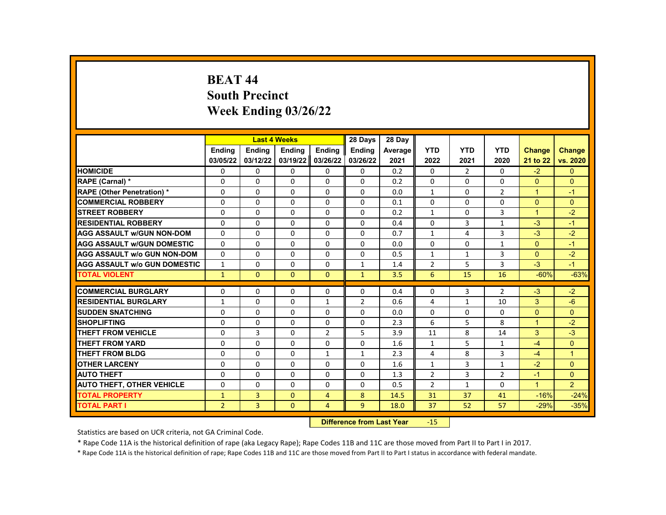# **BEAT 44 South Precinct Week Ending 03/26/22**

|                                     |                |               | <b>Last 4 Weeks</b> |                | 28 Days        | 28 Day                                                                                                                                                                                                                         |                |                |                |                      |                |
|-------------------------------------|----------------|---------------|---------------------|----------------|----------------|--------------------------------------------------------------------------------------------------------------------------------------------------------------------------------------------------------------------------------|----------------|----------------|----------------|----------------------|----------------|
|                                     | <b>Ending</b>  | <b>Endina</b> | <b>Ending</b>       | <b>Ending</b>  | <b>Ending</b>  | Average                                                                                                                                                                                                                        | <b>YTD</b>     | <b>YTD</b>     | <b>YTD</b>     | <b>Change</b>        | <b>Change</b>  |
|                                     | 03/05/22       | 03/12/22      | 03/19/22            | 03/26/22       | 03/26/22       | 2021                                                                                                                                                                                                                           | 2022           | 2021           | 2020           | 21 to 22             | vs. 2020       |
| <b>HOMICIDE</b>                     | 0              | $\mathbf{0}$  | $\mathbf{0}$        | 0              | 0              | 0.2                                                                                                                                                                                                                            | 0              | $\overline{2}$ | $\mathbf{0}$   | $-2$                 | $\mathbf{0}$   |
| RAPE (Carnal) *                     | $\Omega$       | $\Omega$      | $\Omega$            | $\Omega$       | $\Omega$       | 0.2                                                                                                                                                                                                                            | $\Omega$       | $\Omega$       | $\Omega$       | $\Omega$             | $\Omega$       |
| <b>RAPE (Other Penetration) *</b>   | $\Omega$       | $\Omega$      | $\Omega$            | $\Omega$       | $\Omega$       | 0.0                                                                                                                                                                                                                            | $\mathbf{1}$   | $\Omega$       | $\overline{2}$ | $\blacktriangleleft$ | $-1$           |
| <b>COMMERCIAL ROBBERY</b>           | 0              | 0             | 0                   | 0              | 0              | 0.1                                                                                                                                                                                                                            | $\Omega$       | 0              | $\Omega$       | $\Omega$             | $\Omega$       |
| <b>STREET ROBBERY</b>               | $\Omega$       | $\Omega$      | $\Omega$            | $\Omega$       | $\Omega$       | 0.2                                                                                                                                                                                                                            | $\mathbf{1}$   | $\Omega$       | 3              | $\blacktriangleleft$ | $-2$           |
| <b>RESIDENTIAL ROBBERY</b>          | $\Omega$       | $\Omega$      | $\Omega$            | $\Omega$       | $\Omega$       | 0.4                                                                                                                                                                                                                            | $\Omega$       | 3              | $\mathbf{1}$   | $-3$                 | $-1$           |
| <b>AGG ASSAULT W/GUN NON-DOM</b>    | $\Omega$       | $\mathbf{0}$  | $\mathbf{0}$        | 0              | $\mathbf{0}$   | 0.7                                                                                                                                                                                                                            | $\mathbf{1}$   | 4              | 3              | $-3$                 | $-2$           |
| <b>AGG ASSAULT w/GUN DOMESTIC</b>   | $\Omega$       | $\Omega$      | $\Omega$            | $\Omega$       | $\Omega$       | 0.0                                                                                                                                                                                                                            | $\Omega$       | $\Omega$       | $\mathbf{1}$   | $\Omega$             | $-1$           |
| <b>AGG ASSAULT W/o GUN NON-DOM</b>  | $\Omega$       | $\Omega$      | $\Omega$            | $\Omega$       | $\Omega$       | 0.5                                                                                                                                                                                                                            | $\mathbf{1}$   | $\mathbf{1}$   | 3              | $\Omega$             | $-2$           |
| <b>AGG ASSAULT W/o GUN DOMESTIC</b> | $\mathbf{1}$   | 0             | $\Omega$            | 0              | $\mathbf{1}$   | 1.4                                                                                                                                                                                                                            | $\overline{2}$ | 5              | 3              | $-3$                 | $-1$           |
| <b>TOTAL VIOLENT</b>                | $\mathbf{1}$   | $\mathbf{0}$  | $\mathbf{0}$        | $\Omega$       | $\mathbf{1}$   | 3.5                                                                                                                                                                                                                            | 6              | 15             | 16             | $-60%$               | $-63%$         |
|                                     |                |               |                     |                |                |                                                                                                                                                                                                                                |                |                |                |                      |                |
| <b>COMMERCIAL BURGLARY</b>          | 0              | 0             | 0                   | 0              | 0              | 0.4                                                                                                                                                                                                                            | 0              | 3              | $\overline{2}$ | $-3$                 | $-2$           |
| <b>RESIDENTIAL BURGLARY</b>         | $\mathbf{1}$   | $\Omega$      | $\Omega$            | $\mathbf{1}$   | $\overline{2}$ | 0.6                                                                                                                                                                                                                            | 4              | $\mathbf{1}$   | 10             | 3                    | $-6$           |
| <b>SUDDEN SNATCHING</b>             | $\Omega$       | $\Omega$      | $\Omega$            | $\Omega$       | $\Omega$       | 0.0                                                                                                                                                                                                                            | $\Omega$       | $\Omega$       | $\Omega$       | $\Omega$             | $\Omega$       |
| <b>SHOPLIFTING</b>                  | 0              | $\Omega$      | $\Omega$            | $\Omega$       | 0              | 2.3                                                                                                                                                                                                                            | 6              | 5              | 8              | $\blacktriangleleft$ | $-2$           |
| <b>THEFT FROM VEHICLE</b>           | $\Omega$       | 3             | $\Omega$            | $\overline{2}$ | 5              | 3.9                                                                                                                                                                                                                            | 11             | 8              | 14             | 3                    | $-3$           |
| <b>THEFT FROM YARD</b>              | $\Omega$       | $\Omega$      | $\Omega$            | $\Omega$       | $\Omega$       | 1.6                                                                                                                                                                                                                            | $\mathbf{1}$   | 5              | $\mathbf{1}$   | $-4$                 | $\Omega$       |
| <b>THEFT FROM BLDG</b>              | 0              | $\Omega$      | $\Omega$            | $\mathbf{1}$   | $\mathbf{1}$   | 2.3                                                                                                                                                                                                                            | 4              | 8              | 3              | $-4$                 | $\mathbf{1}$   |
| <b>OTHER LARCENY</b>                | $\Omega$       | $\mathbf{0}$  | $\Omega$            | $\Omega$       | $\mathbf{0}$   | 1.6                                                                                                                                                                                                                            | $\mathbf{1}$   | 3              | $\mathbf{1}$   | $-2$                 | $\Omega$       |
| <b>AUTO THEFT</b>                   | $\Omega$       | $\Omega$      | $\Omega$            | $\Omega$       | $\Omega$       | 1.3                                                                                                                                                                                                                            | $\overline{2}$ | 3              | 2              | $-1$                 | $\Omega$       |
| <b>AUTO THEFT, OTHER VEHICLE</b>    | 0              | 0             | 0                   | 0              | 0              | 0.5                                                                                                                                                                                                                            | $\overline{2}$ | $\mathbf{1}$   | 0              | $\blacktriangleleft$ | $\overline{2}$ |
| <b>TOTAL PROPERTY</b>               | $\mathbf{1}$   | 3             | $\mathbf 0$         | 4              | 8              | 14.5                                                                                                                                                                                                                           | 31             | 37             | 41             | $-16%$               | $-24%$         |
| <b>TOTAL PART I</b>                 | $\overline{2}$ | 3             | $\mathbf{0}$        | $\overline{4}$ | 9              | 18.0                                                                                                                                                                                                                           | 37             | 52             | 57             | $-29%$               | $-35%$         |
|                                     |                |               |                     | <b>POSTER</b>  |                | and the company of the company of the company of the company of the company of the company of the company of the company of the company of the company of the company of the company of the company of the company of the comp | $\sim$         |                |                |                      |                |

**Difference from Last Year** -15

Statistics are based on UCR criteria, not GA Criminal Code.

\* Rape Code 11A is the historical definition of rape (aka Legacy Rape); Rape Codes 11B and 11C are those moved from Part II to Part I in 2017.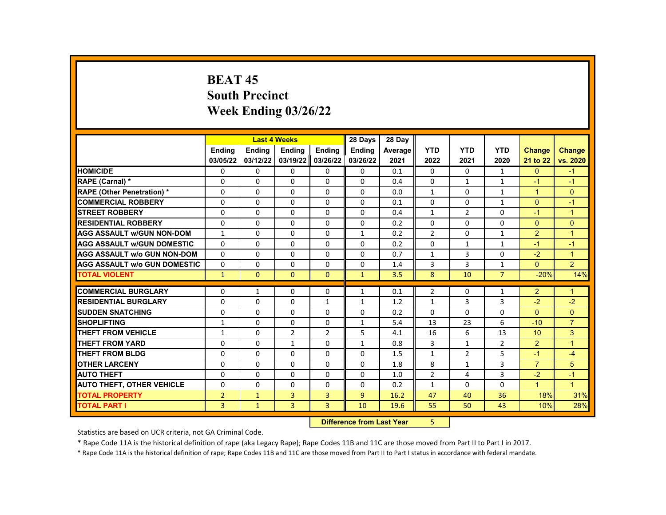# **BEAT 45 South Precinct Week Ending 03/26/22**

|                                     |                |               | <b>Last 4 Weeks</b> |                | 28 Days                   | 28 Day  |                |                |                |                      |                      |
|-------------------------------------|----------------|---------------|---------------------|----------------|---------------------------|---------|----------------|----------------|----------------|----------------------|----------------------|
|                                     | <b>Ending</b>  | <b>Ending</b> | <b>Ending</b>       | <b>Ending</b>  | <b>Endina</b>             | Average | <b>YTD</b>     | <b>YTD</b>     | <b>YTD</b>     | <b>Change</b>        | <b>Change</b>        |
|                                     | 03/05/22       | 03/12/22      | 03/19/22            | 03/26/22       | 03/26/22                  | 2021    | 2022           | 2021           | 2020           | 21 to 22             | vs. 2020             |
| <b>HOMICIDE</b>                     | 0              | 0             | 0                   | 0              | 0                         | 0.1     | 0              | 0              | $\mathbf{1}$   | $\mathbf{0}$         | $-1$                 |
| RAPE (Carnal) *                     | 0              | $\Omega$      | $\Omega$            | $\Omega$       | $\Omega$                  | 0.4     | $\Omega$       | $\mathbf{1}$   | $\mathbf{1}$   | $-1$                 | $-1$                 |
| <b>RAPE (Other Penetration) *</b>   | $\Omega$       | $\Omega$      | $\Omega$            | $\Omega$       | $\Omega$                  | 0.0     | $\mathbf{1}$   | $\Omega$       | $\mathbf{1}$   | $\overline{1}$       | $\Omega$             |
| <b>COMMERCIAL ROBBERY</b>           | 0              | 0             | 0                   | 0              | 0                         | 0.1     | 0              | 0              | $\mathbf{1}$   | $\Omega$             | $-1$                 |
| <b>STREET ROBBERY</b>               | $\Omega$       | $\Omega$      | $\Omega$            | $\Omega$       | $\Omega$                  | 0.4     | $\mathbf{1}$   | $\overline{2}$ | $\Omega$       | $-1$                 | $\mathbf{1}$         |
| <b>RESIDENTIAL ROBBERY</b>          | $\Omega$       | $\Omega$      | $\Omega$            | $\Omega$       | $\Omega$                  | 0.2     | $\Omega$       | $\Omega$       | $\Omega$       | $\Omega$             | $\Omega$             |
| <b>AGG ASSAULT W/GUN NON-DOM</b>    | $\mathbf{1}$   | 0             | 0                   | 0              | $\mathbf{1}$              | 0.2     | $\overline{2}$ | 0              | $\mathbf{1}$   | $\overline{2}$       | $\overline{1}$       |
| <b>AGG ASSAULT W/GUN DOMESTIC</b>   | $\Omega$       | $\Omega$      | $\Omega$            | $\Omega$       | $\Omega$                  | 0.2     | $\Omega$       | $\mathbf{1}$   | $\mathbf{1}$   | $-1$                 | $-1$                 |
| <b>AGG ASSAULT W/o GUN NON-DOM</b>  | $\Omega$       | $\Omega$      | $\Omega$            | $\Omega$       | $\Omega$                  | 0.7     | $\mathbf{1}$   | 3              | $\Omega$       | $-2$                 | $\mathbf{1}$         |
| <b>AGG ASSAULT W/o GUN DOMESTIC</b> | $\Omega$       | $\Omega$      | $\Omega$            | $\Omega$       | $\Omega$                  | 1.4     | 3              | 3              | $\mathbf{1}$   | $\mathbf{0}$         | 2 <sup>1</sup>       |
| <b>TOTAL VIOLENT</b>                | $\mathbf{1}$   | $\mathbf{0}$  | $\mathbf{0}$        | $\mathbf{0}$   | $\mathbf{1}$              | 3.5     | 8              | 10             | $\overline{7}$ | $-20%$               | 14%                  |
|                                     |                |               |                     |                |                           |         |                |                |                |                      |                      |
| <b>COMMERCIAL BURGLARY</b>          | 0              | $\mathbf{1}$  | 0                   | 0              | $\mathbf{1}$              | 0.1     | $\overline{2}$ | 0              | 1              | $\overline{2}$       | $\mathbf 1$          |
| <b>RESIDENTIAL BURGLARY</b>         | 0              | 0             | 0                   | $\mathbf{1}$   | $\mathbf{1}$              | 1.2     | $\mathbf{1}$   | 3              | 3              | $-2$                 | $-2$                 |
| <b>SUDDEN SNATCHING</b>             | $\Omega$       | $\Omega$      | $\Omega$            | $\Omega$       | $\Omega$                  | 0.2     | $\Omega$       | $\Omega$       | $\Omega$       | $\Omega$             | $\Omega$             |
| <b>SHOPLIFTING</b>                  | $\mathbf{1}$   | $\Omega$      | $\Omega$            | $\Omega$       | $\mathbf{1}$              | 5.4     | 13             | 23             | 6              | $-10$                | $\overline{7}$       |
| <b>THEFT FROM VEHICLE</b>           | $\mathbf{1}$   | $\Omega$      | $\overline{2}$      | $\overline{2}$ | 5                         | 4.1     | 16             | 6              | 13             | 10 <sup>°</sup>      | 3                    |
| <b>THEFT FROM YARD</b>              | $\Omega$       | $\Omega$      | $\mathbf{1}$        | $\Omega$       | $\mathbf{1}$              | 0.8     | 3              | $\mathbf{1}$   | $\overline{2}$ | $\overline{2}$       | $\mathbf{1}$         |
| <b>THEFT FROM BLDG</b>              | 0              | $\Omega$      | $\Omega$            | $\Omega$       | 0                         | 1.5     | $\mathbf{1}$   | $\overline{2}$ | 5              | $-1$                 | $-4$                 |
| <b>OTHER LARCENY</b>                | $\Omega$       | $\Omega$      | $\Omega$            | $\Omega$       | $\Omega$                  | 1.8     | 8              | $\mathbf{1}$   | $\overline{3}$ | $\overline{7}$       | 5                    |
| <b>AUTO THEFT</b>                   | 0              | $\mathbf{0}$  | 0                   | 0              | $\Omega$                  | 1.0     | $\overline{2}$ | 4              | 3              | $-2$                 | $-1$                 |
| <b>AUTO THEFT, OTHER VEHICLE</b>    | 0              | $\Omega$      | $\Omega$            | $\Omega$       | 0                         | 0.2     | $\mathbf{1}$   | $\Omega$       | $\Omega$       | $\blacktriangleleft$ | $\blacktriangleleft$ |
| <b>TOTAL PROPERTY</b>               | $\overline{2}$ | $\mathbf{1}$  | 3                   | 3              | 9                         | 16.2    | 47             | 40             | 36             | 18%                  | 31%                  |
| <b>TOTAL PART I</b>                 | 3              | $\mathbf{1}$  | 3                   | 3              | 10                        | 19.6    | 55             | 50             | 43             | 10%                  | 28%                  |
|                                     |                |               |                     |                | Difference from Loot Voor |         | E.             |                |                |                      |                      |

**Difference from Last Year** 

Statistics are based on UCR criteria, not GA Criminal Code.

\* Rape Code 11A is the historical definition of rape (aka Legacy Rape); Rape Codes 11B and 11C are those moved from Part II to Part I in 2017.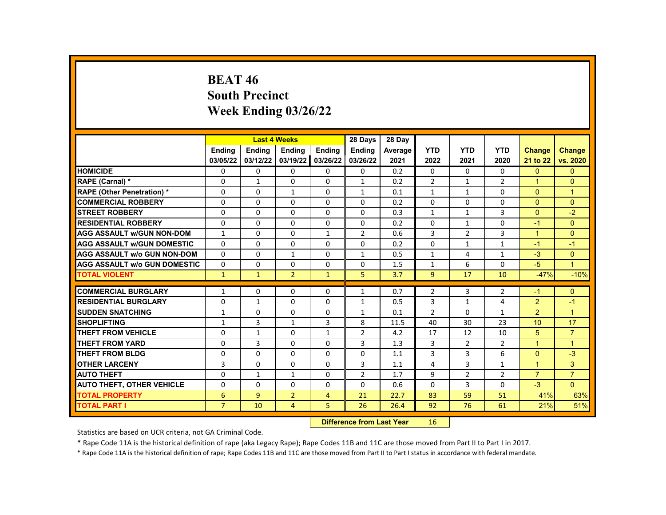# **BEAT 46 South Precinct Week Ending 03/26/22**

|                                     |                | <b>Last 4 Weeks</b> |                |                | 28 Days                   | 28 Day  |                |                |                |                |                |
|-------------------------------------|----------------|---------------------|----------------|----------------|---------------------------|---------|----------------|----------------|----------------|----------------|----------------|
|                                     | <b>Endina</b>  | <b>Ending</b>       | <b>Ending</b>  | <b>Ending</b>  | <b>Endina</b>             | Average | <b>YTD</b>     | <b>YTD</b>     | <b>YTD</b>     | <b>Change</b>  | <b>Change</b>  |
|                                     | 03/05/22       | 03/12/22            | 03/19/22       | 03/26/22       | 03/26/22                  | 2021    | 2022           | 2021           | 2020           | 21 to 22       | vs. 2020       |
| <b>HOMICIDE</b>                     | 0              | 0                   | 0              | 0              | 0                         | 0.2     | 0              | 0              | 0              | $\mathbf{0}$   | $\mathbf{0}$   |
| RAPE (Carnal) *                     | 0              | $\mathbf{1}$        | $\Omega$       | $\Omega$       | $\mathbf{1}$              | 0.2     | $\overline{2}$ | $\mathbf{1}$   | $\overline{2}$ | $\mathbf{1}$   | $\Omega$       |
| RAPE (Other Penetration) *          | 0              | $\Omega$            | $\mathbf{1}$   | $\Omega$       | $\mathbf{1}$              | 0.1     | $\mathbf{1}$   | $\mathbf{1}$   | $\Omega$       | $\Omega$       | $\mathbf{1}$   |
| <b>COMMERCIAL ROBBERY</b>           | 0              | 0                   | $\Omega$       | 0              | 0                         | 0.2     | $\mathbf{0}$   | 0              | 0              | $\mathbf{0}$   | $\Omega$       |
| <b>STREET ROBBERY</b>               | 0              | $\Omega$            | $\Omega$       | $\Omega$       | $\Omega$                  | 0.3     | $\mathbf{1}$   | $\mathbf{1}$   | 3              | $\mathbf{0}$   | $-2$           |
| <b>RESIDENTIAL ROBBERY</b>          | 0              | $\Omega$            | $\Omega$       | $\Omega$       | $\Omega$                  | 0.2     | $\Omega$       | $\mathbf{1}$   | $\Omega$       | $-1$           | $\Omega$       |
| <b>AGG ASSAULT w/GUN NON-DOM</b>    | $\mathbf{1}$   | 0                   | 0              | $\mathbf{1}$   | $\overline{2}$            | 0.6     | 3              | $\overline{2}$ | 3              | $\mathbf{1}$   | $\mathbf{0}$   |
| <b>AGG ASSAULT W/GUN DOMESTIC</b>   | $\Omega$       | $\Omega$            | $\Omega$       | $\Omega$       | $\Omega$                  | 0.2     | $\Omega$       | $\mathbf{1}$   | $\mathbf{1}$   | $-1$           | $-1$           |
| <b>AGG ASSAULT w/o GUN NON-DOM</b>  | $\Omega$       | $\Omega$            | $\mathbf{1}$   | $\Omega$       | $\mathbf{1}$              | 0.5     | $\mathbf{1}$   | 4              | $\mathbf{1}$   | $-3$           | $\Omega$       |
| <b>AGG ASSAULT W/o GUN DOMESTIC</b> | $\Omega$       | $\Omega$            | $\Omega$       | $\Omega$       | $\Omega$                  | 1.5     | $\mathbf{1}$   | 6              | $\Omega$       | $-5$           | $\mathbf{1}$   |
| <b>TOTAL VIOLENT</b>                | $\mathbf{1}$   | $\mathbf{1}$        | $\overline{2}$ | $\mathbf{1}$   | 5                         | 3.7     | 9              | 17             | 10             | $-47%$         | $-10%$         |
|                                     |                |                     |                |                |                           |         |                |                |                |                |                |
| <b>COMMERCIAL BURGLARY</b>          | $\mathbf{1}$   | $\mathbf{0}$        | 0              | 0              | $\mathbf{1}$              | 0.7     | 2              | 3              | 2              | $-1$           | $\mathbf{0}$   |
| <b>RESIDENTIAL BURGLARY</b>         | $\mathbf 0$    | $\mathbf{1}$        | 0              | 0              | $\mathbf{1}$              | 0.5     | 3              | $\mathbf{1}$   | 4              | $\overline{2}$ | $-1$           |
| <b>SUDDEN SNATCHING</b>             | $\mathbf{1}$   | $\Omega$            | $\Omega$       | $\Omega$       | $\mathbf{1}$              | 0.1     | $\overline{2}$ | $\Omega$       | $\mathbf{1}$   | $\overline{2}$ | $\overline{1}$ |
| <b>SHOPLIFTING</b>                  | $\mathbf{1}$   | 3                   | $\mathbf{1}$   | 3              | 8                         | 11.5    | 40             | 30             | 23             | 10             | 17             |
| <b>THEFT FROM VEHICLE</b>           | 0              | $\mathbf{1}$        | $\Omega$       | $\mathbf{1}$   | $\overline{2}$            | 4.2     | 17             | 12             | 10             | 5              | $\overline{7}$ |
| <b>THEFT FROM YARD</b>              | 0              | 3                   | $\Omega$       | $\Omega$       | 3                         | 1.3     | $\overline{3}$ | $\overline{2}$ | $\overline{2}$ | $\mathbf{1}$   | $\mathbf{1}$   |
| <b>THEFT FROM BLDG</b>              | 0              | $\Omega$            | $\Omega$       | $\Omega$       | 0                         | 1.1     | $\overline{3}$ | 3              | 6              | $\mathbf{0}$   | $-3$           |
| <b>OTHER LARCENY</b>                | 3              | $\Omega$            | $\Omega$       | $\Omega$       | 3                         | 1.1     | 4              | 3              | $\mathbf{1}$   | $\mathbf{1}$   | 3              |
| <b>AUTO THEFT</b>                   | 0              | $\mathbf{1}$        | $\mathbf{1}$   | 0              | $\overline{2}$            | 1.7     | 9              | $\overline{2}$ | $\overline{2}$ | $\overline{7}$ | $\overline{7}$ |
| <b>AUTO THEFT, OTHER VEHICLE</b>    | 0              | $\Omega$            | $\Omega$       | $\Omega$       | 0                         | 0.6     | $\Omega$       | 3              | 0              | $-3$           | $\Omega$       |
| <b>TOTAL PROPERTY</b>               | 6              | 9                   | $\overline{2}$ | $\overline{4}$ | 21                        | 22.7    | 83             | 59             | 51             | 41%            | 63%            |
| <b>TOTAL PART I</b>                 | $\overline{7}$ | 10                  | $\overline{4}$ | 5              | 26                        | 26.4    | 92             | 76             | 61             | 21%            | 51%            |
|                                     |                |                     |                |                | Difference from Loot Voor |         | AC             |                |                |                |                |

**Difference from Last Year** 16

Statistics are based on UCR criteria, not GA Criminal Code.

\* Rape Code 11A is the historical definition of rape (aka Legacy Rape); Rape Codes 11B and 11C are those moved from Part II to Part I in 2017.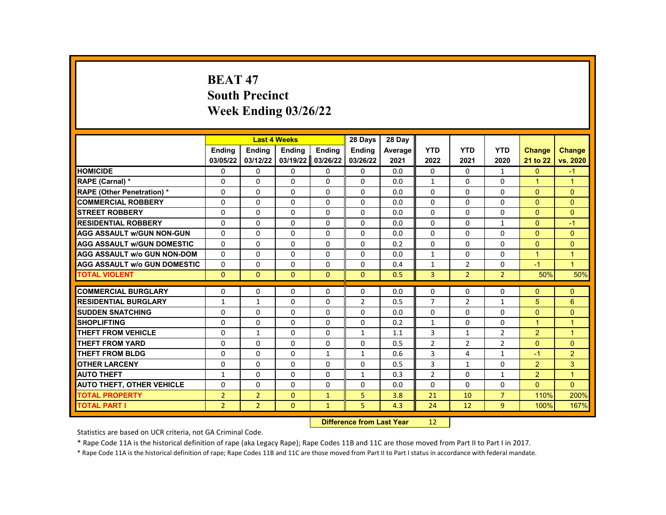# **BEAT 47 South Precinct Week Ending 03/26/22**

|                                     |                |                | <b>Last 4 Weeks</b> |              | 28 Days        | 28 Day  |                |                |                |                      |                |
|-------------------------------------|----------------|----------------|---------------------|--------------|----------------|---------|----------------|----------------|----------------|----------------------|----------------|
|                                     | <b>Endina</b>  | <b>Ending</b>  | Ending              | Ending       | <b>Ending</b>  | Average | <b>YTD</b>     | <b>YTD</b>     | <b>YTD</b>     | <b>Change</b>        | <b>Change</b>  |
|                                     | 03/05/22       | 03/12/22       | 03/19/22            | 03/26/22     | 03/26/22       | 2021    | 2022           | 2021           | 2020           | 21 to 22             | vs. 2020       |
| <b>HOMICIDE</b>                     | 0              | 0              | 0                   | 0            | 0              | 0.0     | 0              | 0              | $\mathbf{1}$   | $\mathbf{0}$         | $-1$           |
| RAPE (Carnal) *                     | $\Omega$       | $\Omega$       | $\Omega$            | $\Omega$     | $\Omega$       | 0.0     | $\mathbf{1}$   | $\Omega$       | $\Omega$       | $\mathbf{1}$         | $\mathbf 1$    |
| <b>RAPE (Other Penetration) *</b>   | 0              | $\Omega$       | $\Omega$            | $\Omega$     | $\Omega$       | 0.0     | $\Omega$       | $\Omega$       | $\Omega$       | $\mathbf{0}$         | $\Omega$       |
| <b>COMMERCIAL ROBBERY</b>           | 0              | 0              | $\Omega$            | 0            | $\mathbf{0}$   | 0.0     | $\Omega$       | $\Omega$       | 0              | $\mathbf{0}$         | $\mathbf{0}$   |
| <b>STREET ROBBERY</b>               | 0              | $\Omega$       | $\Omega$            | $\Omega$     | $\Omega$       | 0.0     | $\Omega$       | $\Omega$       | $\Omega$       | $\Omega$             | $\Omega$       |
| <b>RESIDENTIAL ROBBERY</b>          | $\Omega$       | $\Omega$       | $\Omega$            | $\Omega$     | $\Omega$       | 0.0     | $\Omega$       | $\Omega$       | $\mathbf{1}$   | $\Omega$             | $-1$           |
| <b>AGG ASSAULT W/GUN NON-GUN</b>    | 0              | 0              | 0                   | 0            | 0              | 0.0     | 0              | 0              | 0              | $\mathbf{0}$         | $\mathbf{0}$   |
| <b>AGG ASSAULT W/GUN DOMESTIC</b>   | $\Omega$       | $\Omega$       | $\Omega$            | $\Omega$     | $\Omega$       | 0.2     | $\Omega$       | $\Omega$       | $\Omega$       | $\Omega$             | $\Omega$       |
| <b>AGG ASSAULT w/o GUN NON-DOM</b>  | $\Omega$       | $\Omega$       | $\Omega$            | $\Omega$     | $\Omega$       | 0.0     | $\mathbf{1}$   | $\Omega$       | $\Omega$       | $\overline{1}$       | $\mathbf{1}$   |
| <b>AGG ASSAULT W/o GUN DOMESTIC</b> | $\Omega$       | 0              | $\Omega$            | 0            | $\mathbf{0}$   | 0.4     | $\mathbf{1}$   | $\overline{2}$ | 0              | $-1$                 | $\mathbf{1}$   |
| <b>TOTAL VIOLENT</b>                | $\Omega$       | $\mathbf{0}$   | $\mathbf{0}$        | $\Omega$     | $\Omega$       | 0.5     | 3              | $\overline{2}$ | $\overline{2}$ | 50%                  | 50%            |
| <b>COMMERCIAL BURGLARY</b>          | 0              | 0              | 0                   | 0            | 0              | 0.0     | $\mathbf{0}$   | 0              | 0              | $\Omega$             | $\mathbf{0}$   |
| <b>RESIDENTIAL BURGLARY</b>         | $\mathbf{1}$   | $\mathbf{1}$   | $\Omega$            | 0            | $\overline{2}$ | 0.5     | $\overline{7}$ | $\overline{2}$ | $\mathbf{1}$   | 5                    | $6\phantom{1}$ |
| <b>SUDDEN SNATCHING</b>             | 0              | $\Omega$       | $\Omega$            | $\Omega$     | $\Omega$       | 0.0     | $\Omega$       | $\Omega$       | $\Omega$       | $\mathbf{0}$         | $\Omega$       |
| <b>SHOPLIFTING</b>                  | 0              | $\Omega$       | $\Omega$            | $\Omega$     | 0              | 0.2     | $\mathbf{1}$   | $\Omega$       | 0              | $\blacktriangleleft$ | $\mathbf{1}$   |
| <b>THEFT FROM VEHICLE</b>           | 0              | $\mathbf{1}$   | $\Omega$            | $\Omega$     | $\mathbf{1}$   | 1.1     | 3              | $\mathbf{1}$   | $\overline{2}$ | $\overline{2}$       | $\mathbf{1}$   |
| <b>THEFT FROM YARD</b>              | 0              | $\Omega$       | $\Omega$            | $\Omega$     | $\Omega$       | 0.5     | $\overline{2}$ | $\overline{2}$ | $\overline{2}$ | $\Omega$             | $\Omega$       |
| <b>THEFT FROM BLDG</b>              | 0              | $\mathbf{0}$   | 0                   | $\mathbf{1}$ | $\mathbf{1}$   | 0.6     | 3              | 4              | $\mathbf{1}$   | $-1$                 | $\overline{2}$ |
| <b>OTHER LARCENY</b>                | 0              | $\mathbf 0$    | $\Omega$            | 0            | $\mathbf 0$    | 0.5     | 3              | $\mathbf{1}$   | $\Omega$       | 2                    | 3              |
| <b>AUTO THEFT</b>                   | $\mathbf{1}$   | $\Omega$       | $\Omega$            | $\Omega$     | $\mathbf{1}$   | 0.3     | $\overline{2}$ | $\Omega$       | $\mathbf{1}$   | $\overline{2}$       | $\overline{1}$ |
| <b>AUTO THEFT, OTHER VEHICLE</b>    | 0              | $\Omega$       | $\Omega$            | $\Omega$     | 0              | 0.0     | $\Omega$       | $\Omega$       | 0              | $\Omega$             | $\Omega$       |
| <b>TOTAL PROPERTY</b>               | $\overline{2}$ | $\overline{2}$ | $\mathbf{0}$        | $\mathbf{1}$ | 5              | 3.8     | 21             | 10             | $\overline{7}$ | 110%                 | 200%           |
| <b>TOTAL PART I</b>                 | $\overline{2}$ | $\overline{2}$ | $\mathbf{0}$        | $\mathbf{1}$ | 5              | 4.3     | 24             | 12             | 9              | 100%                 | 167%           |
|                                     |                |                |                     |              |                |         |                |                |                |                      |                |

**Difference from Last Year** 12

Statistics are based on UCR criteria, not GA Criminal Code.

\* Rape Code 11A is the historical definition of rape (aka Legacy Rape); Rape Codes 11B and 11C are those moved from Part II to Part I in 2017.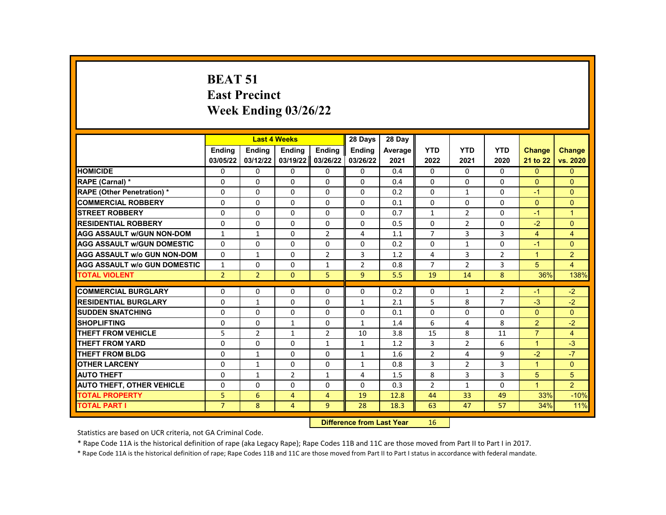#### **BEAT 51 East Precinct Week Ending 03/26/22**

|                                     |                | <b>Last 4 Weeks</b> |                |                    | 28 Days                                                                                                                                                                                                                        | 28 Day  |                |                |                |                      |                |
|-------------------------------------|----------------|---------------------|----------------|--------------------|--------------------------------------------------------------------------------------------------------------------------------------------------------------------------------------------------------------------------------|---------|----------------|----------------|----------------|----------------------|----------------|
|                                     | Ending         | <b>Ending</b>       | <b>Ending</b>  | Ending             | <b>Ending</b>                                                                                                                                                                                                                  | Average | <b>YTD</b>     | <b>YTD</b>     | <b>YTD</b>     | <b>Change</b>        | <b>Change</b>  |
|                                     | 03/05/22       | 03/12/22            | 03/19/22       | 03/26/22           | 03/26/22                                                                                                                                                                                                                       | 2021    | 2022           | 2021           | 2020           | 21 to 22             | vs. 2020       |
| <b>HOMICIDE</b>                     | 0              | 0                   | 0              | $\Omega$           | 0                                                                                                                                                                                                                              | 0.4     | $\mathbf{0}$   | 0              | $\mathbf{0}$   | $\Omega$             | $\overline{0}$ |
| RAPE (Carnal) *                     | 0              | $\Omega$            | $\Omega$       | $\Omega$           | $\Omega$                                                                                                                                                                                                                       | 0.4     | $\Omega$       | $\Omega$       | $\Omega$       | $\Omega$             | $\Omega$       |
| RAPE (Other Penetration) *          | $\Omega$       | $\Omega$            | $\Omega$       | $\Omega$           | $\Omega$                                                                                                                                                                                                                       | 0.2     | $\Omega$       | $\mathbf{1}$   | $\Omega$       | $-1$                 | $\Omega$       |
| <b>COMMERCIAL ROBBERY</b>           | 0              | 0                   | $\Omega$       | $\Omega$           | $\Omega$                                                                                                                                                                                                                       | 0.1     | 0              | 0              | 0              | $\overline{0}$       | $\mathbf{0}$   |
| <b>STREET ROBBERY</b>               | 0              | $\Omega$            | $\Omega$       | $\Omega$           | $\Omega$                                                                                                                                                                                                                       | 0.7     | $\mathbf{1}$   | $\overline{2}$ | $\Omega$       | $-1$                 | $\overline{1}$ |
| <b>RESIDENTIAL ROBBERY</b>          | $\Omega$       | $\Omega$            | $\Omega$       | $\Omega$           | $\Omega$                                                                                                                                                                                                                       | 0.5     | $\Omega$       | $\overline{2}$ | $\Omega$       | $-2$                 | $\Omega$       |
| <b>AGG ASSAULT w/GUN NON-DOM</b>    | $\mathbf{1}$   | $\mathbf{1}$        | $\Omega$       | $\overline{2}$     | 4                                                                                                                                                                                                                              | 1.1     | $\overline{7}$ | 3              | 3              | $\overline{4}$       | $\overline{4}$ |
| <b>AGG ASSAULT W/GUN DOMESTIC</b>   | $\Omega$       | 0                   | $\Omega$       | $\Omega$           | $\Omega$                                                                                                                                                                                                                       | 0.2     | $\Omega$       | $\mathbf{1}$   | $\Omega$       | $-1$                 | $\Omega$       |
| <b>AGG ASSAULT w/o GUN NON-DOM</b>  | $\Omega$       | $\mathbf{1}$        | $\Omega$       | $\overline{2}$     | 3                                                                                                                                                                                                                              | 1.2     | 4              | 3              | $\overline{2}$ | $\overline{1}$       | $\overline{2}$ |
| <b>AGG ASSAULT w/o GUN DOMESTIC</b> | $\mathbf{1}$   | $\Omega$            | $\Omega$       | $\mathbf{1}$       | $\overline{2}$                                                                                                                                                                                                                 | 0.8     | $\overline{7}$ | $\overline{2}$ | 3              | 5                    | $\overline{4}$ |
| <b>TOTAL VIOLENT</b>                | $\overline{2}$ | $\overline{2}$      | $\Omega$       | 5                  | 9                                                                                                                                                                                                                              | 5.5     | 19             | 14             | 8              | 36%                  | 138%           |
|                                     |                |                     |                |                    |                                                                                                                                                                                                                                |         |                |                |                |                      |                |
| <b>COMMERCIAL BURGLARY</b>          | 0              | 0                   | 0              | $\Omega$           | 0                                                                                                                                                                                                                              | 0.2     | 0              | $\mathbf{1}$   | $\overline{2}$ | $-1$                 | $-2$           |
| <b>RESIDENTIAL BURGLARY</b>         | $\Omega$       | $\mathbf{1}$        | $\Omega$       | $\Omega$           | $\mathbf{1}$                                                                                                                                                                                                                   | 2.1     | 5              | 8              | $\overline{7}$ | $-3$                 | $-2$           |
| <b>SUDDEN SNATCHING</b>             | $\Omega$       | $\Omega$            | $\Omega$       | $\Omega$           | $\Omega$                                                                                                                                                                                                                       | 0.1     | $\Omega$       | $\Omega$       | $\Omega$       | $\Omega$             | $\Omega$       |
| <b>SHOPLIFTING</b>                  | 0              | $\Omega$            | $\mathbf{1}$   | $\Omega$           | $\mathbf{1}$                                                                                                                                                                                                                   | 1.4     | 6              | 4              | 8              | $\overline{2}$       | $-2$           |
| <b>THEFT FROM VEHICLE</b>           | 5              | $\overline{2}$      | $\mathbf{1}$   | $\overline{2}$     | 10                                                                                                                                                                                                                             | 3.8     | 15             | 8              | 11             | $\overline{7}$       | $\overline{4}$ |
| <b>THEFT FROM YARD</b>              | $\Omega$       | $\Omega$            | $\Omega$       | $\mathbf{1}$       | $\mathbf{1}$                                                                                                                                                                                                                   | 1.2     | $\overline{3}$ | $\overline{2}$ | 6              | $\mathbf{1}$         | $-3$           |
| <b>THEFT FROM BLDG</b>              | 0              | $\mathbf{1}$        | 0              | $\Omega$           | $\mathbf{1}$                                                                                                                                                                                                                   | 1.6     | $\overline{2}$ | 4              | 9              | $-2$                 | $-7$           |
| <b>OTHER LARCENY</b>                | 0              | $\mathbf{1}$        | $\Omega$       | $\Omega$           | $\mathbf{1}$                                                                                                                                                                                                                   | 0.8     | 3              | $\overline{2}$ | 3              | $\blacktriangleleft$ | $\Omega$       |
| <b>AUTO THEFT</b>                   | $\Omega$       | $\mathbf{1}$        | $\overline{2}$ | $\mathbf{1}$       | 4                                                                                                                                                                                                                              | 1.5     | 8              | 3              | 3              | 5                    | 5              |
| <b>AUTO THEFT, OTHER VEHICLE</b>    | $\Omega$       | $\Omega$            | 0              | $\Omega$           | $\Omega$                                                                                                                                                                                                                       | 0.3     | $\overline{2}$ | $\mathbf{1}$   | $\Omega$       | $\blacktriangleleft$ | $\overline{2}$ |
| <b>TOTAL PROPERTY</b>               | 5              | 6                   | 4              | $\overline{4}$     | 19                                                                                                                                                                                                                             | 12.8    | 44             | 33             | 49             | 33%                  | $-10%$         |
| <b>TOTAL PART I</b>                 | $\overline{7}$ | 8                   | 4              | 9                  | 28                                                                                                                                                                                                                             | 18.3    | 63             | 47             | 57             | 34%                  | 11%            |
|                                     |                |                     |                | <b>CARLO CARDS</b> | and the company of the State of the State of the State of the State of the State of the State of the State of the State of the State of the State of the State of the State of the State of the State of the State of the Stat |         | $\sim$         |                |                |                      |                |

**Difference from Last Year** 16

Statistics are based on UCR criteria, not GA Criminal Code.

\* Rape Code 11A is the historical definition of rape (aka Legacy Rape); Rape Codes 11B and 11C are those moved from Part II to Part I in 2017.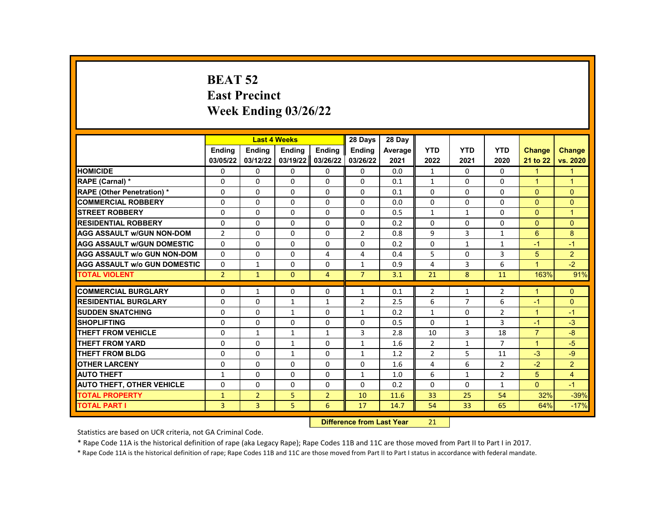# **BEAT 52 East Precinct Week Ending 03/26/22**

|                                     |                |                | <b>Last 4 Weeks</b> |                                 | 28 Days        | 28 Day  |                |                |                |                      |                |
|-------------------------------------|----------------|----------------|---------------------|---------------------------------|----------------|---------|----------------|----------------|----------------|----------------------|----------------|
|                                     | <b>Endina</b>  | <b>Ending</b>  | Ending              | Ending                          | Ending         | Average | <b>YTD</b>     | <b>YTD</b>     | <b>YTD</b>     | <b>Change</b>        | <b>Change</b>  |
|                                     | 03/05/22       | 03/12/22       | 03/19/22            | 03/26/22                        | 03/26/22       | 2021    | 2022           | 2021           | 2020           | 21 to 22             | vs. 2020       |
| <b>HOMICIDE</b>                     | 0              | 0              | 0                   | 0                               | 0              | 0.0     | $\mathbf{1}$   | 0              | 0              | $\mathbf{1}$         | $\mathbf{1}$   |
| RAPE (Carnal) *                     | $\Omega$       | $\Omega$       | $\Omega$            | $\Omega$                        | $\Omega$       | 0.1     | $\mathbf{1}$   | $\Omega$       | $\Omega$       | $\overline{1}$       | $\mathbf{1}$   |
| <b>RAPE (Other Penetration) *</b>   | $\Omega$       | $\Omega$       | $\Omega$            | $\Omega$                        | $\Omega$       | 0.1     | $\Omega$       | $\Omega$       | $\Omega$       | $\Omega$             | $\Omega$       |
| <b>COMMERCIAL ROBBERY</b>           | 0              | 0              | 0                   | 0                               | 0              | 0.0     | $\mathbf{0}$   | 0              | $\Omega$       | $\Omega$             | $\overline{0}$ |
| <b>STREET ROBBERY</b>               | $\Omega$       | $\Omega$       | $\Omega$            | $\Omega$                        | $\Omega$       | 0.5     | $\mathbf{1}$   | $\mathbf{1}$   | $\Omega$       | $\Omega$             | $\mathbf{1}$   |
| <b>RESIDENTIAL ROBBERY</b>          | $\Omega$       | $\Omega$       | $\Omega$            | $\Omega$                        | $\Omega$       | 0.2     | $\Omega$       | $\Omega$       | $\Omega$       | $\Omega$             | $\Omega$       |
| AGG ASSAULT w/GUN NON-DOM           | $\overline{2}$ | 0              | 0                   | 0                               | $\overline{2}$ | 0.8     | 9              | 3              | $\mathbf{1}$   | 6                    | 8              |
| <b>AGG ASSAULT W/GUN DOMESTIC</b>   | $\Omega$       | $\Omega$       | $\Omega$            | $\Omega$                        | $\Omega$       | 0.2     | $\Omega$       | $\mathbf{1}$   | $\mathbf{1}$   | $-1$                 | $-1$           |
| AGG ASSAULT w/o GUN NON-DOM         | $\Omega$       | $\Omega$       | $\Omega$            | 4                               | 4              | 0.4     | 5              | $\Omega$       | 3              | 5                    | $\overline{2}$ |
| <b>AGG ASSAULT w/o GUN DOMESTIC</b> | $\Omega$       | $\mathbf{1}$   | $\Omega$            | $\Omega$                        | $\mathbf{1}$   | 0.9     | 4              | 3              | 6              | $\blacktriangleleft$ | $-2$           |
| <b>TOTAL VIOLENT</b>                | $\overline{2}$ | $\mathbf{1}$   | $\mathbf{0}$        | $\overline{4}$                  | $\overline{7}$ | 3.1     | 21             | 8              | 11             | 163%                 | 91%            |
| <b>COMMERCIAL BURGLARY</b>          |                |                |                     |                                 |                |         |                |                |                | 1                    |                |
|                                     | 0              | $\mathbf{1}$   | 0                   | $\Omega$                        | $\mathbf{1}$   | 0.1     | $\overline{2}$ | 1              | 2              |                      | $\Omega$       |
| <b>RESIDENTIAL BURGLARY</b>         | 0              | 0              | $\mathbf{1}$        | $\mathbf{1}$                    | $\overline{2}$ | 2.5     | 6              | $\overline{7}$ | 6              | $-1$                 | $\mathbf{0}$   |
| <b>SUDDEN SNATCHING</b>             | $\Omega$       | $\Omega$       | $\mathbf{1}$        | $\Omega$                        | $\mathbf{1}$   | 0.2     | $\mathbf{1}$   | $\Omega$       | $\overline{2}$ | $\blacktriangleleft$ | $-1$           |
| <b>SHOPLIFTING</b>                  | $\Omega$       | $\Omega$       | 0                   | $\Omega$                        | 0              | 0.5     | $\Omega$       | $\mathbf{1}$   | 3              | $-1$                 | $-3$           |
| <b>THEFT FROM VEHICLE</b>           | $\Omega$       | $\mathbf{1}$   | $\mathbf{1}$        | $\mathbf{1}$                    | 3              | 2.8     | 10             | 3              | 18             | $\overline{7}$       | $-8$           |
| <b>THEFT FROM YARD</b>              | $\Omega$       | $\Omega$       | $\mathbf{1}$        | $\Omega$                        | $\mathbf{1}$   | 1.6     | $\overline{2}$ | $\mathbf{1}$   | $\overline{7}$ | $\mathbf{1}$         | $-5$           |
| <b>THEFT FROM BLDG</b>              | $\Omega$       | $\Omega$       | $\mathbf{1}$        | $\Omega$                        | $\mathbf{1}$   | 1.2     | $\overline{2}$ | 5              | 11             | $-3$                 | $-9$           |
| <b>OTHER LARCENY</b>                | $\Omega$       | $\Omega$       | $\Omega$            | $\Omega$                        | $\Omega$       | 1.6     | 4              | 6              | 2              | $-2$                 | $\overline{2}$ |
| <b>AUTO THEFT</b>                   | $\mathbf{1}$   | 0              | 0                   | $\Omega$                        | $\mathbf{1}$   | 1.0     | 6              | $\mathbf{1}$   | 2              | 5 <sup>5</sup>       | $\overline{4}$ |
| <b>AUTO THEFT, OTHER VEHICLE</b>    | $\Omega$       | $\Omega$       | $\Omega$            | $\Omega$                        | $\Omega$       | 0.2     | $\Omega$       | $\Omega$       | $\mathbf{1}$   | $\Omega$             | $-1$           |
| <b>TOTAL PROPERTY</b>               | $\mathbf{1}$   | $\overline{2}$ | 5                   | $\overline{2}$                  | 10             | 11.6    | 33             | 25             | 54             | 32%                  | $-39%$         |
| <b>TOTAL PART I</b>                 | 3              | 3              | 5                   | 6                               | 17             | 14.7    | 54             | 33             | 65             | 64%                  | $-17%$         |
|                                     |                |                |                     | Difference from Loot Voor<br>21 |                |         |                |                |                |                      |                |

**Difference from Last Year** 21

Statistics are based on UCR criteria, not GA Criminal Code.

\* Rape Code 11A is the historical definition of rape (aka Legacy Rape); Rape Codes 11B and 11C are those moved from Part II to Part I in 2017.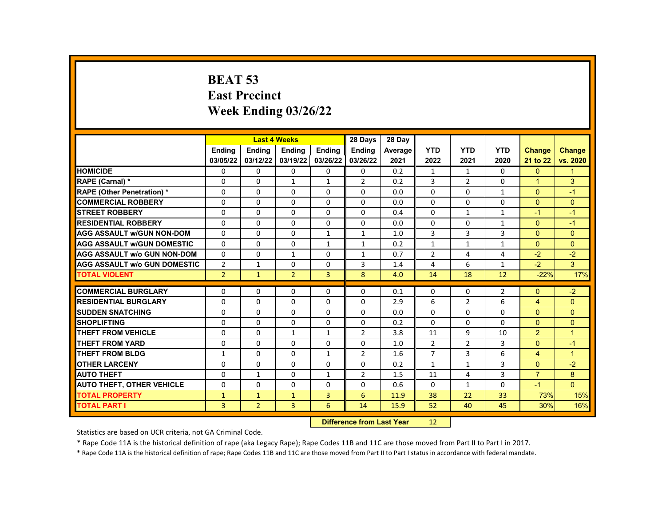# **BEAT 53 East Precinct Week Ending 03/26/22**

|                                     |                | <b>Last 4 Weeks</b>              |                |                | 28 Days        | 28 Day  |                |                |                |                |                |
|-------------------------------------|----------------|----------------------------------|----------------|----------------|----------------|---------|----------------|----------------|----------------|----------------|----------------|
|                                     | <b>Endina</b>  | Ending                           | Ending         | <b>Ending</b>  | Ending         | Average | <b>YTD</b>     | <b>YTD</b>     | <b>YTD</b>     | <b>Change</b>  | <b>Change</b>  |
|                                     | 03/05/22       | 03/12/22                         | 03/19/22       | 03/26/22       | 03/26/22       | 2021    | 2022           | 2021           | 2020           | 21 to 22       | vs. 2020       |
| <b>HOMICIDE</b>                     | 0              | 0                                | 0              | 0              | 0              | 0.2     | 1              | 1              | $\Omega$       | $\mathbf{0}$   | $\mathbf 1$    |
| <b>RAPE (Carnal) *</b>              | 0              | $\Omega$                         | $\mathbf{1}$   | $\mathbf{1}$   | $\overline{2}$ | 0.2     | 3              | $\overline{2}$ | $\Omega$       | $\overline{1}$ | 3              |
| <b>RAPE (Other Penetration) *</b>   | 0              | $\Omega$                         | $\Omega$       | $\Omega$       | 0              | 0.0     | $\Omega$       | $\Omega$       | $\mathbf{1}$   | $\Omega$       | $-1$           |
| <b>COMMERCIAL ROBBERY</b>           | 0              | 0                                | 0              | $\mathbf{0}$   | 0              | 0.0     | $\Omega$       | $\Omega$       | $\Omega$       | $\Omega$       | $\Omega$       |
| <b>STREET ROBBERY</b>               | 0              | $\Omega$                         | $\Omega$       | $\Omega$       | 0              | 0.4     | $\Omega$       | $\mathbf{1}$   | $\mathbf{1}$   | $-1$           | $-1$           |
| <b>RESIDENTIAL ROBBERY</b>          | 0              | 0                                | 0              | $\mathbf{0}$   | 0              | 0.0     | $\Omega$       | $\Omega$       | $\mathbf{1}$   | $\Omega$       | $-1$           |
| <b>AGG ASSAULT w/GUN NON-DOM</b>    | $\Omega$       | 0                                | $\Omega$       | $\mathbf{1}$   | $\mathbf{1}$   | 1.0     | 3              | 3              | 3              | $\Omega$       | $\Omega$       |
| <b>AGG ASSAULT W/GUN DOMESTIC</b>   | 0              | $\Omega$                         | $\Omega$       | $\mathbf{1}$   | $\mathbf{1}$   | 0.2     | $\mathbf{1}$   | $\mathbf{1}$   | $\mathbf{1}$   | $\Omega$       | $\Omega$       |
| <b>AGG ASSAULT w/o GUN NON-DOM</b>  | 0              | 0                                | $\mathbf{1}$   | $\mathbf{0}$   | $\mathbf{1}$   | 0.7     | $\overline{2}$ | 4              | 4              | $-2$           | $-2$           |
| <b>AGG ASSAULT W/o GUN DOMESTIC</b> | $\overline{2}$ | $\mathbf{1}$                     | $\Omega$       | $\Omega$       | 3              | 1.4     | 4              | 6              | $\mathbf{1}$   | $-2$           | 3              |
| <b>TOTAL VIOLENT</b>                | $\overline{2}$ | $\mathbf{1}$                     | $\overline{2}$ | $\overline{3}$ | 8              | 4.0     | 14             | 18             | 12             | $-22%$         | 17%            |
| <b>COMMERCIAL BURGLARY</b>          | 0              | $\Omega$                         | $\Omega$       | $\mathbf{0}$   | 0              | 0.1     | $\Omega$       | $\Omega$       | $\overline{2}$ | $\Omega$       | $-2$           |
| <b>RESIDENTIAL BURGLARY</b>         | 0              | 0                                | 0              | 0              | 0              | 2.9     | 6              | $\overline{2}$ | 6              | $\overline{4}$ | $\mathbf{0}$   |
| <b>SUDDEN SNATCHING</b>             | 0              | $\Omega$                         | $\Omega$       | $\Omega$       | 0              | 0.0     | $\Omega$       | $\Omega$       | $\Omega$       | $\Omega$       | $\Omega$       |
| <b>SHOPLIFTING</b>                  | $\Omega$       | $\Omega$                         | $\Omega$       | $\Omega$       | 0              | 0.2     | $\Omega$       | $\Omega$       | $\Omega$       | $\Omega$       | $\Omega$       |
| <b>THEFT FROM VEHICLE</b>           | 0              | 0                                | $\mathbf{1}$   | $\mathbf{1}$   | 2              | 3.8     | 11             | 9              | 10             | $\overline{2}$ | $\mathbf 1$    |
| <b>THEFT FROM YARD</b>              | 0              | $\Omega$                         | $\Omega$       | $\mathbf{0}$   | 0              | 1.0     | $\overline{2}$ | 2              | 3              | $\Omega$       | $-1$           |
| <b>THEFT FROM BLDG</b>              | $\mathbf{1}$   | $\Omega$                         | $\Omega$       | $\mathbf{1}$   | $\overline{2}$ | 1.6     | $\overline{7}$ | 3              | 6              | $\overline{4}$ | $\overline{1}$ |
| <b>OTHER LARCENY</b>                | 0              | $\Omega$                         | $\Omega$       | $\Omega$       | 0              | 0.2     | $\mathbf{1}$   | $\mathbf{1}$   | 3              | $\Omega$       | $-2$           |
| <b>AUTO THEFT</b>                   | 0              | $\mathbf{1}$                     | $\Omega$       | $\mathbf{1}$   | $\overline{2}$ | 1.5     | 11             | 4              | 3              | $\overline{7}$ | 8              |
| <b>AUTO THEFT, OTHER VEHICLE</b>    | $\Omega$       | $\Omega$                         | 0              | 0              | 0              | 0.6     | $\Omega$       | $\mathbf{1}$   | $\Omega$       | $-1$           | $\overline{0}$ |
| <b>TOTAL PROPERTY</b>               | $\mathbf{1}$   | $\mathbf{1}$                     | $\mathbf{1}$   | 3              | 6              | 11.9    | 38             | 22             | 33             | 73%            | 15%            |
| <b>TOTAL PART I</b>                 | $\overline{3}$ | $\overline{2}$                   | $\overline{3}$ | 6              | 14             | 15.9    | 52             | 40             | 45             | 30%            | 16%            |
|                                     |                | <b>Difference from Last Year</b> |                | 12             |                |         |                |                |                |                |                |

Statistics are based on UCR criteria, not GA Criminal Code.

\* Rape Code 11A is the historical definition of rape (aka Legacy Rape); Rape Codes 11B and 11C are those moved from Part II to Part I in 2017.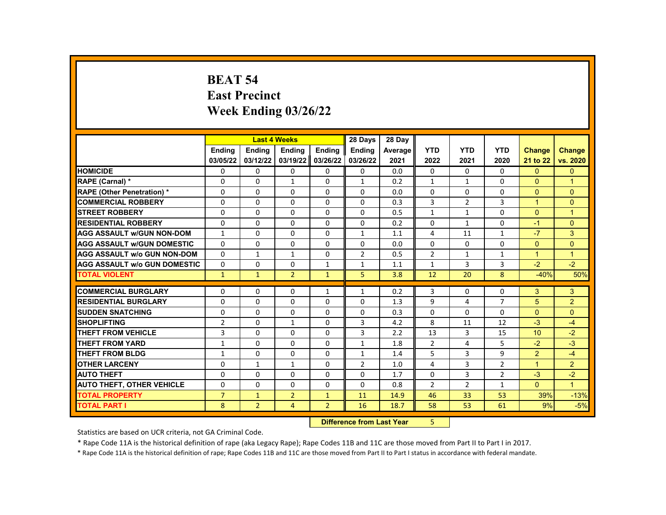# **BEAT 54 East Precinct Week Ending 03/26/22**

|                                     |                |                | <b>Last 4 Weeks</b> |                | 28 Days        | 28 Day  |                |                |                |                      |                      |
|-------------------------------------|----------------|----------------|---------------------|----------------|----------------|---------|----------------|----------------|----------------|----------------------|----------------------|
|                                     | <b>Endina</b>  | Ending         | Ending              | Ending         | <b>Endina</b>  | Average | <b>YTD</b>     | <b>YTD</b>     | <b>YTD</b>     | <b>Change</b>        | <b>Change</b>        |
|                                     | 03/05/22       | 03/12/22       | 03/19/22            | 03/26/22       | 03/26/22       | 2021    | 2022           | 2021           | 2020           | 21 to 22             | vs. 2020             |
| <b>HOMICIDE</b>                     | 0              | $\mathbf{0}$   | $\mathbf{0}$        | 0              | $\mathbf{0}$   | 0.0     | 0              | $\mathbf{0}$   | $\mathbf{0}$   | $\mathbf{0}$         | $\Omega$             |
| RAPE (Carnal) *                     | $\Omega$       | $\Omega$       | $\mathbf{1}$        | $\Omega$       | $\mathbf{1}$   | 0.2     | $\mathbf{1}$   | $\mathbf{1}$   | $\Omega$       | $\Omega$             | $\overline{1}$       |
| <b>RAPE (Other Penetration) *</b>   | $\Omega$       | $\Omega$       | $\Omega$            | $\Omega$       | $\Omega$       | 0.0     | $\Omega$       | $\Omega$       | $\Omega$       | $\Omega$             | $\Omega$             |
| <b>COMMERCIAL ROBBERY</b>           | 0              | $\mathbf{0}$   | $\mathbf{0}$        | 0              | 0              | 0.3     | 3              | $\overline{2}$ | 3              | $\blacktriangleleft$ | $\Omega$             |
| <b>STREET ROBBERY</b>               | $\Omega$       | $\Omega$       | $\Omega$            | $\Omega$       | $\Omega$       | 0.5     | $\mathbf{1}$   | $\mathbf{1}$   | $\Omega$       | $\Omega$             | $\overline{1}$       |
| <b>RESIDENTIAL ROBBERY</b>          | $\Omega$       | $\Omega$       | $\Omega$            | $\Omega$       | $\Omega$       | 0.2     | $\Omega$       | $\mathbf{1}$   | $\Omega$       | $-1$                 | $\Omega$             |
| <b>AGG ASSAULT w/GUN NON-DOM</b>    | $\mathbf{1}$   | 0              | 0                   | 0              | $\mathbf{1}$   | 1.1     | 4              | 11             | $\mathbf{1}$   | $-7$                 | 3                    |
| <b>AGG ASSAULT w/GUN DOMESTIC</b>   | $\Omega$       | $\Omega$       | $\Omega$            | $\Omega$       | 0              | 0.0     | $\Omega$       | $\Omega$       | $\Omega$       | $\Omega$             | $\Omega$             |
| <b>AGG ASSAULT W/o GUN NON-DOM</b>  | $\Omega$       | $\mathbf{1}$   | $\mathbf{1}$        | $\Omega$       | $\overline{2}$ | 0.5     | $\overline{2}$ | $\mathbf{1}$   | $\mathbf{1}$   | $\mathbf{1}$         | $\mathbf{1}$         |
| <b>AGG ASSAULT W/o GUN DOMESTIC</b> | $\Omega$       | 0              | $\Omega$            | $\mathbf{1}$   | $\mathbf{1}$   | 1.1     | $\mathbf{1}$   | 3              | 3              | $-2$                 | $-2$                 |
| <b>TOTAL VIOLENT</b>                | $\mathbf{1}$   | $\mathbf{1}$   | $\overline{2}$      | $\mathbf{1}$   | 5              | 3.8     | 12             | 20             | 8              | $-40%$               | 50%                  |
|                                     |                |                |                     |                |                |         |                |                |                |                      |                      |
| <b>COMMERCIAL BURGLARY</b>          | 0              | $\mathbf{0}$   | 0                   | 1              | $\mathbf{1}$   | 0.2     | 3              | 0              | $\Omega$       | 3                    | 3                    |
| <b>RESIDENTIAL BURGLARY</b>         | $\Omega$       | $\Omega$       | $\Omega$            | $\Omega$       | $\Omega$       | 1.3     | 9              | 4              | $\overline{7}$ | 5                    | $\overline{2}$       |
| <b>SUDDEN SNATCHING</b>             | $\Omega$       | $\Omega$       | $\Omega$            | $\Omega$       | $\Omega$       | 0.3     | $\Omega$       | $\Omega$       | $\Omega$       | $\Omega$             | $\Omega$             |
| <b>SHOPLIFTING</b>                  | 2              | $\mathbf{0}$   | $\mathbf{1}$        | 0              | 3              | 4.2     | 8              | 11             | 12             | $-3$                 | $-4$                 |
| <b>THEFT FROM VEHICLE</b>           | 3              | $\Omega$       | $\Omega$            | $\Omega$       | 3              | 2.2     | 13             | 3              | 15             | 10                   | $-2$                 |
| <b>THEFT FROM YARD</b>              | $\mathbf{1}$   | $\Omega$       | $\Omega$            | $\Omega$       | $\mathbf{1}$   | 1.8     | $\overline{2}$ | 4              | 5              | $-2$                 | $-3$                 |
| <b>THEFT FROM BLDG</b>              | 1              | $\mathbf{0}$   | 0                   | 0              | $\mathbf{1}$   | 1.4     | 5              | 3              | 9              | $\overline{2}$       | $-4$                 |
| <b>OTHER LARCENY</b>                | $\Omega$       | $\mathbf{1}$   | $\mathbf{1}$        | $\Omega$       | $\overline{2}$ | 1.0     | 4              | 3              | 2              | $\mathbf{1}$         | $\overline{2}$       |
| <b>AUTO THEFT</b>                   | 0              | $\Omega$       | $\Omega$            | $\Omega$       | 0              | 1.7     | $\Omega$       | 3              | 2              | $-3$                 | $-2$                 |
| <b>AUTO THEFT, OTHER VEHICLE</b>    | 0              | $\mathbf{0}$   | 0                   | 0              | 0              | 0.8     | $\overline{2}$ | $\overline{2}$ | $\mathbf{1}$   | $\mathbf{0}$         | $\blacktriangleleft$ |
| <b>TOTAL PROPERTY</b>               | $\overline{7}$ | $\mathbf{1}$   | $\overline{2}$      | $\mathbf{1}$   | 11             | 14.9    | 46             | 33             | 53             | 39%                  | $-13%$               |
| <b>TOTAL PART I</b>                 | 8              | $\overline{2}$ | 4                   | $\overline{2}$ | 16             | 18.7    | 58             | 53             | 61             | 9%                   | $-5%$                |
|                                     |                |                |                     |                |                |         |                |                |                |                      |                      |

**Difference from Last Year** 5

Statistics are based on UCR criteria, not GA Criminal Code.

\* Rape Code 11A is the historical definition of rape (aka Legacy Rape); Rape Codes 11B and 11C are those moved from Part II to Part I in 2017.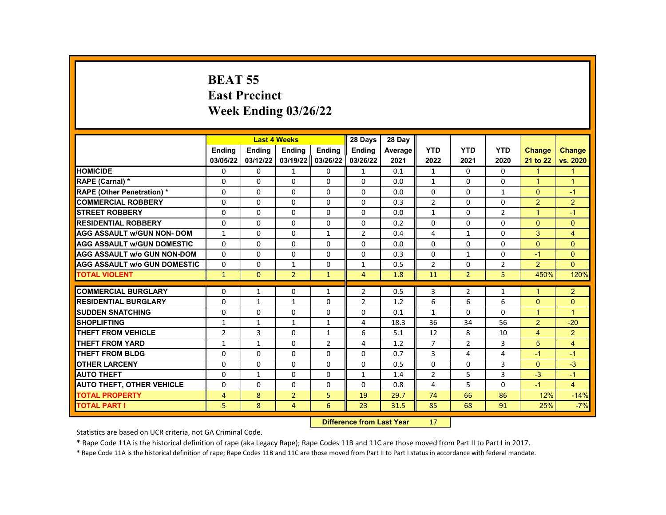# **BEAT 55 East Precinct Week Ending 03/26/22**

|                                     |                | <b>Last 4 Weeks</b>       |                |                | 28 Days        | 28 Day  |                |                |                |                      |                      |
|-------------------------------------|----------------|---------------------------|----------------|----------------|----------------|---------|----------------|----------------|----------------|----------------------|----------------------|
|                                     | Ending         | Ending                    | Ending         | Ending         | Ending         | Average | <b>YTD</b>     | <b>YTD</b>     | <b>YTD</b>     | <b>Change</b>        | <b>Change</b>        |
|                                     | 03/05/22       | 03/12/22                  | 03/19/22       | 03/26/22       | 03/26/22       | 2021    | 2022           | 2021           | 2020           | 21 to 22             | vs. 2020             |
| <b>HOMICIDE</b>                     | 0              | 0                         | $\mathbf{1}$   | 0              | $\mathbf{1}$   | 0.1     | $\mathbf{1}$   | 0              | $\Omega$       | $\mathbf{1}$         | $\mathbf{1}$         |
| RAPE (Carnal) *                     | $\Omega$       | $\Omega$                  | $\Omega$       | $\Omega$       | $\Omega$       | 0.0     | $\mathbf{1}$   | $\Omega$       | $\Omega$       | $\blacktriangleleft$ | $\blacktriangleleft$ |
| <b>RAPE (Other Penetration) *</b>   | 0              | $\Omega$                  | $\Omega$       | $\Omega$       | 0              | 0.0     | $\mathbf{0}$   | $\Omega$       | $\mathbf{1}$   | $\Omega$             | $-1$                 |
| <b>COMMERCIAL ROBBERY</b>           | 0              | 0                         | 0              | 0              | 0              | 0.3     | $\overline{2}$ | 0              | 0              | $\overline{2}$       | $\overline{2}$       |
| <b>STREET ROBBERY</b>               | $\Omega$       | $\Omega$                  | $\Omega$       | $\Omega$       | $\Omega$       | 0.0     | $\mathbf{1}$   | $\Omega$       | $\overline{2}$ | $\blacktriangleleft$ | $-1$                 |
| <b>RESIDENTIAL ROBBERY</b>          | 0              | $\Omega$                  | $\Omega$       | $\Omega$       | $\Omega$       | 0.2     | $\Omega$       | $\Omega$       | $\Omega$       | $\Omega$             | $\mathbf{0}$         |
| <b>AGG ASSAULT W/GUN NON- DOM</b>   | $\mathbf{1}$   | 0                         | 0              | $\mathbf{1}$   | $\overline{2}$ | 0.4     | 4              | $\mathbf{1}$   | 0              | 3                    | $\overline{4}$       |
| <b>AGG ASSAULT W/GUN DOMESTIC</b>   | 0              | $\Omega$                  | $\Omega$       | $\Omega$       | $\Omega$       | 0.0     | $\Omega$       | $\Omega$       | $\Omega$       | $\Omega$             | $\Omega$             |
| <b>AGG ASSAULT W/o GUN NON-DOM</b>  | $\Omega$       | $\Omega$                  | $\Omega$       | $\Omega$       | $\Omega$       | 0.3     | $\mathbf{0}$   | $\mathbf{1}$   | $\Omega$       | $-1$                 | $\Omega$             |
| <b>AGG ASSAULT W/o GUN DOMESTIC</b> | $\Omega$       | 0                         | $\mathbf{1}$   | 0              | $\mathbf{1}$   | 0.5     | $\overline{2}$ | $\Omega$       | $\overline{2}$ | $\overline{2}$       | $\overline{0}$       |
| <b>TOTAL VIOLENT</b>                | $\mathbf{1}$   | $\mathbf{0}$              | $\overline{2}$ | $\mathbf{1}$   | $\overline{4}$ | 1.8     | 11             | $\overline{2}$ | 5              | 450%                 | 120%                 |
|                                     |                |                           |                |                |                |         |                |                |                |                      |                      |
| <b>COMMERCIAL BURGLARY</b>          | 0              | $\mathbf{1}$              | 0              | $\mathbf{1}$   | $\overline{2}$ | 0.5     | 3              | $\overline{2}$ | 1              | 1                    | $\overline{2}$       |
| <b>RESIDENTIAL BURGLARY</b>         | 0              | $\mathbf{1}$              | 1              | $\Omega$       | $\overline{2}$ | 1.2     | 6              | 6              | 6              | $\mathbf{0}$         | $\overline{0}$       |
| <b>SUDDEN SNATCHING</b>             | 0              | $\Omega$                  | $\Omega$       | $\Omega$       | $\Omega$       | 0.1     | $\mathbf{1}$   | $\Omega$       | $\Omega$       | $\mathbf{1}$         | $\mathbf{1}$         |
| <b>SHOPLIFTING</b>                  | $\mathbf{1}$   | $\mathbf{1}$              | $\mathbf{1}$   | $\mathbf{1}$   | 4              | 18.3    | 36             | 34             | 56             | $\overline{2}$       | $-20$                |
| <b>THEFT FROM VEHICLE</b>           | $\overline{2}$ | 3                         | $\Omega$       | $\mathbf{1}$   | 6              | 5.1     | 12             | 8              | 10             | $\overline{4}$       | $\overline{2}$       |
| THEFT FROM YARD                     | $\mathbf{1}$   | $\mathbf{1}$              | $\Omega$       | $\overline{2}$ | 4              | 1.2     | $\overline{7}$ | $\overline{2}$ | 3              | 5                    | $\overline{4}$       |
| THEFT FROM BLDG                     | 0              | $\Omega$                  | $\Omega$       | $\Omega$       | 0              | 0.7     | 3              | 4              | 4              | $-1$                 | $-1$                 |
| <b>OTHER LARCENY</b>                | 0              | 0                         | $\Omega$       | $\Omega$       | 0              | 0.5     | $\mathbf 0$    | $\Omega$       | 3              | $\Omega$             | $-3$                 |
| <b>AUTO THEFT</b>                   | $\Omega$       | $\mathbf{1}$              | $\Omega$       | $\Omega$       | $\mathbf{1}$   | 1.4     | $\overline{2}$ | 5              | 3              | $-3$                 | $-1$                 |
| <b>AUTO THEFT, OTHER VEHICLE</b>    | 0              | $\Omega$                  | $\Omega$       | $\Omega$       | 0              | 0.8     | 4              | 5              | 0              | $-1$                 | $\overline{4}$       |
| <b>TOTAL PROPERTY</b>               | $\overline{4}$ | 8                         | $\overline{2}$ | 5              | 19             | 29.7    | 74             | 66             | 86             | 12%                  | $-14%$               |
| <b>TOTAL PART I</b>                 | 5.             | 8                         | $\overline{4}$ | 6              | 23             | 31.5    | 85             | 68             | 91             | 25%                  | $-7%$                |
|                                     |                | Difference from Loot Voor |                | 17             |                |         |                |                |                |                      |                      |

**Difference from Last Year** 17

Statistics are based on UCR criteria, not GA Criminal Code.

\* Rape Code 11A is the historical definition of rape (aka Legacy Rape); Rape Codes 11B and 11C are those moved from Part II to Part I in 2017.